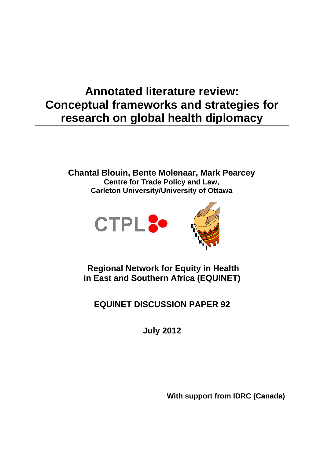# **Annotated literature review: Conceptual frameworks and strategies for research on global health diplomacy**

**Chantal Blouin, Bente Molenaar, Mark Pearcey Centre for Trade Policy and Law, Carleton University/University of Ottawa** 



 **Regional Network for Equity in Health in East and Southern Africa (EQUINET)** 

**EQUINET DISCUSSION PAPER 92** 

**July 2012** 

**With support from IDRC (Canada)**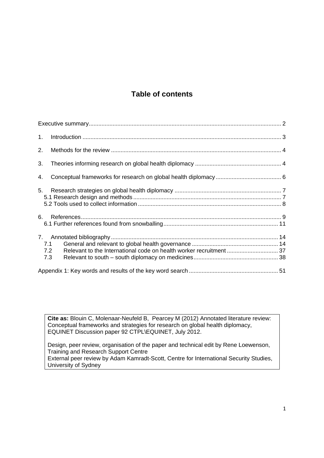# **Table of contents**

| 1 <sub>1</sub> |                   |  |
|----------------|-------------------|--|
| 2.             |                   |  |
| 3.             |                   |  |
| 4.             |                   |  |
|                |                   |  |
| 6.             |                   |  |
|                | 7.1<br>7.2<br>7.3 |  |
|                |                   |  |

**Cite as:** Blouin C, Molenaar-Neufeld B, Pearcey M (2012) Annotated literature review: Conceptual frameworks and strategies for research on global health diplomacy, EQUINET Discussion paper 92 CTPL\EQUINET, July 2012.

Design, peer review, organisation of the paper and technical edit by Rene Loewenson, Training and Research Support Centre External peer review by Adam Kamradt-Scott, Centre for International Security Studies, University of Sydney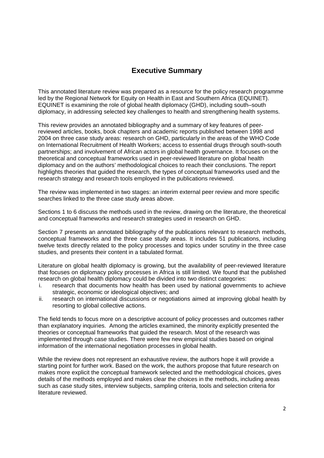# **Executive Summary**

This annotated literature review was prepared as a resource for the policy research programme led by the Regional Network for Equity on Health in East and Southern Africa (EQUINET). EQUINET is examining the role of global health diplomacy (GHD), including south–south diplomacy, in addressing selected key challenges to health and strengthening health systems.

This review provides an annotated bibliography and a summary of key features of peerreviewed articles, books, book chapters and academic reports published between 1998 and 2004 on three case study areas: research on GHD, particularly in the areas of the WHO Code on International Recruitment of Health Workers; access to essential drugs through south-south partnerships; and involvement of African actors in global health governance. It focuses on the theoretical and conceptual frameworks used in peer-reviewed literature on global health diplomacy and on the authors' methodological choices to reach their conclusions. The report highlights theories that guided the research, the types of conceptual frameworks used and the research strategy and research tools employed in the publications reviewed.

The review was implemented in two stages: an interim external peer review and more specific searches linked to the three case study areas above.

Sections 1 to 6 discuss the methods used in the review, drawing on the literature, the theoretical and conceptual frameworks and research strategies used in research on GHD.

Section 7 presents an annotated bibliography of the publications relevant to research methods, conceptual frameworks and the three case study areas. It includes 51 publications, including twelve texts directly related to the policy processes and topics under scrutiny in the three case studies, and presents their content in a tabulated format.

Literature on global health diplomacy is growing, but the availability of peer-reviewed literature that focuses on diplomacy policy processes in Africa is still limited. We found that the published research on global health diplomacy could be divided into two distinct categories:

- i. research that documents how health has been used by national governments to achieve strategic, economic or ideological objectives; and
- ii. research on international discussions or negotiations aimed at improving global health by resorting to global collective actions.

The field tends to focus more on a descriptive account of policy processes and outcomes rather than explanatory inquiries. Among the articles examined, the minority explicitly presented the theories or conceptual frameworks that guided the research. Most of the research was implemented through case studies. There were few new empirical studies based on original information of the international negotiation processes in global health.

While the review does not represent an exhaustive review, the authors hope it will provide a starting point for further work. Based on the work, the authors propose that future research on makes more explicit the conceptual framework selected and the methodological choices, gives details of the methods employed and makes clear the choices in the methods, including areas such as case study sites, interview subjects, sampling criteria, tools and selection criteria for literature reviewed.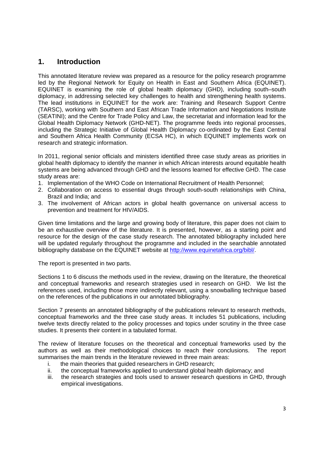# **1. Introduction**

This annotated literature review was prepared as a resource for the policy research programme led by the Regional Network for Equity on Health in East and Southern Africa (EQUINET). EQUINET is examining the role of global health diplomacy (GHD), including south–south diplomacy, in addressing selected key challenges to health and strengthening health systems. The lead institutions in EQUINET for the work are: Training and Research Support Centre (TARSC), working with Southern and East African Trade Information and Negotiations Institute (SEATINI); and the Centre for Trade Policy and Law, the secretariat and information lead for the Global Health Diplomacy Network (GHD-NET). The programme feeds into regional processes, including the Strategic Initiative of Global Health Diplomacy co-ordinated by the East Central and Southern Africa Health Community (ECSA HC), in which EQUINET implements work on research and strategic information.

In 2011, regional senior officials and ministers identified three case study areas as priorities in global health diplomacy to identify the manner in which African interests around equitable health systems are being advanced through GHD and the lessons learned for effective GHD. The case study areas are:

- 1. Implementation of the WHO Code on International Recruitment of Health Personnel;
- 2. Collaboration on access to essential drugs through south-south relationships with China, Brazil and India; and
- 3. The involvement of African actors in global health governance on universal access to prevention and treatment for HIV/AIDS.

Given time limitations and the large and growing body of literature, this paper does not claim to be an exhaustive overview of the literature. It is presented, however, as a starting point and resource for the design of the case study research. The annotated bibliography included here will be updated regularly throughout the programme and included in the searchable annotated bibliography database on the EQUINET website at http://www.equinetafrica.org/bibl/.

The report is presented in two parts.

Sections 1 to 6 discuss the methods used in the review, drawing on the literature, the theoretical and conceptual frameworks and research strategies used in research on GHD. We list the references used, including those more indirectly relevant, using a snowballing technique based on the references of the publications in our annotated bibliography.

Section 7 presents an annotated bibliography of the publications relevant to research methods, conceptual frameworks and the three case study areas. It includes 51 publications, including twelve texts directly related to the policy processes and topics under scrutiny in the three case studies. It presents their content in a tabulated format.

The review of literature focuses on the theoretical and conceptual frameworks used by the authors as well as their methodological choices to reach their conclusions. The report summarises the main trends in the literature reviewed in three main areas:

- i. the main theories that guided researchers in GHD research;
- ii. the conceptual frameworks applied to understand global health diplomacy; and
- iii. the research strategies and tools used to answer research questions in GHD, through empirical investigations.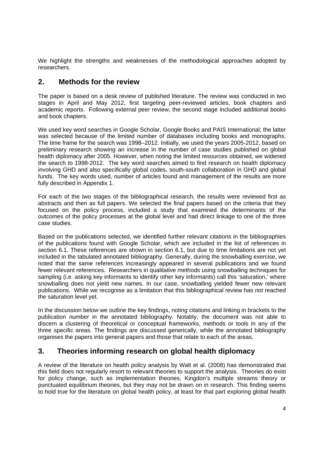We highlight the strengths and weaknesses of the methodological approaches adopted by researchers.

### **2. Methods for the review**

The paper is based on a desk review of published literature. The review was conducted in two stages in April and May 2012, first targeting peer-reviewed articles, book chapters and academic reports. Following external peer review, the second stage included additional books and book chapters.

We used key word searches in Google Scholar, Google Books and PAIS International; the latter was selected because of the limited number of databases including books and monographs. The time frame for the search was 1998–2012. Initially, we used the years 2005-2012, based on preliminary research showing an increase in the number of case studies published on global health diplomacy after 2005. However, when noting the limited resources obtained, we widened the search to 1998-2012. The key word searches aimed to find research on health diplomacy involving GHD and also specifically global codes, south-south collaboration in GHD and global funds. The key words used, number of articles found and management of the results are more fully described in Appendix 1.

For each of the two stages of the bibliographical research, the results were reviewed first as abstracts and then as full papers. We selected the final papers based on the criteria that they focused on the policy process, included a study that examined the determinants of the outcomes of the policy processes at the global level and had direct linkage to one of the three case studies.

Based on the publications selected, we identified further relevant citations in the bibliographies of the publications found with Google Scholar, which are included in the list of references in section 6.1. These references are shown in section 6.1, but due to time limitations are not yet included in the tabulated annotated bibliography. Generally, during the snowballing exercise, we noted that the same references increasingly appeared in several publications and we found fewer relevant references. Researchers in qualitative methods using snowballing techniques for sampling (i.e. asking key informants to identify other key informants) call this 'saturation,' where snowballing does not yield new names. In our case, snowballing yielded fewer new relevant publications. While we recognise as a limitation that this bibliographical review has not reached the saturation level yet.

In the discussion below we outline the key findings, noting citations and linking in brackets to the publication number in the annotated bibliography. Notably, the document was not able to discern a clustering of theoretical or conceptual frameworks, methods or tools in any of the three specific areas. The findings are discussed generically, while the annotated bibliography organises the papers into general papers and those that relate to each of the areas.

# **3. Theories informing research on global health diplomacy**

A review of the literature on health policy analysis by Walt et al. (2008) has demonstrated that this field does not regularly resort to relevant theories to support the analysis. Theories do exist for policy change, such as implementation theories, Kingdon's multiple streams theory or punctuated equilibrium theories, but they may not be drawn on in research. This finding seems to hold true for the literature on global health policy, at least for that part exploring global health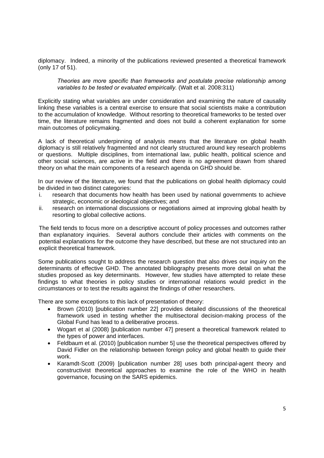diplomacy. Indeed, a minority of the publications reviewed presented a theoretical framework (only 17 of 51).

*Theories are more specific than frameworks and postulate precise relationship among variables to be tested or evaluated empirically.* (Walt et al. 2008:311)

Explicitly stating what variables are under consideration and examining the nature of causality linking these variables is a central exercise to ensure that social scientists make a contribution to the accumulation of knowledge. Without resorting to theoretical frameworks to be tested over time, the literature remains fragmented and does not build a coherent explanation for some main outcomes of policymaking.

A lack of theoretical underpinning of analysis means that the literature on global health diplomacy is still relatively fragmented and not clearly structured around key research problems or questions. Multiple disciplines, from international law, public health, political science and other social sciences, are active in the field and there is no agreement drawn from shared theory on what the main components of a research agenda on GHD should be.

In our review of the literature, we found that the publications on global health diplomacy could be divided in two distinct categories:

- i. research that documents how health has been used by national governments to achieve strategic, economic or ideological objectives; and
- ii. research on international discussions or negotiations aimed at improving global health by resorting to global collective actions.

The field tends to focus more on a descriptive account of policy processes and outcomes rather than explanatory inquiries. Several authors conclude their articles with comments on the potential explanations for the outcome they have described, but these are not structured into an explicit theoretical framework.

Some publications sought to address the research question that also drives our inquiry on the determinants of effective GHD. The annotated bibliography presents more detail on what the studies proposed as key determinants. However, few studies have attempted to relate these findings to what theories in policy studies or international relations would predict in the circumstances or to test the results against the findings of other researchers.

There are some exceptions to this lack of presentation of theory:

- Brown (2010) [publication number 22] provides detailed discussions of the theoretical framework used in testing whether the multisectoral decision-making process of the Global Fund has lead to a deliberative process.
- Wogart et al (2008) [publication number 47] present a theoretical framework related to the types of power and interfaces.
- Feldbaum et al. (2010) [publication number 5] use the theoretical perspectives offered by David Fidler on the relationship between foreign policy and global health to guide their work.
- Karamdt-Scott (2009) [publication number 28] uses both principal-agent theory and constructivist theoretical approaches to examine the role of the WHO in health governance, focusing on the SARS epidemics.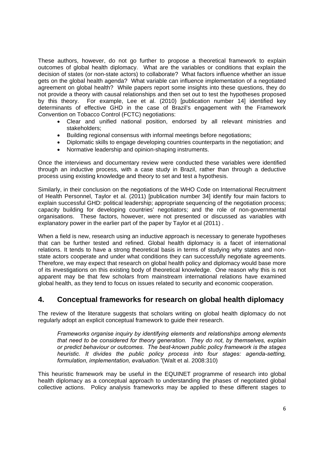These authors, however, do not go further to propose a theoretical framework to explain outcomes of global health diplomacy. What are the variables or conditions that explain the decision of states (or non-state actors) to collaborate? What factors influence whether an issue gets on the global health agenda? What variable can influence implementation of a negotiated agreement on global health? While papers report some insights into these questions, they do not provide a theory with causal relationships and then set out to test the hypotheses proposed by this theory. For example, Lee et al. (2010) [publication number 14] identified key determinants of effective GHD in the case of Brazil's engagement with the Framework Convention on Tobacco Control (FCTC) negotiations:

- Clear and unified national position, endorsed by all relevant ministries and stakeholders;
- Building regional consensus with informal meetings before negotiations;
- Diplomatic skills to engage developing countries counterparts in the negotiation; and
- Normative leadership and opinion-shaping instruments.

Once the interviews and documentary review were conducted these variables were identified through an inductive process, with a case study in Brazil, rather than through a deductive process using existing knowledge and theory to set and test a hypothesis.

Similarly, in their conclusion on the negotiations of the WHO Code on International Recruitment of Health Personnel, Taylor et al. (2011) [publication number 34] identify four main factors to explain successful GHD: political leadership; appropriate sequencing of the negotiation process; capacity building for developing countries' negotiators; and the role of non-governmental organisations. These factors, however, were not presented or discussed as variables with explanatory power in the earlier part of the paper by Taylor et al (2011) .

When a field is new, research using an inductive approach is necessary to generate hypotheses that can be further tested and refined. Global health diplomacy is a facet of international relations. It tends to have a strong theoretical basis in terms of studying why states and nonstate actors cooperate and under what conditions they can successfully negotiate agreements*.*  Therefore, we may expect that research on global health policy and diplomacy would base more of its investigations on this existing body of theoretical knowledge. One reason why this is not apparent may be that few scholars from mainstream international relations have examined global health, as they tend to focus on issues related to security and economic cooperation.

# **4. Conceptual frameworks for research on global health diplomacy**

The review of the literature suggests that scholars writing on global health diplomacy do not regularly adopt an explicit conceptual framework to guide their research.

*Frameworks organise inquiry by identifying elements and relationships among elements that need to be considered for theory generation. They do not, by themselves, explain or predict behaviour or outcomes. The best-known public policy framework is the stages heuristic. It divides the public policy process into four stages: agenda-setting, formulation, implementation, evaluation."*(Walt et al. 2008:310)

This heuristic framework may be useful in the EQUINET programme of research into global health diplomacy as a conceptual approach to understanding the phases of negotiated global collective actions. Policy analysis frameworks may be applied to these different stages to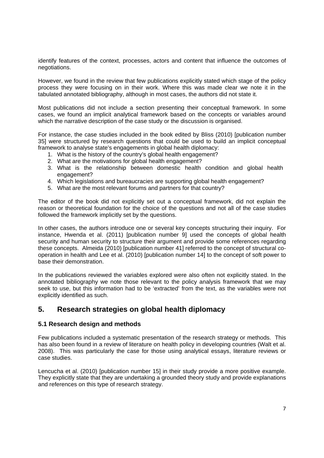identify features of the context, processes, actors and content that influence the outcomes of negotiations.

However, we found in the review that few publications explicitly stated which stage of the policy process they were focusing on in their work. Where this was made clear we note it in the tabulated annotated bibliography, although in most cases, the authors did not state it.

Most publications did not include a section presenting their conceptual framework. In some cases, we found an implicit analytical framework based on the concepts or variables around which the narrative description of the case study or the discussion is organised.

For instance, the case studies included in the book edited by Bliss (2010) [publication number 35] were structured by research questions that could be used to build an implicit conceptual framework to analyse state's engagements in global health diplomacy:

- 1. What is the history of the country's global health engagement?
- 2. What are the motivations for global health engagement?
- 3. What is the relationship between domestic health condition and global health engagement?
- 4. Which legislations and bureaucracies are supporting global health engagement?
- 5. What are the most relevant forums and partners for that country?

The editor of the book did not explicitly set out a conceptual framework, did not explain the reason or theoretical foundation for the choice of the questions and not all of the case studies followed the framework implicitly set by the questions.

In other cases, the authors introduce one or several key concepts structuring their inquiry. For instance, Hwenda et al. (2011) [publication number 9] used the concepts of global health security and human security to structure their argument and provide some references regarding these concepts. Almeida (2010) [publication number 41] referred to the concept of structural cooperation in health and Lee et al. (2010) [publication number 14] to the concept of soft power to base their demonstration.

In the publications reviewed the variables explored were also often not explicitly stated. In the annotated bibliography we note those relevant to the policy analysis framework that we may seek to use, but this information had to be 'extracted' from the text, as the variables were not explicitly identified as such.

### **5. Research strategies on global health diplomacy**

#### **5.1 Research design and methods**

Few publications included a systematic presentation of the research strategy or methods. This has also been found in a review of literature on health policy in developing countries (Walt et al. 2008). This was particularly the case for those using analytical essays, literature reviews or case studies.

Lencucha et al. (2010) [publication number 15] in their study provide a more positive example. They explicitly state that they are undertaking a grounded theory study and provide explanations and references on this type of research strategy.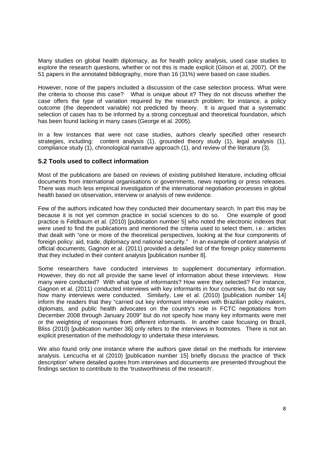Many studies on global health diplomacy, as for health policy analysis, used case studies to explore the research questions, whether or not this is made explicit (Gilson et al, 2007). Of the 51 papers in the annotated bibliography, more than 16 (31%) were based on case studies.

However, none of the papers included a discussion of the case selection process. What were the criteria to choose this case? What is unique about it? They do not discuss whether the case offers the type of variation required by the research problem; for instance, a policy outcome (the dependent variable) not predicted by theory. It is argued that a systematic selection of cases has to be informed by a strong conceptual and theoretical foundation, which has been found lacking in many cases (George et al. 2005).

In a few instances that were not case studies, authors clearly specified other research strategies, including: content analysis (1), grounded theory study (1), legal analysis (1), compliance study (1), chronological narrative approach (1), and review of the literature (3).

#### **5.2 Tools used to collect information**

Most of the publications are based on reviews of existing published literature, including official documents from international organisations or governments, news reporting or press releases. There was much less empirical investigation of the international negotiation processes in global health based on observation, interview or analysis of new evidence.

Few of the authors indicated how they conducted their documentary search. In part this may be because it is not yet common practice in social sciences to do so. One example of good practice is Feldbaum et al. (2010) [publication number 5] who noted the electronic indexes that were used to find the publications and mentioned the criteria used to select them, i.e.: articles that dealt with "one or more of the theoretical perspectives, looking at the four components of foreign policy: aid, trade, diplomacy and national security." In an example of content analysis of official documents, Gagnon et al. (2011) provided a detailed list of the foreign policy statements that they included in their content analysis [publication number 8].

Some researchers have conducted interviews to supplement documentary information. However, they do not all provide the same level of information about these interviews. How many were conducted? With what type of informants? How were they selected? For instance, Gagnon et al. (2011) conducted interviews with key informants in four countries, but do not say how many interviews were conducted. Similarly, Lee et al. (2010) [publication number 14] inform the readers that they "carried out key informant interviews with Brazilian policy makers, diplomats, and public health advocates on the country's role in FCTC negotiations from December 2008 through January 2009" but do not specify how many key informants were met or the weighting of responses from different informants. In another case focusing on Brazil, Bliss (2010) [publication number 36] only refers to the interviews in footnotes. There is not an explicit presentation of the methodology to undertake these interviews.

We also found only one instance where the authors gave detail on the methods for interview analysis. Lencucha et al (2010) [publication number 15] briefly discuss the practice of 'thick description' where detailed quotes from interviews and documents are presented throughout the findings section to contribute to the 'trustworthiness of the research'.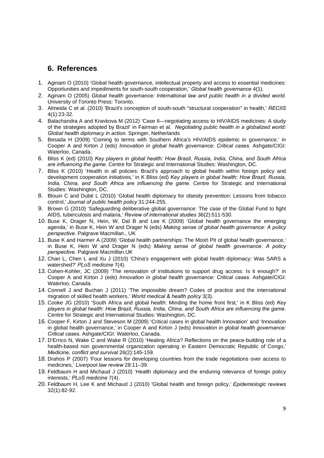## **6. References**

- 1. Aginam O (2010) 'Global health governance, intellectual property and access to essential medicines: Opportunities and impediments for south-south cooperation,' *Global health governance* 4(1).
- 2. Aginam O (2005) *Global health governance: International law and public health in a divided world.*  University of Toronto Press: Toronto.
- 3. Almeida C et al. (2010) 'Brazil's conception of south-south "structural cooperation" in health,' *RECIIS* 4(1):23-32.
- 4. Balachandra A and Kravkova M (2012) 'Case II—negotiating access to HIV/AIDS medicines: A study of the strategies adopted by Brazil' in Fairman et al. *Negotiating public health in a globalized world: Global health diplomacy in action.* Springer, Netherlands
- 5. Besada H (2009) 'Coming to terms with Southern Africa's HIV/AIDS epidemic in governance,' in Cooper A and Kirton J (eds) *Innovation in global health governance: Critical cases.* Ashgate/CIGI: Waterloo, Canada.
- 6. Bliss K (ed) (2010) *Key players in global health: How Brazil, Russia, India, China, and South Africa are influencing the game.* Centre for Strategic and International Studies: Washington, DC.
- 7. Bliss K (2010) 'Health in all policies: Brazil's approach to global health within foreign policy and development cooperation initiatives,' in K Bliss (ed) *Key players in global health: How Brazil, Russia, India, China, and South Africa are influencing the game.* Centre for Strategic and International Studies: Washington, DC.
- 8. Blouin C and Dubé L (2010) 'Global health diplomacy for obesity prevention: Lessons from tobacco control,' *Journal of public health policy* 31:244-255.
- 9. Brown G (2010) 'Safeguarding deliberative global governance: The case of the Global Fund to fight AIDS, tuberculosis and malaria,' *Review of international studies* 36(2):511-530.
- 10. Buse K, Drager N, Hein, W, Dal B and Lee K (2009) 'Global health governance the emerging agenda,' in Buse K, Hein W and Drager N (eds) *Making sense of global health governance: A policy perspective.* Palgrave Macmillan., UK
- 11. Buse K and Harmer A (2009) 'Global health partnerships: The Mosh Pit of global health governance,' in Buse K, Hein W and Drager N (eds) *Making sense of global health governance: A policy perspective.* Palgrave Macmillan.UK
- 12. Chan L, Chen L and Xu J (2010) 'China's engagement with global health diplomacy: Was SARS a watershed?' *PLoS medicine* 7(4).
- 13. Cohen-Kohler, JC (2009) 'The renovation of institutions to support drug access: Is it enough?' in Cooper A and Kirton J (eds) *Innovation in global health governance: Critical cases.* Ashgate/CIGI: Waterloo, Canada.
- 14. Connell J and Buchan J (2011) 'The impossible dream? Codes of practice and the international migration of skilled health workers,' *World medical & health policy* 3(3).
- 15. Cooke JG (2010) 'South Africa and global health: Minding the home front first,' in K Bliss (ed) *Key players in global health: How Brazil, Russia, India, China, and South Africa are influencing the game*. Centre for Strategic and International Studies: Washington, DC.
- 16. Cooper F, Kirton J and Steveson M (2009) 'Critical cases in global health Innovation' and 'Innovation in global health governance,' in Cooper A and Kirton J (eds) *Innovation in global health governance: Critical cases.* Ashgate/CIGI: Waterloo, Canada.
- 17. D'Errico N, Wake C and Wake R (2010) 'Healing Africa? Reflections on the peace-building role of a health-based non governmental crganization operating in Eastern Democratic Republic of Congo,' *Medicine, conflict and survival* 26(2):145-159.
- 18. Drahos P (2007) 'Four lessons for developing countries from the trade negotiations over access to medicines,' *Liverpool law review* 28:11–39.
- 19. Feldbaum H and Michaud J (2010) 'Health diplomacy and the enduring relevance of foreign policy interests,' *PLoS medicine* 7(4).
- 20. Feldbaum H, Lee K and Michaud J (2010) 'Global health and foreign policy,' *Epidemiologic reviews* 32(1):82-92.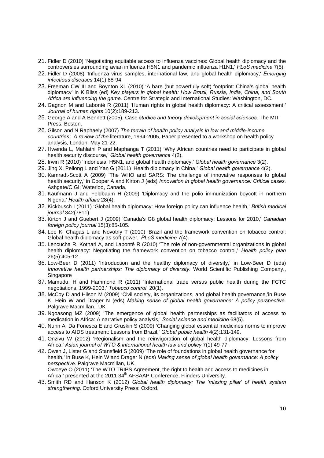- 21. Fidler D (2010) 'Negotiating equitable access to influenza vaccines: Global health diplomacy and the controversies surrounding avian influenza H5N1 and pandemic influenza H1N1,' *PLoS medicine* 7(5).
- 22. Fidler D (2008) 'Influenza virus samples, international law, and global health diplomacy,' *Emerging infectious diseases* 14(1):88-94.
- 23. Freeman CW III and Boynton XL (2010) 'A bare (but powerfully soft) footprint: China's global health diplomacy' in K Bliss (ed) *Key players in global health: How Brazil, Russia, India, China, and South Africa are influencing the game.* Centre for Strategic and International Studies: Washington, DC.
- 24. Gagnon M and Labonté R (2011) 'Human rights in global health diplomacy: A critical assessment,' *Journal of human rights* 10(2):189-213.
- 25. George A and A Bennett (2005), Case *studies and theory development in social sciences*. The MIT Press: Boston.
- 26. Gilson and N Raphaely (2007) *The terrain of health policy analysis in low and middle-income countries: A review of the* literature, 1994-2005, Paper presented to a workshop on health policy analysis, London, May 21-22.
- 27. Hwenda L, Mahlathi P and Maphanga T (2011) 'Why African countries need to participate in global health security discourse,' *Global health governance* 4(2).
- 28. Irwin R (2010) 'Indonesia, H5N1, and global health diplomacy,' *Global health governance* 3(2).
- 29. Jing X, Peilong L and Yan G (2011) 'Health diplomacy in China,' *Global health governance* 4(2).
- 30. Kamradt-Scott A (2009) 'The WHO and SARS: The challenge of innovative responses to global health security,' in Cooper A and Kirton J (eds) *Innovation in global health governance: Critical cases.* Ashgate/CIGI: Waterloo, Canada.
- 31. Kaufmann J and Feldbaum H (2009) 'Diplomacy and the polio immunization boycott in northern Nigeria,' *Health affairs* 28(4).
- 32. Kickbusch I (2011) 'Global health diplomacy: How foreign policy can influence health,' *British medical journal* 342(7811).
- 33. Kirton J and Guebert J (2009) 'Canada's G8 global health diplomacy: Lessons for 2010,' *Canadian foreign policy journal* 15(3):85-105.
- 34. Lee K, Chagas L and Novotny T (2010) 'Brazil and the framework convention on tobacco control: Global health diplomacy as soft power,' *PLoS medicine* 7(4).
- 35. Lencucha R, Kothari A, and Labonté R (2010) 'The role of non-governmental organizations in global health diplomacy: Negotiating the framework convention on tobacco control,' *Health policy plan* 26(5):405-12.
- 36. Low-Beer D (2011) 'Introduction and the healthy diplomacy of diversity,' in Low-Beer D (eds) *Innovative health partnerships: The diplomacy of diversity*. World Scientific Publishing Company., Singapore
- 37. Mamudu, H and Hammond R (2011) 'International trade versus public health during the FCTC negotiations, 1999-2003,' *Tobacco control* 20(1).
- 38. McCoy D and Hilson M (2009) 'Civil society, its organizations, and global health governance,'in Buse K, Hein W and Drager N (eds) *Making sense of global health governance: A policy perspective.* Palgrave Macmillan., UK
- 39. Ngoasong MZ (2009) 'The emergence of global health partnerships as facilitators of access to medication in Africa: A narrative policy analysis,' *Social science and medicine* 68(5).
- 40. Nunn A, Da Fonesca E and Gruskin S (2009) 'Changing global essential medicines norms to improve access to AIDS treatment: Lessons from Brazil,' *Global public health* 4(2):131-149.
- 41. Onzivu W (2012) 'Regionalism and the reinvigoration of global health diplomacy: Lessons from Africa,' *Asian journal of WTO & international health law and policy* 7(1):49-77.
- 42. Owen J, Lister G and Stansfield S (2009) 'The role of foundations in global health governance for health,' in Buse K, Hein W and Drager N (eds) *Making sense of global health governance: A policy perspective.* Palgrave Macmillan, UK. Owoeye O (2011) 'The WTO TRIPS Agreement, the right to health and access to medicines in

Africa,' presented at the 2011 34<sup>th</sup> AFSAAP Conference, Flinders University.

43. Smith RD and Hanson K (2012) *Global health diplomacy: The 'missing pillar' of health system strengthening.* Oxford University Press: Oxford.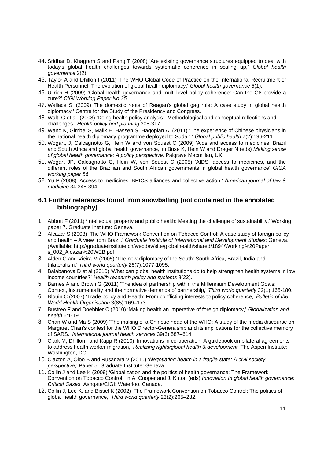- 44. Sridhar D, Khagram S and Pang T (2008) 'Are existing governance structures equipped to deal with today's global health challenges towards systematic coherence in scaling up,' *Global health governance* 2(2).
- 45. Taylor A and Dhillon I (2011) 'The WHO Global Code of Practice on the International Recruitment of Health Personnel: The evolution of global health diplomacy,' *Global health governance* 5(1).
- 46. Ullrich H (2009) 'Global health governance and multi-level policy coherence: Can the G8 provide a cure?' *CIGI Working Paper No 35.*
- 47. Wallace S '(2009) The domestic roots of Reagan's global gag rule: A case study in global health diplomacy,' Centre for the Study of the Presidency and Congress.
- 48. Walt. G et al. (2008) 'Doing health policy analysis: Methodological and conceptual reflections and challenges,' *Health policy and planning* 308-317.
- 49. Wang K, Gimbel S, Malik E, Hassen S, Hagopian A. (2011) 'The experience of Chinese physicians in the national health diplomacy programme deployed to Sudan,' *Global public health* 7(2):196-211.
- 50. Wogart, J, Calcagnotto G, Hein W and von Souest C (2009) 'Aids and access to medicines: Brazil and South Africa and global health governance,' in Buse K, Hein W and Drager N (eds) *Making sense of global health governance: A policy perspective.* Palgrave Macmillan, UK.
- 51. Wogart JP, Calcagnotto G, Hein W, von Souest C (2008) 'AIDS, access to medicines, and the different roles of the Brazilian and South African governments in global health governance' *GIGA working paper 86.*
- 52. Yu P (2008) 'Access to medicines, BRICS alliances and collective action,' *American journal of law & medicine* 34:345-394.

#### **6.1 Further references found from snowballing (not contained in the annotated bibliography)**

- 1. Abbott F (2011) **'**Intellectual property and public health: Meeting the challenge of sustainability,' Working paper 7. Graduate Institute: Geneva.
- 2. Alcazar S (2008) 'The WHO Framework Convention on Tobacco Control: A case study of foreign policy and health – A view from Brazil.' *Graduate Institute of International and Development Studies*: Geneva. (Available: http://graduateinstitute.ch/webdav/site/globalhealth/shared/1894/Working%20Paper s\_002\_Alcazar%20WEB.pdf
- 3. Alden C and Vieira M (2005) 'The new diplomacy of the South: South Africa, Brazil, India and trilateralism,' *Third world quarterly* 26(7):1077-1095.
- 4. Balabanova D et al (2010) 'What can global health institutions do to help strengthen health systems in low income countries?' *Health research policy and systems* 8(22).
- 5. Barnes A and Brown G (2011) 'The idea of partnership within the Millennium Development Goals: Context, instrumentality and the normative demands of partnership,' *Third world quarterly* 32(1):165-180.
- 6. Blouin C (2007) 'Trade policy and Health: From conflicting interests to policy coherence,' *Bulletin of the World Health Organisation* 3(85):169–173.
- 7. Bustreo F and Doebbler C (2010) 'Making health an imperative of foreign diplomacy,' *Globalization and health* 6:1-19.
- 8. Chan W and Ma S (2009) 'The making of a Chinese head of the WHO: A study of the media discourse on Margaret Chan's contest for the WHO Director-Generalship and its implications for the collective memory of SARS.' *International journal health services* 39(3):587–614.
- 9. Clark M, Dhillon I and Kapp R (2010) 'Innovations in co-operation: A guidebook on bilateral agreements to address health worker migration,' *Realizing rights/global health & development*. The Aspen Institute: Washington, DC.
- 10. Claxton A, Oloo B and Rusagara V (2010) '*Negotiating health in a fragile state: A civil society perspective*,' Paper 5. Graduate Institute: Geneva.
- 11. Collin J and Lee K (2009) 'Globalization and the politics of health governance: The Framework Convention on Tobacco Control,' in A. Cooper and J. Kirton (eds) *Innovation In global health governance: Critical Cases*. Ashgate/CIGI: Waterloo, Canada.
- 12. Collin J, Lee K. and Bissel K (2002) 'The Framework Convention on Tobacco Control: The politics of global health governance,' *Third world quarterly* 23(2):265–282.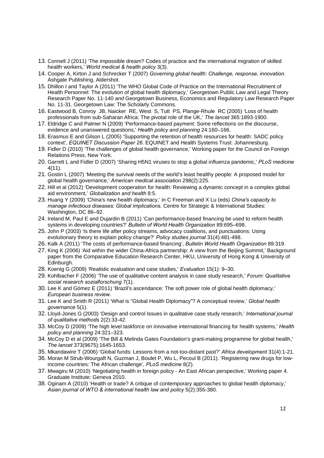- 13. Connell J (2011) 'The impossible dream? Codes of practice and the international migration of skilled health workers,' *World medical & health policy* 3(3).
- 14. Cooper A, Kirton J and Schrecker T (2007) *Governing global health: Challenge, response, innovation.* Ashgate Publishing, Aldershot.
- 15. Dhillon I and Taylor A (2011) 'The WHO Global Code of Practice on the International Recruitment of Health Personnel: The evolution of global health diplomacy,' Georgetown Public Law and Legal Theory Research Paper No. 11-140 *and* Georgetown Business, Economics and Regulatory Law Research Paper No. 11-31. Georgetown Law: The Scholarly Commons.
- 16. Eastwood B, Conroy JB, Naicker RE, West S, Tutt PS, Plange-Rhule RC (2005) 'Loss of health professionals from sub-Saharan Africa: The pivotal role of the UK,' *The lancet* 365:1893-1900.
- 17. Eldridge C and Palmer N (2009) 'Performance-based payment: Some reflections on the discourse, evidence and unanswered questions,' *Health policy and planning* 24:160–166.
- 18. Erasmus E and Gilson L (2005) 'Supporting the retention of health resources for health: SADC policy context', *EQUINET Discussion Paper 26*. EQUINET and Health Systems Trust: Johannesburg.
- 19. Fidler D (2010) 'The challenges of global health governance,' Working paper for the Council on Foreign Relations Press, New York.
- 20. Garrett L and Fidler D (2007) 'Sharing H5N1 viruses to stop a global influenza pandemic,' *PLoS medicine*  4(11).
- 21. Gostin L (2007) 'Meeting the survival needs of the world's least healthy people: A proposed model for global health governance,' *American medical association* 298(2):225.
- 22. Hill et al (2012) 'Development cooperation for health: Reviewing a dynamic concept in a complex global aid environment,' *Globalization and health* 8:5.
- 23. Huang Y (2009) 'China's new health diplomacy,' in C Freeman and X Lu (eds) *China's capacity to manage infectious diseases: Global implications.* Centre for Strategic & International Studies: Washington, DC 86–92.
- 24. Ireland M, Paul E and Dujardin B (2011) 'Can performance-based financing be used to reform health systems in developing countries?' *Bulletin of World Health Organization* 89:695–698.
- 25. John P (2003) 'Is there life after policy streams, advocacy coalitions, and punctuations: Using evolutionary theory to explain policy change?' *Policy studies journal* 31(4):481-498.
- 26. Kalk A (2011) 'The costs of performance-based financing', *Bulletin World Health Organization* 89:319.
- 27. King K (2006) 'Aid within the wider China-Africa partnership: A view from the Beijing Summit,' Background paper from the Comparative Education Research Center, HKU, University of Hong Kong & University of Edinburgh.
- 28. Koenig G (2009) 'Realistic evaluation and case studies,' *Evaluation* 15(1): 9–30.
- 29. Kohlbacher F (2006) 'The use of qualitative content analysis in case study research,' *Forum: Qualitative social research sozialforschung* 7(1).
- 30. Lee K and Gómez E (2011) 'Brazil's ascendance: The soft power role of global health diplomacy,' *European business review*.
- 31. Lee K and Smith R (2011) 'What is "Global Health Diplomacy"? A conceptual review,' *Global health governance* 5(1).
- 32. Lloyd-Jones G (2003) 'Design and control Issues in qualitative case study research,' *International journal of qualitative methods* 2(2):33-42.
- 33. McCoy D (2009) 'The high level taskforce on innovative international financing for health systems,' *Health policy and planning* 24:321–323.
- 34. McCoy D et al (2009) 'The Bill & Melinda Gates Foundation's grant-making programme for global health,' *The lancet* 373(9675):1645-1653.
- 35. Mkandawire T (2006) 'Global funds: Lessons from a not-too-distant past?' *Africa development* 31(4):1-21.
- 36. Moran M Strub-Wourgaft N, Guzman J, Boulet P, Wu L, Pecoul B (2011). 'Registering new drugs for lowincome countries: The African challenge', *PLoS medicine* 8(2).
- 37. Mwagiru M (2010) 'Negotiating health in foreign policy An East African perspective,' Working paper 4. Graduate Institute: Geneva 2010.
- 38. Oginam A (2010) 'Health or trade? A critique of contemporary approaches to global health diplomacy,' *Asian journal of WTO & international health law and policy* 5(2):355-380.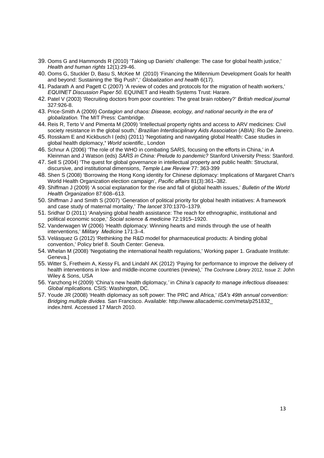- 39. Ooms G and Hammonds R (2010) 'Taking up Daniels' challenge: The case for global health justice,' *Health and human rights* 12(1):29-46.
- 40. Ooms G, Stuckler D, Basu S, McKee M (2010) 'Financing the Millennium Development Goals for health and beyond: Sustaining the 'Big Push'',' *Globalization and health* 6(17).
- 41. Padarath A and Pagett C (2007) 'A review of codes and protocols for the migration of health workers,' *EQUINET Discussion Paper 50*. EQUINET and Health Systems Trust: Harare.
- 42. Patel V (2003) 'Recruiting doctors from poor countries: The great brain robbery?' *British medical journal* 327:926-8.
- 43. Price-Smith A (2009) *Contagion and chaos: Disease, ecology, and national security in the era of globalization.* The MIT Press: Cambridge.
- 44. Reis R, Terto V and Pimenta M (2009) 'Intellectual property rights and access to ARV medicines: Civil society resistance in the global south,' *Brazilian Interdisciplinary Aids Association* (ABIA): Rio De Janeiro.
- 45. Rosskam E and Kickbusch I (eds) (2011) 'Negotiating and navigating global Health: Case studies in global health diplomacy,**'** *World scientific.,* London
- 46. Schnur A (2006) 'The role of the WHO in combating SARS, focusing on the efforts in China,' in A Kleinman and J Watson (eds) *SARS in China: Prelude to pandemic?* Stanford University Press: Stanford.
- 47. Sell S (2004) 'The quest for global governance in intellectual property and public health: Structural, discursive, and institutional dimensions, *Temple Law Review* 77: 363-399
- 48. Shen S (2008) 'Borrowing the Hong Kong identity for Chinese diplomacy: Implications of Margaret Chan's World Health Organization election campaign', *Pacific affairs* 81(3):361–382.
- 49. Shiffman J (2009) 'A social explanation for the rise and fall of global health issues,' *Bulletin of the World Health Organization* 87:608–613.
- 50. Shiffman J and Smith S (2007) 'Generation of political priority for global health initiatives: A framework and case study of maternal mortality,' *The lancet* 370:1370–1379.
- 51. Sridhar D (2011) 'Analysing global health assistance: The reach for ethnographic, institutional and political economic scope,' *Social science & medicine* 72:1915–1920.
- 52. Vanderwagen W (2006) 'Health diplomacy: Winning hearts and minds through the use of health interventions,' *Military Medicine* 171:3–4.
- 53. Velásquez G (2012) 'Rethinking the R&D model for pharmaceutical products: A binding global convention,' Policy brief 8. South Center: Geneva.
- 54. Whelan M (2008) 'Negotiating the international health regulations,' Working paper 1. Graduate Institute: Geneva.]
- 55. Witter S, Fretheim A, Kessy FL and Lindahl AK (2012) 'Paying for performance to improve the delivery of health interventions in low- and middle-income countries (review),' *The Cochrane Library* 2012, Issue 2: John Wiley & Sons, USA
- 56. Yanzhong H (2009) 'China's new health diplomacy*,'* in *China's capacity to manage infectious diseases: Global mplications.* CSIS: Washington, DC.
- 57. Youde JR (2008) 'Health diplomacy as soft power: The PRC and Africa,' *ISA's 49th annual convention: Bridging multiple divides.* San Francisco. Available: http://www.allacademic.com/meta/p251832\_ index.html. Accessed 17 March 2010.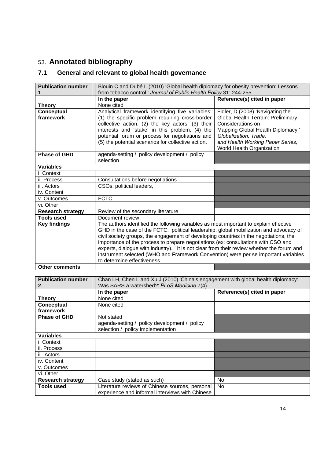# 53. **Annotated bibliography**

# **7.1 General and relevant to global health governance**

| <b>Publication number</b> | Blouin C and Dubé L (2010) 'Global health diplomacy for obesity prevention: Lessons                                                                                                                                                                                                                                                                                                                                                                                                                                                                                             |                                                                                                                                                                                                                            |  |
|---------------------------|---------------------------------------------------------------------------------------------------------------------------------------------------------------------------------------------------------------------------------------------------------------------------------------------------------------------------------------------------------------------------------------------------------------------------------------------------------------------------------------------------------------------------------------------------------------------------------|----------------------------------------------------------------------------------------------------------------------------------------------------------------------------------------------------------------------------|--|
|                           | from tobacco control,' Journal of Public Health Policy 31: 244-255.                                                                                                                                                                                                                                                                                                                                                                                                                                                                                                             |                                                                                                                                                                                                                            |  |
|                           | In the paper                                                                                                                                                                                                                                                                                                                                                                                                                                                                                                                                                                    | Reference(s) cited in paper                                                                                                                                                                                                |  |
| <b>Theory</b>             | None cited                                                                                                                                                                                                                                                                                                                                                                                                                                                                                                                                                                      |                                                                                                                                                                                                                            |  |
| Conceptual<br>framework   | Analytical framework identifying five variables:<br>(1) the specific problem requiring cross-border<br>collective action, (2) the key actors, (3) their<br>interests and 'stake' in this problem, (4) the<br>potential forum or process for negotiations and<br>(5) the potential scenarios for collective action.                                                                                                                                                                                                                                                              | Fidler, D (2008) 'Navigating the<br>Global Health Terrain: Preliminary<br>Considerations on<br>Mapping Global Health Diplomacy,'<br>Globalization, Trade,<br>and Health Working Paper Series,<br>World Health Organization |  |
| <b>Phase of GHD</b>       | agenda-setting / policy development / policy<br>selection                                                                                                                                                                                                                                                                                                                                                                                                                                                                                                                       |                                                                                                                                                                                                                            |  |
| <b>Variables</b>          |                                                                                                                                                                                                                                                                                                                                                                                                                                                                                                                                                                                 |                                                                                                                                                                                                                            |  |
| i. Context                |                                                                                                                                                                                                                                                                                                                                                                                                                                                                                                                                                                                 |                                                                                                                                                                                                                            |  |
| ii. Process               | Consultations before negotiations                                                                                                                                                                                                                                                                                                                                                                                                                                                                                                                                               |                                                                                                                                                                                                                            |  |
| iii. Actors               | CSOs, political leaders,                                                                                                                                                                                                                                                                                                                                                                                                                                                                                                                                                        |                                                                                                                                                                                                                            |  |
| iv. Content               |                                                                                                                                                                                                                                                                                                                                                                                                                                                                                                                                                                                 |                                                                                                                                                                                                                            |  |
| v. Outcomes               | <b>FCTC</b>                                                                                                                                                                                                                                                                                                                                                                                                                                                                                                                                                                     |                                                                                                                                                                                                                            |  |
| vi. Other                 |                                                                                                                                                                                                                                                                                                                                                                                                                                                                                                                                                                                 |                                                                                                                                                                                                                            |  |
| <b>Research strategy</b>  | Review of the secondary literature                                                                                                                                                                                                                                                                                                                                                                                                                                                                                                                                              |                                                                                                                                                                                                                            |  |
| <b>Tools used</b>         | Document review                                                                                                                                                                                                                                                                                                                                                                                                                                                                                                                                                                 |                                                                                                                                                                                                                            |  |
| <b>Key findings</b>       | The authors identified the following variables as most important to explain effective<br>GHD in the case of the FCTC: political leadership, global mobilization and advocacy of<br>civil society groups, the engagement of developing countries in the negotiations, the<br>importance of the process to prepare negotiations (ex: consultations with CSO and<br>experts, dialogue with industry). It is not clear from their review whether the forum and<br>instrument selected (WHO and Framework Convention) were per se important variables<br>to determine effectiveness. |                                                                                                                                                                                                                            |  |
| <b>Other comments</b>     |                                                                                                                                                                                                                                                                                                                                                                                                                                                                                                                                                                                 |                                                                                                                                                                                                                            |  |

| <b>Publication number</b> | Chan LH, Chen L and Xu J (2010) 'China's engagement with global health diplomacy: |                             |
|---------------------------|-----------------------------------------------------------------------------------|-----------------------------|
| 2                         | Was SARS a watershed?' PLoS Medicine 7(4).                                        |                             |
|                           | In the paper                                                                      | Reference(s) cited in paper |
| Theory                    | None cited                                                                        |                             |
| Conceptual                | None cited                                                                        |                             |
| framework                 |                                                                                   |                             |
| <b>Phase of GHD</b>       | Not stated                                                                        |                             |
|                           | agenda-setting / policy development / policy                                      |                             |
|                           | selection / policy implementation                                                 |                             |
| <b>Variables</b>          |                                                                                   |                             |
| i. Context                |                                                                                   |                             |
| ii. Process               |                                                                                   |                             |
| iii. Actors               |                                                                                   |                             |
| iv. Content               |                                                                                   |                             |
| v. Outcomes               |                                                                                   |                             |
| vi. Other                 |                                                                                   |                             |
| <b>Research strategy</b>  | Case study (stated as such)                                                       | No                          |
| <b>Tools used</b>         | Literature reviews of Chinese sources, personal                                   | No                          |
|                           | experience and informal interviews with Chinese                                   |                             |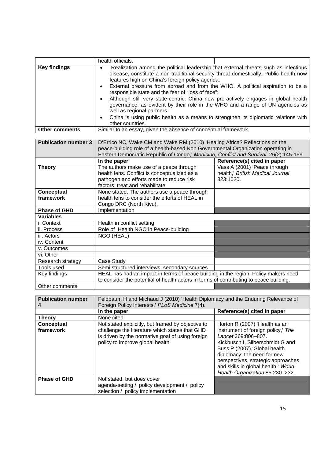|                             | health officials.                                                                                                                                                                                                                                                                                                                                                                                                                                                                                                                                                                                                                                                                                                             |                                                                               |  |
|-----------------------------|-------------------------------------------------------------------------------------------------------------------------------------------------------------------------------------------------------------------------------------------------------------------------------------------------------------------------------------------------------------------------------------------------------------------------------------------------------------------------------------------------------------------------------------------------------------------------------------------------------------------------------------------------------------------------------------------------------------------------------|-------------------------------------------------------------------------------|--|
| <b>Key findings</b>         | Realization among the political leadership that external threats such as infectious<br>$\bullet$<br>disease, constitute a non-traditional security threat domestically. Public health now<br>features high on China's foreign policy agenda;<br>External pressure from abroad and from the WHO. A political aspiration to be a<br>$\bullet$<br>responsible state and the fear of "loss of face";<br>Although still very state-centric, China now pro-actively engages in global health<br>$\bullet$<br>governance, as evident by their role in the WHO and a range of UN agencies as<br>well as regional partners.<br>China is using public health as a means to strengthen its diplomatic relations with<br>other countries. |                                                                               |  |
| <b>Other comments</b>       | Similar to an essay, given the absence of conceptual framework                                                                                                                                                                                                                                                                                                                                                                                                                                                                                                                                                                                                                                                                |                                                                               |  |
| <b>Publication number 3</b> | D'Errico NC, Wake CM and Wake RM (2010) 'Healing Africa? Reflections on the<br>peace-building role of a health-based Non Governmental Organization operating in<br>Eastern Democratic Republic of Congo,' Medicine, Conflict and Survival 26(2):145-159                                                                                                                                                                                                                                                                                                                                                                                                                                                                       |                                                                               |  |
|                             | In the paper                                                                                                                                                                                                                                                                                                                                                                                                                                                                                                                                                                                                                                                                                                                  | Reference(s) cited in paper                                                   |  |
| <b>Theory</b>               | The authors make use of a peace through<br>health lens. Conflict is conceptualized as a<br>pathogen and efforts made to reduce risk<br>factors, treat and rehabilitate                                                                                                                                                                                                                                                                                                                                                                                                                                                                                                                                                        | Vass A (2001) 'Peace through<br>health,' British Medical Journal<br>323:1020. |  |
| Conceptual<br>framework     | None stated. The authors use a peace through<br>health lens to consider the efforts of HEAL in<br>Congo DRC (North Kivu).                                                                                                                                                                                                                                                                                                                                                                                                                                                                                                                                                                                                     |                                                                               |  |
| Phase of GHD                | Implementation                                                                                                                                                                                                                                                                                                                                                                                                                                                                                                                                                                                                                                                                                                                |                                                                               |  |
| <b>Variables</b>            |                                                                                                                                                                                                                                                                                                                                                                                                                                                                                                                                                                                                                                                                                                                               |                                                                               |  |
| i. Context                  | Health in conflict setting                                                                                                                                                                                                                                                                                                                                                                                                                                                                                                                                                                                                                                                                                                    |                                                                               |  |
| ii. Process                 | Role of Health NGO in Peace-building                                                                                                                                                                                                                                                                                                                                                                                                                                                                                                                                                                                                                                                                                          |                                                                               |  |
| iii. Actors<br>iv. Content  | NGO (HEAL)                                                                                                                                                                                                                                                                                                                                                                                                                                                                                                                                                                                                                                                                                                                    |                                                                               |  |
| v. Outcomes                 |                                                                                                                                                                                                                                                                                                                                                                                                                                                                                                                                                                                                                                                                                                                               |                                                                               |  |
| vi. Other                   |                                                                                                                                                                                                                                                                                                                                                                                                                                                                                                                                                                                                                                                                                                                               |                                                                               |  |
| Research strategy           | Case Study                                                                                                                                                                                                                                                                                                                                                                                                                                                                                                                                                                                                                                                                                                                    |                                                                               |  |
| Tools used                  | Semi structured interviews, secondary sources                                                                                                                                                                                                                                                                                                                                                                                                                                                                                                                                                                                                                                                                                 |                                                                               |  |
| Key findings                | HEAL has had an impact in terms of peace building in the region. Policy makers need<br>to consider the potential of health actors in terms of contributing to peace building.                                                                                                                                                                                                                                                                                                                                                                                                                                                                                                                                                 |                                                                               |  |
| Other comments              |                                                                                                                                                                                                                                                                                                                                                                                                                                                                                                                                                                                                                                                                                                                               |                                                                               |  |

| <b>Publication number</b> | Feldbaum H and Michaud J (2010) 'Health Diplomacy and the Enduring Relevance of<br>Foreign Policy Interests,' PLoS Medicine 7(4).                                                          |                                                                                                                                                                                                                                                                                                               |
|---------------------------|--------------------------------------------------------------------------------------------------------------------------------------------------------------------------------------------|---------------------------------------------------------------------------------------------------------------------------------------------------------------------------------------------------------------------------------------------------------------------------------------------------------------|
|                           | In the paper                                                                                                                                                                               | Reference(s) cited in paper                                                                                                                                                                                                                                                                                   |
| <b>Theory</b>             | None cited                                                                                                                                                                                 |                                                                                                                                                                                                                                                                                                               |
| Conceptual<br>framework   | Not stated explicitly, but framed by objective to<br>challenge the literature which states that GHD<br>is driven by the normative goal of using foreign<br>policy to improve global health | Horton R (2007) 'Health as an<br>instrument of foreign policy,' The<br>Lancet 369:806-807.<br>Kickbusch I, Silberschmidt G and<br>Buss P (2007) 'Global health<br>diplomacy: the need for new<br>perspectives, strategic approaches<br>and skills in global health,' World<br>Health Organization 85:230-232. |
| <b>Phase of GHD</b>       | Not stated, but does cover<br>agenda-setting / policy development / policy<br>selection / policy implementation                                                                            |                                                                                                                                                                                                                                                                                                               |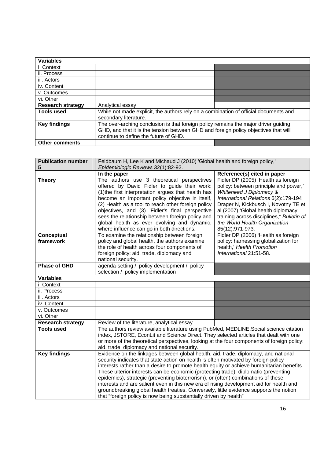| <b>Variables</b>         |                                                                                      |  |
|--------------------------|--------------------------------------------------------------------------------------|--|
| i. Context               |                                                                                      |  |
| ii. Process              |                                                                                      |  |
| iii. Actors              |                                                                                      |  |
| iv. Content              |                                                                                      |  |
| v. Outcomes              |                                                                                      |  |
| vi. Other                |                                                                                      |  |
| <b>Research strategy</b> | Analytical essay                                                                     |  |
| <b>Tools used</b>        | While not made explicit, the authors rely on a combination of official documents and |  |
|                          | secondary literature.                                                                |  |
| <b>Key findings</b>      | The over-arching conclusion is that foreign policy remains the major driver guiding  |  |
|                          | GHD, and that it is the tension between GHD and foreign policy objectives that will  |  |
|                          | continue to define the future of GHD.                                                |  |
| <b>Other comments</b>    |                                                                                      |  |

| <b>Publication number</b> | Feldbaum H, Lee K and Michaud J (2010) 'Global health and foreign policy,'                                                                                                                                                                                                                                                                                                                                                                                                                                                                                                                                                                                                                                    |                                                                                                                                                                                                                                                                                                                                 |
|---------------------------|---------------------------------------------------------------------------------------------------------------------------------------------------------------------------------------------------------------------------------------------------------------------------------------------------------------------------------------------------------------------------------------------------------------------------------------------------------------------------------------------------------------------------------------------------------------------------------------------------------------------------------------------------------------------------------------------------------------|---------------------------------------------------------------------------------------------------------------------------------------------------------------------------------------------------------------------------------------------------------------------------------------------------------------------------------|
| 5                         | Epidemiologic Reviews 32(1):82-92.                                                                                                                                                                                                                                                                                                                                                                                                                                                                                                                                                                                                                                                                            |                                                                                                                                                                                                                                                                                                                                 |
|                           | In the paper                                                                                                                                                                                                                                                                                                                                                                                                                                                                                                                                                                                                                                                                                                  | Reference(s) cited in paper                                                                                                                                                                                                                                                                                                     |
| <b>Theory</b>             | The authors use 3 theoretical perspectives<br>offered by David Fidler to guide their work:<br>(1) the first interpretation argues that health has<br>become an important policy objective in itself,<br>(2) Health as a tool to reach other foreign policy<br>objectives, and (3) 'Fidler's final perspective<br>sees the relationship between foreign policy and<br>global health as ever evolving and dynamic,<br>where influence can go in both directions.                                                                                                                                                                                                                                                | Fidler DP (2005) 'Health as foreign<br>policy: between principle and power,'<br>Whitehead J Diplomacy &<br>International Relations 6(2):179-194<br>Drager N, Kickbusch I, Novotny TE et<br>al (2007) 'Global health diplomacy:<br>training across disciplines," Bulletin of<br>the World Health Organization<br>85(12):971-973. |
| Conceptual<br>framework   | To examine the relationship between foreign<br>policy and global health, the authors examine<br>the role of health across four components of<br>foreign policy: aid, trade, diplomacy and<br>national security.                                                                                                                                                                                                                                                                                                                                                                                                                                                                                               | Fidler DP (2006) 'Health as foreign<br>policy: harnessing globalization for<br>health,' Health Promotion<br>International 21:51-58.                                                                                                                                                                                             |
| <b>Phase of GHD</b>       | agenda-setting / policy development / policy<br>selection / policy implementation                                                                                                                                                                                                                                                                                                                                                                                                                                                                                                                                                                                                                             |                                                                                                                                                                                                                                                                                                                                 |
| <b>Variables</b>          |                                                                                                                                                                                                                                                                                                                                                                                                                                                                                                                                                                                                                                                                                                               |                                                                                                                                                                                                                                                                                                                                 |
| i. Context                |                                                                                                                                                                                                                                                                                                                                                                                                                                                                                                                                                                                                                                                                                                               |                                                                                                                                                                                                                                                                                                                                 |
| ii. Process               |                                                                                                                                                                                                                                                                                                                                                                                                                                                                                                                                                                                                                                                                                                               |                                                                                                                                                                                                                                                                                                                                 |
| iii. Actors               |                                                                                                                                                                                                                                                                                                                                                                                                                                                                                                                                                                                                                                                                                                               |                                                                                                                                                                                                                                                                                                                                 |
| iv. Content               |                                                                                                                                                                                                                                                                                                                                                                                                                                                                                                                                                                                                                                                                                                               |                                                                                                                                                                                                                                                                                                                                 |
| v. Outcomes               |                                                                                                                                                                                                                                                                                                                                                                                                                                                                                                                                                                                                                                                                                                               |                                                                                                                                                                                                                                                                                                                                 |
| vi. Other                 |                                                                                                                                                                                                                                                                                                                                                                                                                                                                                                                                                                                                                                                                                                               |                                                                                                                                                                                                                                                                                                                                 |
| <b>Research strategy</b>  | Review of the literature, analytical essay                                                                                                                                                                                                                                                                                                                                                                                                                                                                                                                                                                                                                                                                    |                                                                                                                                                                                                                                                                                                                                 |
| <b>Tools used</b>         | The authors review available literature using PubMed, MEDLINE, Social science citation<br>index, JSTORE, EconLit and Science Direct. They selected articles that dealt with one<br>or more of the theoretical perspectives, looking at the four components of foreign policy:<br>aid, trade, diplomacy and national security.                                                                                                                                                                                                                                                                                                                                                                                 |                                                                                                                                                                                                                                                                                                                                 |
| <b>Key findings</b>       | Evidence on the linkages between global health, aid, trade, diplomacy, and national<br>security indicates that state action on health is often motivated by foreign-policy<br>interests rather than a desire to promote health equity or achieve humanitarian benefits.<br>These ulterior interests can be economic (protecting trade), diplomatic (preventing<br>epidemics), strategic (preventing bioterrorism), or (often) combinations of these<br>interests and are salient even in this new era of rising development aid for health and<br>groundbreaking global health treaties. Conversely, little evidence supports the notion<br>that "foreign policy is now being substantially driven by health" |                                                                                                                                                                                                                                                                                                                                 |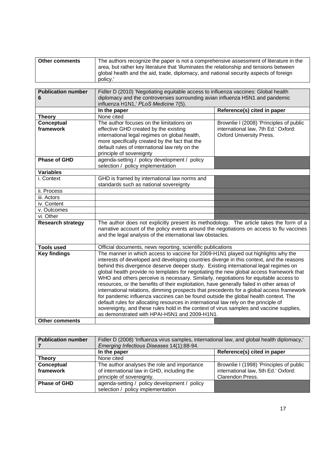| <b>Other comments</b> | The authors recognize the paper is not a comprehensive assessment of literature in the  |
|-----------------------|-----------------------------------------------------------------------------------------|
|                       | area, but rather key literature that 'illuminates the relationship and tensions between |
|                       | global health and the aid, trade, diplomacy, and national security aspects of foreign   |
|                       | policy.                                                                                 |

| <b>Publication number</b>                                  | Fidler D (2010) 'Negotiating equitable access to influenza vaccines: Global health                                                                                              |                                         |  |
|------------------------------------------------------------|---------------------------------------------------------------------------------------------------------------------------------------------------------------------------------|-----------------------------------------|--|
| 6                                                          | diplomacy and the controversies surrounding avian influenza H5N1 and pandemic                                                                                                   |                                         |  |
|                                                            | influenza H1N1,' PLoS Medicine 7(5).                                                                                                                                            |                                         |  |
|                                                            | In the paper                                                                                                                                                                    | Reference(s) cited in paper             |  |
| <b>Theory</b>                                              | None cited                                                                                                                                                                      |                                         |  |
| Conceptual                                                 | The author focuses on the limitations on                                                                                                                                        | Brownlie I (2008) 'Principles of public |  |
| framework                                                  | effective GHD created by the existing                                                                                                                                           | international law, 7th Ed.' Oxford:     |  |
|                                                            | international legal regimes on global health,                                                                                                                                   | <b>Oxford University Press.</b>         |  |
|                                                            | more specifically created by the fact that the<br>default rules of international law rely on the                                                                                |                                         |  |
|                                                            | principle of sovereignty                                                                                                                                                        |                                         |  |
| Phase of GHD                                               | agenda-setting / policy development / policy                                                                                                                                    |                                         |  |
|                                                            | selection / policy implementation                                                                                                                                               |                                         |  |
| <b>Variables</b>                                           |                                                                                                                                                                                 |                                         |  |
| i. Context                                                 | GHD is framed by international law norms and                                                                                                                                    |                                         |  |
|                                                            | standards such as national sovereignty                                                                                                                                          |                                         |  |
| ii. Process                                                |                                                                                                                                                                                 |                                         |  |
| iii. Actors                                                |                                                                                                                                                                                 |                                         |  |
| iv. Content                                                |                                                                                                                                                                                 |                                         |  |
| v. Outcomes                                                |                                                                                                                                                                                 |                                         |  |
| vi. Other                                                  |                                                                                                                                                                                 |                                         |  |
| <b>Research strategy</b>                                   | The author does not explicitly present its methodology. The article takes the form of a                                                                                         |                                         |  |
|                                                            | narrative account of the policy events around the negotiations on access to flu vaccines                                                                                        |                                         |  |
| and the legal analysis of the international law obstacles. |                                                                                                                                                                                 |                                         |  |
| <b>Tools used</b>                                          | Official documents, news reporting, scientific publications                                                                                                                     |                                         |  |
| <b>Key findings</b>                                        | The manner in which access to vaccine for 2009-H1N1 played out highlights why the                                                                                               |                                         |  |
|                                                            | interests of developed and developing countries diverge in this context, and the reasons                                                                                        |                                         |  |
|                                                            | behind this divergence deserve deeper study. Existing international legal regimes on                                                                                            |                                         |  |
|                                                            | global health provide no templates for negotiating the new global access framework that                                                                                         |                                         |  |
|                                                            | WHO and others perceive is necessary. Similarly, negotiations for equitable access to                                                                                           |                                         |  |
|                                                            | resources, or the benefits of their exploitation, have generally failed in other areas of                                                                                       |                                         |  |
|                                                            | international relations, dimming prospects that precedents for a global access framework<br>for pandemic influenza vaccines can be found outside the global health context. The |                                         |  |
|                                                            | default rules for allocating resources in international law rely on the principle of                                                                                            |                                         |  |
|                                                            | sovereignty, and these rules hold in the context of virus samples and vaccine supplies,                                                                                         |                                         |  |
|                                                            | as demonstrated with HPAI-H5N1 and 2009-H1N1.                                                                                                                                   |                                         |  |
| <b>Other comments</b>                                      |                                                                                                                                                                                 |                                         |  |

| <b>Publication number</b> | Fidler D (2008) 'Influenza virus samples, international law, and global health diplomacy,'<br>Emerging Infectious Diseases 14(1):88-94. |                                         |
|---------------------------|-----------------------------------------------------------------------------------------------------------------------------------------|-----------------------------------------|
|                           | In the paper                                                                                                                            | Reference(s) cited in paper             |
| <b>Theory</b>             | None cited                                                                                                                              |                                         |
| Conceptual                | The author analyses the role and importance                                                                                             | Brownlie I (1998) 'Principles of public |
| framework                 | of international law in GHD, including the                                                                                              | international law, 5th Ed.' Oxford:     |
|                           | principle of sovereignty.                                                                                                               | Clarendon Press.                        |
| <b>Phase of GHD</b>       | agenda-setting / policy development / policy                                                                                            |                                         |
|                           | selection / policy implementation                                                                                                       |                                         |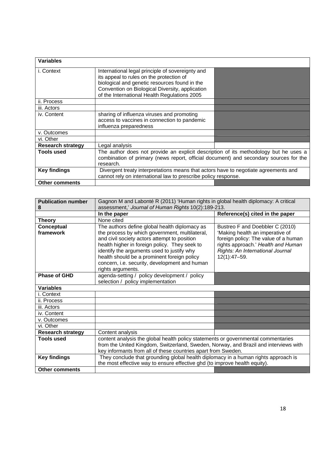| <b>Variables</b>         |                                                                                                                                                                                                                                                  |  |
|--------------------------|--------------------------------------------------------------------------------------------------------------------------------------------------------------------------------------------------------------------------------------------------|--|
| i. Context               | International legal principle of sovereignty and<br>its appeal to rules on the protection of<br>biological and genetic resources found in the<br>Convention on Biological Diversity, application<br>of the International Health Regulations 2005 |  |
| ii. Process              |                                                                                                                                                                                                                                                  |  |
| iii. Actors              |                                                                                                                                                                                                                                                  |  |
| iv. Content              | sharing of influenza viruses and promoting<br>access to vaccines in connection to pandemic<br>influenza preparedness                                                                                                                             |  |
| v. Outcomes              |                                                                                                                                                                                                                                                  |  |
| vi. Other                |                                                                                                                                                                                                                                                  |  |
| <b>Research strategy</b> | Legal analysis                                                                                                                                                                                                                                   |  |
| <b>Tools used</b>        | The author does not provide an explicit description of its methodology but he uses a<br>combination of primary (news report, official document) and secondary sources for the<br>research.                                                       |  |
| <b>Key findings</b>      | Divergent treaty interpretations means that actors have to negotiate agreements and<br>cannot rely on international law to prescribe policy response.                                                                                            |  |
| <b>Other comments</b>    |                                                                                                                                                                                                                                                  |  |

| <b>Publication number</b> | Gagnon M and Labonté R (2011) 'Human rights in global health diplomacy: A critical   |                                      |  |
|---------------------------|--------------------------------------------------------------------------------------|--------------------------------------|--|
| 8                         | assessment,' Journal of Human Rights 10(2):189-213.                                  |                                      |  |
|                           | In the paper                                                                         | Reference(s) cited in the paper      |  |
| <b>Theory</b>             | None cited                                                                           |                                      |  |
| Conceptual                | The authors define global health diplomacy as                                        | Bustreo F and Doebbler C (2010)      |  |
| framework                 | the process by which government, multilateral,                                       | 'Making health an imperative of      |  |
|                           | and civil society actors attempt to position                                         | foreign policy: The value of a human |  |
|                           | health higher in foreign policy. They seek to                                        | rights approach.' Health and Human   |  |
|                           | identify the arguments used to justify why                                           | Rights: An International Journal     |  |
|                           | health should be a prominent foreign policy                                          | $12(1):47 - 59.$                     |  |
|                           | concern, i.e. security, development and human                                        |                                      |  |
|                           | rights arguments.                                                                    |                                      |  |
| <b>Phase of GHD</b>       | agenda-setting / policy development / policy                                         |                                      |  |
|                           | selection / policy implementation                                                    |                                      |  |
| <b>Variables</b>          |                                                                                      |                                      |  |
| i. Context                |                                                                                      |                                      |  |
| ii. Process               |                                                                                      |                                      |  |
| iii. Actors               |                                                                                      |                                      |  |
| iv. Content               |                                                                                      |                                      |  |
| v. Outcomes               |                                                                                      |                                      |  |
| vi. Other                 |                                                                                      |                                      |  |
| <b>Research strategy</b>  | Content analysis                                                                     |                                      |  |
| <b>Tools used</b>         | content analysis the global health policy statements or governmental commentaries    |                                      |  |
|                           | from the United Kingdom, Switzerland, Sweden, Norway, and Brazil and interviews with |                                      |  |
|                           | key informants from all of these countries apart from Sweden.                        |                                      |  |
| <b>Key findings</b>       | They conclude that grounding global health diplomacy in a human rights approach is   |                                      |  |
|                           | the most effective way to ensure effective ghd (to improve health equity).           |                                      |  |
| <b>Other comments</b>     |                                                                                      |                                      |  |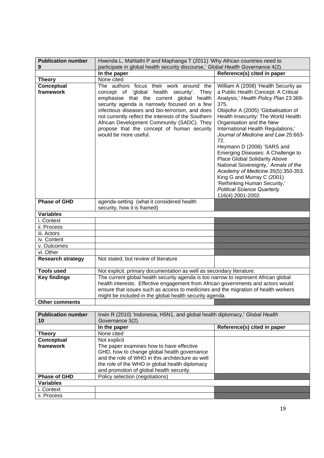| <b>Publication number</b>   | Hwenda L, Mahlathi P and Maphanga T (2011) 'Why African countries need to                                                                                                                                                                                                                                                                                                                                          |                                                                                                                                                                                                                                                                                                                                                                                                                                                                                                                                                                                                                                        |
|-----------------------------|--------------------------------------------------------------------------------------------------------------------------------------------------------------------------------------------------------------------------------------------------------------------------------------------------------------------------------------------------------------------------------------------------------------------|----------------------------------------------------------------------------------------------------------------------------------------------------------------------------------------------------------------------------------------------------------------------------------------------------------------------------------------------------------------------------------------------------------------------------------------------------------------------------------------------------------------------------------------------------------------------------------------------------------------------------------------|
| 9                           | participate in global health security discourse,' Global Health Governance 4(2).                                                                                                                                                                                                                                                                                                                                   |                                                                                                                                                                                                                                                                                                                                                                                                                                                                                                                                                                                                                                        |
|                             | In the paper                                                                                                                                                                                                                                                                                                                                                                                                       | Reference(s) cited in paper                                                                                                                                                                                                                                                                                                                                                                                                                                                                                                                                                                                                            |
| <b>Theory</b>               | None cited                                                                                                                                                                                                                                                                                                                                                                                                         |                                                                                                                                                                                                                                                                                                                                                                                                                                                                                                                                                                                                                                        |
| Conceptual<br>framework     | The authors focus their work around the<br>concept of 'global health security'.<br>They<br>emphasise that the current global health<br>security agenda is narrowly focused on a few<br>infectious diseases and bio-terrorism, and does<br>not currently reflect the interests of the Southern<br>African Development Community (SADC). They<br>propose that the concept of human security<br>would be more useful. | William A (2008) 'Health Security as<br>a Public Health Concept: A Critical<br>Analysis,' Health Policy Plan 23:369-<br>375.<br>Obijiofor A (2005) 'Globalisation of<br>Health Insecurity: The World Health<br>Organisation and the New<br>International Health Regulations,'<br>Journal of Medicine and Law 25:663-<br>72.<br>Heymann D (2006) 'SARS and<br>Emerging Diseases: A Challenge to<br>Place Global Solidarity Above<br>National Sovereignty,' Annals of the<br>Academy of Medicine 35(5):350-353.<br>King G and Murray C (2001)<br>'Rethinking Human Security,'<br><b>Political Science Quarterly</b><br>116(4):2001-2002. |
| <b>Phase of GHD</b>         | agenda-setting (what it considered health<br>security, how it is framed)                                                                                                                                                                                                                                                                                                                                           |                                                                                                                                                                                                                                                                                                                                                                                                                                                                                                                                                                                                                                        |
| <b>Variables</b>            |                                                                                                                                                                                                                                                                                                                                                                                                                    |                                                                                                                                                                                                                                                                                                                                                                                                                                                                                                                                                                                                                                        |
| i. Context                  |                                                                                                                                                                                                                                                                                                                                                                                                                    |                                                                                                                                                                                                                                                                                                                                                                                                                                                                                                                                                                                                                                        |
| ii. Process                 |                                                                                                                                                                                                                                                                                                                                                                                                                    |                                                                                                                                                                                                                                                                                                                                                                                                                                                                                                                                                                                                                                        |
| iii. Actors                 |                                                                                                                                                                                                                                                                                                                                                                                                                    |                                                                                                                                                                                                                                                                                                                                                                                                                                                                                                                                                                                                                                        |
| iv. Content                 |                                                                                                                                                                                                                                                                                                                                                                                                                    |                                                                                                                                                                                                                                                                                                                                                                                                                                                                                                                                                                                                                                        |
| v. Outcomes                 |                                                                                                                                                                                                                                                                                                                                                                                                                    |                                                                                                                                                                                                                                                                                                                                                                                                                                                                                                                                                                                                                                        |
| vi. Other                   |                                                                                                                                                                                                                                                                                                                                                                                                                    |                                                                                                                                                                                                                                                                                                                                                                                                                                                                                                                                                                                                                                        |
| <b>Research strategy</b>    | Not stated, but review of literature                                                                                                                                                                                                                                                                                                                                                                               |                                                                                                                                                                                                                                                                                                                                                                                                                                                                                                                                                                                                                                        |
| <b>Tools used</b>           | Not explicit. primary documentation as well as secondary literature.                                                                                                                                                                                                                                                                                                                                               |                                                                                                                                                                                                                                                                                                                                                                                                                                                                                                                                                                                                                                        |
| <b>Key findings</b>         | The current global health security agenda is too narrow to represent African global<br>health interests. Effective engagement from African governments and actors would<br>ensure that issues such as access to medicines and the migration of health workers<br>might be included in the global health security agenda.                                                                                           |                                                                                                                                                                                                                                                                                                                                                                                                                                                                                                                                                                                                                                        |
| Other comments              |                                                                                                                                                                                                                                                                                                                                                                                                                    |                                                                                                                                                                                                                                                                                                                                                                                                                                                                                                                                                                                                                                        |
|                             |                                                                                                                                                                                                                                                                                                                                                                                                                    |                                                                                                                                                                                                                                                                                                                                                                                                                                                                                                                                                                                                                                        |
| <b>Publication number</b>   | Irwin R (2010) 'Indonesia, H5N1, and global health diplomacy,' Global Health                                                                                                                                                                                                                                                                                                                                       |                                                                                                                                                                                                                                                                                                                                                                                                                                                                                                                                                                                                                                        |
| 10                          | Governance 3(2).                                                                                                                                                                                                                                                                                                                                                                                                   | Reference(s) cited in paper                                                                                                                                                                                                                                                                                                                                                                                                                                                                                                                                                                                                            |
|                             | In the paper<br>None cited                                                                                                                                                                                                                                                                                                                                                                                         |                                                                                                                                                                                                                                                                                                                                                                                                                                                                                                                                                                                                                                        |
| <b>Theory</b><br>Conceptual | Not explicit                                                                                                                                                                                                                                                                                                                                                                                                       |                                                                                                                                                                                                                                                                                                                                                                                                                                                                                                                                                                                                                                        |
| framework                   | The paper examines how to have effective                                                                                                                                                                                                                                                                                                                                                                           |                                                                                                                                                                                                                                                                                                                                                                                                                                                                                                                                                                                                                                        |
|                             | GHD, how to change global health governance                                                                                                                                                                                                                                                                                                                                                                        |                                                                                                                                                                                                                                                                                                                                                                                                                                                                                                                                                                                                                                        |
|                             | and the role of WHO in this architecture as well                                                                                                                                                                                                                                                                                                                                                                   |                                                                                                                                                                                                                                                                                                                                                                                                                                                                                                                                                                                                                                        |
|                             | the role of the WHO in global health diplomacy                                                                                                                                                                                                                                                                                                                                                                     |                                                                                                                                                                                                                                                                                                                                                                                                                                                                                                                                                                                                                                        |
|                             | and promotion of global health security.                                                                                                                                                                                                                                                                                                                                                                           |                                                                                                                                                                                                                                                                                                                                                                                                                                                                                                                                                                                                                                        |
| <b>Phase of GHD</b>         | Policy selection (negotiations)                                                                                                                                                                                                                                                                                                                                                                                    |                                                                                                                                                                                                                                                                                                                                                                                                                                                                                                                                                                                                                                        |
| <b>Variables</b>            |                                                                                                                                                                                                                                                                                                                                                                                                                    |                                                                                                                                                                                                                                                                                                                                                                                                                                                                                                                                                                                                                                        |

i. Context ii. Process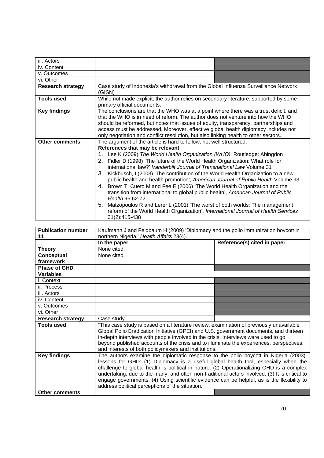| iii. Actors              |                                                                                                                                                                                                                                                                                                                                                                                                                                                                                                                                                                                                                                                                                                                                                                                                                                                                                                                  |  |
|--------------------------|------------------------------------------------------------------------------------------------------------------------------------------------------------------------------------------------------------------------------------------------------------------------------------------------------------------------------------------------------------------------------------------------------------------------------------------------------------------------------------------------------------------------------------------------------------------------------------------------------------------------------------------------------------------------------------------------------------------------------------------------------------------------------------------------------------------------------------------------------------------------------------------------------------------|--|
| iv. Content              |                                                                                                                                                                                                                                                                                                                                                                                                                                                                                                                                                                                                                                                                                                                                                                                                                                                                                                                  |  |
| v. Outcomes              |                                                                                                                                                                                                                                                                                                                                                                                                                                                                                                                                                                                                                                                                                                                                                                                                                                                                                                                  |  |
| vi. Other                |                                                                                                                                                                                                                                                                                                                                                                                                                                                                                                                                                                                                                                                                                                                                                                                                                                                                                                                  |  |
| <b>Research strategy</b> | Case study of Indonesia's withdrawal from the Global Influenza Surveillance Network<br>(GISN)                                                                                                                                                                                                                                                                                                                                                                                                                                                                                                                                                                                                                                                                                                                                                                                                                    |  |
| <b>Tools used</b>        | While not made explicit, the author relies on secondary literature, supported by some<br>primary official documents.                                                                                                                                                                                                                                                                                                                                                                                                                                                                                                                                                                                                                                                                                                                                                                                             |  |
| <b>Key findings</b>      | The conclusions are that the WHO was at a point where there was a trust deficit, and<br>that the WHO is in need of reform. The author does not venture into how the WHO<br>should be reformed, but notes that issues of equity, transparency, partnerships and<br>access must be addressed. Moreover, effective global health diplomacy includes not<br>only negotiation and conflict resolution, but also linking health to other sectors.                                                                                                                                                                                                                                                                                                                                                                                                                                                                      |  |
| <b>Other comments</b>    | The argument of the article is hard to follow, not well structured.<br>References that may be relevant<br>Lee K (2009) The World Health Organization (WHO). Routledge: Abingdon<br>1.<br>2. Fidler D (1998) 'The future of the World Health Organization: What role for<br>international law?' Vanderbilt Journal of Transnational Law Volume 31<br>3. Kickbusch, I (2003) 'The contribution of the World Health Organization to a new<br>public health and health promotion', American Journal of Public Health Volume 93<br>Brown T, Cueto M and Fee E (2006) 'The World Health Organization and the<br>4.<br>transition from international to global public health', American Journal of Public<br>Health 96:62-72<br>Matzopoulos R and Lerer L (2001) 'The worst of both worlds: The management<br>5.<br>reform of the World Health Organization', International Journal of Health Services<br>31(2):415-438 |  |

| <b>Publication number</b> | Kaufmann J and Feldbaum H (2009) 'Diplomacy and the polio immunization boycott in                                                                                            |                             |
|---------------------------|------------------------------------------------------------------------------------------------------------------------------------------------------------------------------|-----------------------------|
| 11                        | northern Nigeria,' Health Affairs 28(4).                                                                                                                                     |                             |
|                           | In the paper                                                                                                                                                                 | Reference(s) cited in paper |
| <b>Theory</b>             | None cited.                                                                                                                                                                  |                             |
| Conceptual                | None cited.                                                                                                                                                                  |                             |
| framework                 |                                                                                                                                                                              |                             |
| <b>Phase of GHD</b>       |                                                                                                                                                                              |                             |
| <b>Variables</b>          |                                                                                                                                                                              |                             |
| i. Context                |                                                                                                                                                                              |                             |
| ii. Process               |                                                                                                                                                                              |                             |
| iii. Actors               |                                                                                                                                                                              |                             |
| iv. Content               |                                                                                                                                                                              |                             |
| v. Outcomes               |                                                                                                                                                                              |                             |
| vi. Other                 |                                                                                                                                                                              |                             |
| <b>Research strategy</b>  | Case study                                                                                                                                                                   |                             |
| <b>Tools used</b>         | "This case study is based on a literature review, examination of previously unavailable                                                                                      |                             |
|                           | Global Polio Eradication Initiative (GPEI) and U.S. government documents, and thirteen<br>in-depth interviews with people involved in the crisis. Interviews were used to go |                             |
|                           | beyond published accounts of the crisis and to illuminate the experiences, perspectives,                                                                                     |                             |
|                           | and interests of both policymakers and institutions."                                                                                                                        |                             |
| <b>Key findings</b>       | The authors examine the diplomatic response to the polio boycott in Nigeria (2003).                                                                                          |                             |
|                           | lessons for GHD: (1) Diplomacy is a useful global health tool, especially when the                                                                                           |                             |
|                           | challenge to global health is political in nature. (2) Operationalizing GHD is a complex                                                                                     |                             |
|                           | undertaking, due to the many, and often non-traditional actors involved. (3) It is critical to                                                                               |                             |
|                           | engage governments. (4) Using scientific evidence can be helpful, as is the flexibility to                                                                                   |                             |
|                           | address political perceptions of the situation.                                                                                                                              |                             |
| <b>Other comments</b>     |                                                                                                                                                                              |                             |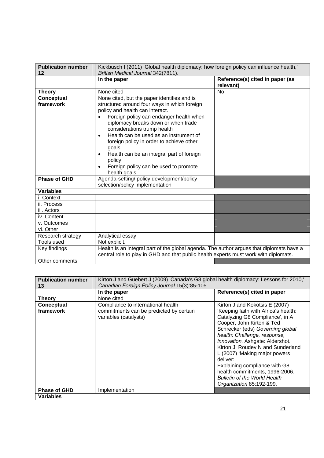| <b>Publication number</b> | Kickbusch I (2011) 'Global health diplomacy: how foreign policy can influence health,'                                                                                                                                                                                                                                                                                                                                                                                                                |                                              |
|---------------------------|-------------------------------------------------------------------------------------------------------------------------------------------------------------------------------------------------------------------------------------------------------------------------------------------------------------------------------------------------------------------------------------------------------------------------------------------------------------------------------------------------------|----------------------------------------------|
| 12                        | British Medical Journal 342(7811).                                                                                                                                                                                                                                                                                                                                                                                                                                                                    |                                              |
|                           | In the paper                                                                                                                                                                                                                                                                                                                                                                                                                                                                                          | Reference(s) cited in paper (as<br>relevant) |
| <b>Theory</b>             | None cited                                                                                                                                                                                                                                                                                                                                                                                                                                                                                            | No                                           |
| Conceptual<br>framework   | None cited, but the paper identifies and is<br>structured around four ways in which foreign<br>policy and health can interact.<br>Foreign policy can endanger health when<br>diplomacy breaks down or when trade<br>considerations trump health<br>Health can be used as an instrument of<br>$\bullet$<br>foreign policy in order to achieve other<br>goals<br>Health can be an integral part of foreign<br>$\bullet$<br>policy<br>Foreign policy can be used to promote<br>$\bullet$<br>health goals |                                              |
| <b>Phase of GHD</b>       | Agenda-setting/ policy development/policy<br>selection/policy implementation                                                                                                                                                                                                                                                                                                                                                                                                                          |                                              |
| <b>Variables</b>          |                                                                                                                                                                                                                                                                                                                                                                                                                                                                                                       |                                              |
| i. Context                |                                                                                                                                                                                                                                                                                                                                                                                                                                                                                                       |                                              |
| ii. Process               |                                                                                                                                                                                                                                                                                                                                                                                                                                                                                                       |                                              |
| iii. Actors               |                                                                                                                                                                                                                                                                                                                                                                                                                                                                                                       |                                              |
| iv. Content               |                                                                                                                                                                                                                                                                                                                                                                                                                                                                                                       |                                              |
| v. Outcomes               |                                                                                                                                                                                                                                                                                                                                                                                                                                                                                                       |                                              |
| vi. Other                 |                                                                                                                                                                                                                                                                                                                                                                                                                                                                                                       |                                              |
| Research strategy         | Analytical essay                                                                                                                                                                                                                                                                                                                                                                                                                                                                                      |                                              |
| Tools used                | Not explicit.                                                                                                                                                                                                                                                                                                                                                                                                                                                                                         |                                              |
| Key findings              | Health is an integral part of the global agenda. The author argues that diplomats have a<br>central role to play in GHD and that public health experts must work with diplomats.                                                                                                                                                                                                                                                                                                                      |                                              |
| Other comments            |                                                                                                                                                                                                                                                                                                                                                                                                                                                                                                       |                                              |

| <b>Publication number</b> | Kirton J and Guebert J (2009) 'Canada's G8 global health diplomacy: Lessons for 2010,' |                                                                                                                                                                                                                                                                                                                                                                                                                                      |
|---------------------------|----------------------------------------------------------------------------------------|--------------------------------------------------------------------------------------------------------------------------------------------------------------------------------------------------------------------------------------------------------------------------------------------------------------------------------------------------------------------------------------------------------------------------------------|
| 13                        | Canadian Foreign Policy Journal 15(3):85-105.                                          |                                                                                                                                                                                                                                                                                                                                                                                                                                      |
|                           | In the paper                                                                           | Reference(s) cited in paper                                                                                                                                                                                                                                                                                                                                                                                                          |
| Theory                    | None cited                                                                             |                                                                                                                                                                                                                                                                                                                                                                                                                                      |
| Conceptual                | Compliance to international health                                                     | Kirton J and Kokotsis E (2007)                                                                                                                                                                                                                                                                                                                                                                                                       |
| framework                 | commitments can be predicted by certain<br>variables (catalysts)                       | 'Keeping faith with Africa's health:<br>Catalyzing G8 Compliance', in A<br>Cooper, John Kirton & Ted<br>Schrecker (eds) Governing global<br>health: Challenge, response,<br>innovation. Ashgate: Aldershot.<br>Kirton J, Roudev N and Sunderland<br>L (2007) 'Making major powers<br>deliver:<br>Explaining compliance with G8<br>health commitments, 1996-2006.'<br><b>Bulletin of the World Health</b><br>Organization 85:192-199. |
| <b>Phase of GHD</b>       | Implementation                                                                         |                                                                                                                                                                                                                                                                                                                                                                                                                                      |
| <b>Variables</b>          |                                                                                        |                                                                                                                                                                                                                                                                                                                                                                                                                                      |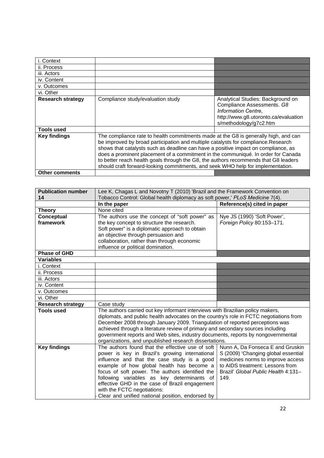| i. Context               |                                                                                                                                                                                                                                                                                                                                                                                                                                                                                                                               |                                                                                                                                                          |
|--------------------------|-------------------------------------------------------------------------------------------------------------------------------------------------------------------------------------------------------------------------------------------------------------------------------------------------------------------------------------------------------------------------------------------------------------------------------------------------------------------------------------------------------------------------------|----------------------------------------------------------------------------------------------------------------------------------------------------------|
| ii. Process              |                                                                                                                                                                                                                                                                                                                                                                                                                                                                                                                               |                                                                                                                                                          |
| iii. Actors              |                                                                                                                                                                                                                                                                                                                                                                                                                                                                                                                               |                                                                                                                                                          |
| iv. Content              |                                                                                                                                                                                                                                                                                                                                                                                                                                                                                                                               |                                                                                                                                                          |
| v. Outcomes              |                                                                                                                                                                                                                                                                                                                                                                                                                                                                                                                               |                                                                                                                                                          |
| vi. Other                |                                                                                                                                                                                                                                                                                                                                                                                                                                                                                                                               |                                                                                                                                                          |
| <b>Research strategy</b> | Compliance study/evaluation study                                                                                                                                                                                                                                                                                                                                                                                                                                                                                             | Analytical Studies: Background on<br>Compliance Assessments. G8<br>Information Centre,<br>http://www.g8.utoronto.ca/evaluation<br>s/methodology/g7c2.htm |
| <b>Tools used</b>        |                                                                                                                                                                                                                                                                                                                                                                                                                                                                                                                               |                                                                                                                                                          |
| <b>Key findings</b>      | The compliance rate to health commitments made at the G8 is generally high, and can<br>be improved by broad participation and multiple catalysts for compliance.Research<br>shows that catalysts such as deadline can have a positive impact on compliance, as<br>does a prominent placement of a commitment in the communiqué. In order for Canada<br>to better reach health goals through the G8, the authors recommends that G8 leaders<br>should craft forward-looking commitments, and seek WHO help for implementation. |                                                                                                                                                          |
| <b>Other comments</b>    |                                                                                                                                                                                                                                                                                                                                                                                                                                                                                                                               |                                                                                                                                                          |

| Lee K, Chagas L and Novotny T (2010) 'Brazil and the Framework Convention on  |                                                                                                                                                                                                                                                                                                                                                                                                                                                                                                                                                                                                                                                                                                                                                                                                                                                                                                                                                                                                                                                                                                                                                                                           |
|-------------------------------------------------------------------------------|-------------------------------------------------------------------------------------------------------------------------------------------------------------------------------------------------------------------------------------------------------------------------------------------------------------------------------------------------------------------------------------------------------------------------------------------------------------------------------------------------------------------------------------------------------------------------------------------------------------------------------------------------------------------------------------------------------------------------------------------------------------------------------------------------------------------------------------------------------------------------------------------------------------------------------------------------------------------------------------------------------------------------------------------------------------------------------------------------------------------------------------------------------------------------------------------|
|                                                                               | Reference(s) cited in paper                                                                                                                                                                                                                                                                                                                                                                                                                                                                                                                                                                                                                                                                                                                                                                                                                                                                                                                                                                                                                                                                                                                                                               |
|                                                                               |                                                                                                                                                                                                                                                                                                                                                                                                                                                                                                                                                                                                                                                                                                                                                                                                                                                                                                                                                                                                                                                                                                                                                                                           |
|                                                                               | Nye JS (1990) 'Soft Power',                                                                                                                                                                                                                                                                                                                                                                                                                                                                                                                                                                                                                                                                                                                                                                                                                                                                                                                                                                                                                                                                                                                                                               |
|                                                                               | Foreign Policy 80:153-171.                                                                                                                                                                                                                                                                                                                                                                                                                                                                                                                                                                                                                                                                                                                                                                                                                                                                                                                                                                                                                                                                                                                                                                |
|                                                                               |                                                                                                                                                                                                                                                                                                                                                                                                                                                                                                                                                                                                                                                                                                                                                                                                                                                                                                                                                                                                                                                                                                                                                                                           |
|                                                                               |                                                                                                                                                                                                                                                                                                                                                                                                                                                                                                                                                                                                                                                                                                                                                                                                                                                                                                                                                                                                                                                                                                                                                                                           |
|                                                                               |                                                                                                                                                                                                                                                                                                                                                                                                                                                                                                                                                                                                                                                                                                                                                                                                                                                                                                                                                                                                                                                                                                                                                                                           |
|                                                                               |                                                                                                                                                                                                                                                                                                                                                                                                                                                                                                                                                                                                                                                                                                                                                                                                                                                                                                                                                                                                                                                                                                                                                                                           |
|                                                                               |                                                                                                                                                                                                                                                                                                                                                                                                                                                                                                                                                                                                                                                                                                                                                                                                                                                                                                                                                                                                                                                                                                                                                                                           |
|                                                                               |                                                                                                                                                                                                                                                                                                                                                                                                                                                                                                                                                                                                                                                                                                                                                                                                                                                                                                                                                                                                                                                                                                                                                                                           |
|                                                                               |                                                                                                                                                                                                                                                                                                                                                                                                                                                                                                                                                                                                                                                                                                                                                                                                                                                                                                                                                                                                                                                                                                                                                                                           |
|                                                                               |                                                                                                                                                                                                                                                                                                                                                                                                                                                                                                                                                                                                                                                                                                                                                                                                                                                                                                                                                                                                                                                                                                                                                                                           |
|                                                                               |                                                                                                                                                                                                                                                                                                                                                                                                                                                                                                                                                                                                                                                                                                                                                                                                                                                                                                                                                                                                                                                                                                                                                                                           |
|                                                                               |                                                                                                                                                                                                                                                                                                                                                                                                                                                                                                                                                                                                                                                                                                                                                                                                                                                                                                                                                                                                                                                                                                                                                                                           |
|                                                                               |                                                                                                                                                                                                                                                                                                                                                                                                                                                                                                                                                                                                                                                                                                                                                                                                                                                                                                                                                                                                                                                                                                                                                                                           |
|                                                                               |                                                                                                                                                                                                                                                                                                                                                                                                                                                                                                                                                                                                                                                                                                                                                                                                                                                                                                                                                                                                                                                                                                                                                                                           |
| Case study                                                                    |                                                                                                                                                                                                                                                                                                                                                                                                                                                                                                                                                                                                                                                                                                                                                                                                                                                                                                                                                                                                                                                                                                                                                                                           |
|                                                                               |                                                                                                                                                                                                                                                                                                                                                                                                                                                                                                                                                                                                                                                                                                                                                                                                                                                                                                                                                                                                                                                                                                                                                                                           |
|                                                                               |                                                                                                                                                                                                                                                                                                                                                                                                                                                                                                                                                                                                                                                                                                                                                                                                                                                                                                                                                                                                                                                                                                                                                                                           |
| December 2008 through January 2009. Triangulation of reported perceptions was |                                                                                                                                                                                                                                                                                                                                                                                                                                                                                                                                                                                                                                                                                                                                                                                                                                                                                                                                                                                                                                                                                                                                                                                           |
|                                                                               |                                                                                                                                                                                                                                                                                                                                                                                                                                                                                                                                                                                                                                                                                                                                                                                                                                                                                                                                                                                                                                                                                                                                                                                           |
|                                                                               |                                                                                                                                                                                                                                                                                                                                                                                                                                                                                                                                                                                                                                                                                                                                                                                                                                                                                                                                                                                                                                                                                                                                                                                           |
|                                                                               |                                                                                                                                                                                                                                                                                                                                                                                                                                                                                                                                                                                                                                                                                                                                                                                                                                                                                                                                                                                                                                                                                                                                                                                           |
|                                                                               | Nunn A, Da Fonseca E and Gruskin                                                                                                                                                                                                                                                                                                                                                                                                                                                                                                                                                                                                                                                                                                                                                                                                                                                                                                                                                                                                                                                                                                                                                          |
|                                                                               | S (2009) 'Changing global essential<br>medicines norms to improve access                                                                                                                                                                                                                                                                                                                                                                                                                                                                                                                                                                                                                                                                                                                                                                                                                                                                                                                                                                                                                                                                                                                  |
|                                                                               | to AIDS treatment: Lessons from                                                                                                                                                                                                                                                                                                                                                                                                                                                                                                                                                                                                                                                                                                                                                                                                                                                                                                                                                                                                                                                                                                                                                           |
|                                                                               | Brazil' Global Public Health 4:131-                                                                                                                                                                                                                                                                                                                                                                                                                                                                                                                                                                                                                                                                                                                                                                                                                                                                                                                                                                                                                                                                                                                                                       |
|                                                                               | 149.                                                                                                                                                                                                                                                                                                                                                                                                                                                                                                                                                                                                                                                                                                                                                                                                                                                                                                                                                                                                                                                                                                                                                                                      |
|                                                                               |                                                                                                                                                                                                                                                                                                                                                                                                                                                                                                                                                                                                                                                                                                                                                                                                                                                                                                                                                                                                                                                                                                                                                                                           |
|                                                                               |                                                                                                                                                                                                                                                                                                                                                                                                                                                                                                                                                                                                                                                                                                                                                                                                                                                                                                                                                                                                                                                                                                                                                                                           |
| Clear and unified national position, endorsed by                              |                                                                                                                                                                                                                                                                                                                                                                                                                                                                                                                                                                                                                                                                                                                                                                                                                                                                                                                                                                                                                                                                                                                                                                                           |
|                                                                               | Tobacco Control: Global health diplomacy as soft power,' PLoS Medicine 7(4).<br>In the paper<br>None cited<br>The authors use the concept of "soft power" as<br>the key concept to structure the research.<br>Soft power" is a diplomatic approach to obtain<br>an objective through persuasion and<br>collaboration, rather than through economic<br>influence or political domination.<br>The authors carried out key informant interviews with Brazilian policy makers,<br>diplomats, and public health advocates on the country's role in FCTC negotiations from<br>achieved through a literature review of primary and secondary sources including<br>government reports and Web sites, industry documents, reports by nongovernmental<br>organizations, and unpublished research dissertations.<br>The authors found that the effective use of soft<br>power is key in Brazil's growing international<br>influence and that the case study is a good<br>example of how global health has become a<br>focus of soft power. The authors identified the<br>following variables as key determinants of<br>effective GHD in the case of Brazil engagement<br>with the FCTC negotiations: |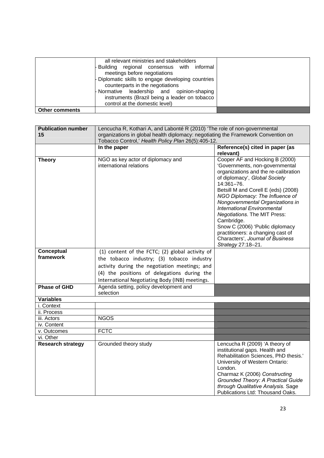|                       | all relevant ministries and stakeholders<br>Building regional consensus with informal<br>meetings before negotiations<br>- Diplomatic skills to engage developing countries<br>counterparts in the negotiations<br>- Normative leadership and opinion-shaping<br>instruments (Brazil being a leader on tobacco<br>control at the domestic level) |  |
|-----------------------|--------------------------------------------------------------------------------------------------------------------------------------------------------------------------------------------------------------------------------------------------------------------------------------------------------------------------------------------------|--|
| <b>Other comments</b> |                                                                                                                                                                                                                                                                                                                                                  |  |

| <b>Publication number</b><br>15 | Lencucha R, Kothari A, and Labonté R (2010) 'The role of non-governmental<br>organizations in global health diplomacy: negotiating the Framework Convention on<br>Tobacco Control,' Health Policy Plan 26(5):405-12.                            |                                                                                                                                                                                                                                                                                                                                                                                                                                                                                                    |
|---------------------------------|-------------------------------------------------------------------------------------------------------------------------------------------------------------------------------------------------------------------------------------------------|----------------------------------------------------------------------------------------------------------------------------------------------------------------------------------------------------------------------------------------------------------------------------------------------------------------------------------------------------------------------------------------------------------------------------------------------------------------------------------------------------|
|                                 | In the paper                                                                                                                                                                                                                                    | Reference(s) cited in paper (as<br>relevant)                                                                                                                                                                                                                                                                                                                                                                                                                                                       |
| <b>Theory</b>                   | NGO as key actor of diplomacy and<br>international relations                                                                                                                                                                                    | Cooper AF and Hocking B (2000)<br>'Governments, non-governmental<br>organizations and the re-calibration<br>of diplomacy', Global Society<br>14:361-76.<br>Betsill M and Corell E (eds) (2008)<br>NGO Diplomacy: The Influence of<br>Nongovernmental Organizations in<br><b>International Environmental</b><br><b>Negotiations. The MIT Press:</b><br>Cambridge.<br>Snow C (2006) 'Public diplomacy<br>practitioners: a changing cast of<br>Characters', Journal of Business<br>Strategy 27:18-21. |
| Conceptual<br>framework         | (1) content of the FCTC; (2) global activity of<br>the tobacco industry; (3) tobacco industry<br>activity during the negotiation meetings; and<br>(4) the positions of delegations during the<br>International Negotiating Body (INB) meetings. |                                                                                                                                                                                                                                                                                                                                                                                                                                                                                                    |
| <b>Phase of GHD</b>             | Agenda setting, policy development and<br>selection                                                                                                                                                                                             |                                                                                                                                                                                                                                                                                                                                                                                                                                                                                                    |
| <b>Variables</b>                |                                                                                                                                                                                                                                                 |                                                                                                                                                                                                                                                                                                                                                                                                                                                                                                    |
| i. Context                      |                                                                                                                                                                                                                                                 |                                                                                                                                                                                                                                                                                                                                                                                                                                                                                                    |
| ii. Process                     |                                                                                                                                                                                                                                                 |                                                                                                                                                                                                                                                                                                                                                                                                                                                                                                    |
| iii. Actors                     | <b>NGOS</b>                                                                                                                                                                                                                                     |                                                                                                                                                                                                                                                                                                                                                                                                                                                                                                    |
| iv. Content                     |                                                                                                                                                                                                                                                 |                                                                                                                                                                                                                                                                                                                                                                                                                                                                                                    |
| v. Outcomes                     | <b>FCTC</b>                                                                                                                                                                                                                                     |                                                                                                                                                                                                                                                                                                                                                                                                                                                                                                    |
| vi. Other                       |                                                                                                                                                                                                                                                 |                                                                                                                                                                                                                                                                                                                                                                                                                                                                                                    |
| <b>Research strategy</b>        | Grounded theory study                                                                                                                                                                                                                           | Lencucha R (2009) 'A theory of<br>institutional gaps. Health and<br>Rehabilitation Sciences, PhD thesis.'<br>University of Western Ontario:<br>London.<br>Charmaz K (2006) Constructing<br>Grounded Theory: A Practical Guide<br>through Qualitative Analysis. Sage<br>Publications Ltd: Thousand Oaks.                                                                                                                                                                                            |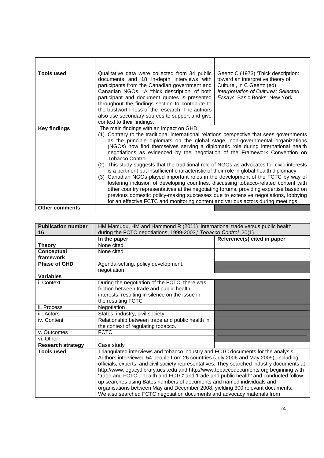| <b>Tools used</b>     | Qualitative data were collected from 34 public<br>documents and 18 in-depth interviews with<br>participants from the Canadian government and<br>Canadian NGOs." A 'thick description' of both<br>participant and document quotes is presented<br>throughout the findings section to contribute to<br>the trustworthiness of the research. The authors<br>also use secondary sources to support and give<br>context to their findings.                                                                                                                                                                                                                                                                                                                                                                                                                                                                                                                                                                                                                      | Geertz C (1973) 'Thick description:<br>toward an interpretive theory of<br>Culture', in C Geertz (ed)<br>Interpretation of Cultures: Selected<br>Essays. Basic Books: New York. |
|-----------------------|------------------------------------------------------------------------------------------------------------------------------------------------------------------------------------------------------------------------------------------------------------------------------------------------------------------------------------------------------------------------------------------------------------------------------------------------------------------------------------------------------------------------------------------------------------------------------------------------------------------------------------------------------------------------------------------------------------------------------------------------------------------------------------------------------------------------------------------------------------------------------------------------------------------------------------------------------------------------------------------------------------------------------------------------------------|---------------------------------------------------------------------------------------------------------------------------------------------------------------------------------|
| <b>Key findings</b>   | The main findings with an impact on GHD:<br>(1) Contrary to the traditional international relations perspective that sees governments<br>as the principle diplomats on the global stage, non-governmental organizations<br>(NGOs) now find themselves serving a diplomatic role during international health<br>negotiations as evidenced by the negotiation of the Framework Convention on<br>Tobacco Control.<br>This study suggests that the traditional role of NGOs as advocates for civic interests<br>(2)<br>is a pertinent but insufficient characteristic of their role in global health diplomacy.<br>(3) Canadian NGOs played important roles in the development of the FCTC by way of<br>fostering inclusion of developing countries, discussing tobacco-related content with<br>other country representatives at the negotiating forums, providing expertise based on<br>previous domestic policy-making successes due to extensive negotiations, lobbying<br>for an effective FCTC and monitoring content and various actors during meetings. |                                                                                                                                                                                 |
| <b>Other comments</b> |                                                                                                                                                                                                                                                                                                                                                                                                                                                                                                                                                                                                                                                                                                                                                                                                                                                                                                                                                                                                                                                            |                                                                                                                                                                                 |

| <b>Publication number</b><br>16 | HM Mamudu, HM and Hammond R (2011) 'International trade versus public health<br>during the FCTC negotiations, 1999-2003,' Tobacco Control 20(1). |                             |
|---------------------------------|--------------------------------------------------------------------------------------------------------------------------------------------------|-----------------------------|
|                                 | In the paper                                                                                                                                     | Reference(s) cited in paper |
| <b>Theory</b>                   | None cited.                                                                                                                                      |                             |
| Conceptual                      | None cited.                                                                                                                                      |                             |
| framework                       |                                                                                                                                                  |                             |
| <b>Phase of GHD</b>             | Agenda-setting, policy development,                                                                                                              |                             |
|                                 | negotiation                                                                                                                                      |                             |
| <b>Variables</b>                |                                                                                                                                                  |                             |
| i. Context                      | During the negotiation of the FCTC, there was                                                                                                    |                             |
|                                 | friction between trade and public health                                                                                                         |                             |
|                                 | interests, resulting in silence on the issue in                                                                                                  |                             |
|                                 | the resulting FCTC                                                                                                                               |                             |
| ii. Process                     | Negotiation                                                                                                                                      |                             |
| iii. Actors                     | States, industry, civil society                                                                                                                  |                             |
| iv. Content                     | Relationship between trade and public health in                                                                                                  |                             |
|                                 | the context of regulating tobacco.                                                                                                               |                             |
| v. Outcomes                     | <b>FCTC</b>                                                                                                                                      |                             |
| vi. Other                       |                                                                                                                                                  |                             |
| <b>Research strategy</b>        | Case study                                                                                                                                       |                             |
| <b>Tools used</b>               | Triangulated interviews and tobacco industry and FCTC documents for the analysis.                                                                |                             |
|                                 | Authors interviewed 54 people from 26 countries (July 2006 and May 2009), including                                                              |                             |
|                                 | officials, experts, and civil society representatives. They searched industry documents at                                                       |                             |
|                                 | http://www.legacy.library.ucsf.edu and http://www.tobaccodocuments.org beginning with                                                            |                             |
|                                 | 'trade and FCTC', 'health and FCTC' and 'trade and public health' and conducted follow-                                                          |                             |
|                                 | up searches using Bates numbers of documents and named individuals and                                                                           |                             |
|                                 | organisations between May and December 2008, yielding 300 relevant documents.                                                                    |                             |
|                                 | We also searched FCTC negotiation documents and advocacy materials from                                                                          |                             |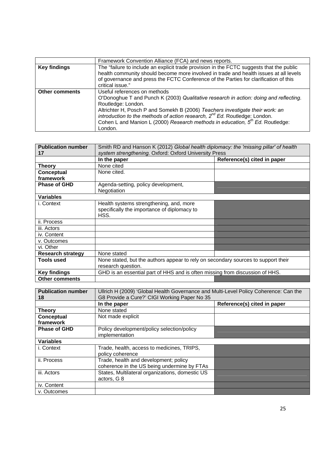|                       | Framework Convention Alliance (FCA) and news reports.                                                                                                                             |
|-----------------------|-----------------------------------------------------------------------------------------------------------------------------------------------------------------------------------|
| <b>Key findings</b>   | The "failure to include an explicit trade provision in the FCTC suggests that the public<br>health community should become more involved in trade and health issues at all levels |
|                       | of governance and press the FCTC Conference of the Parties for clarification of this<br>critical issue."                                                                          |
| <b>Other comments</b> | Useful references on methods                                                                                                                                                      |
|                       | O'Donoghue T and Punch K (2003) Qualitative research in action: doing and reflecting.                                                                                             |
|                       | Routledge: London.                                                                                                                                                                |
|                       | Altrichter H, Posch P and Somekh B (2006) Teachers investigate their work: an                                                                                                     |
|                       | introduction to the methods of action research, $2^{nd}$ Ed. Routledge: London.                                                                                                   |
|                       | Cohen L and Manion L (2000) Research methods in education, 5 <sup>th</sup> Ed. Routledge:                                                                                         |
|                       | London.                                                                                                                                                                           |

| <b>Publication number</b><br>17 | Smith RD and Hanson K (2012) Global health diplomacy: the 'missing pillar' of health<br>system strengthening. Oxford: Oxford University Press |                             |
|---------------------------------|-----------------------------------------------------------------------------------------------------------------------------------------------|-----------------------------|
|                                 | In the paper                                                                                                                                  | Reference(s) cited in paper |
| <b>Theory</b>                   | None cited                                                                                                                                    |                             |
| Conceptual                      | None cited.                                                                                                                                   |                             |
| framework                       |                                                                                                                                               |                             |
| <b>Phase of GHD</b>             | Agenda-setting, policy development,                                                                                                           |                             |
|                                 | Negotiation                                                                                                                                   |                             |
| <b>Variables</b>                |                                                                                                                                               |                             |
| i. Context                      | Health systems strengthening, and, more<br>specifically the importance of diplomacy to<br>HSS.                                                |                             |
| ii. Process                     |                                                                                                                                               |                             |
| iii. Actors                     |                                                                                                                                               |                             |
| iv. Content                     |                                                                                                                                               |                             |
| v. Outcomes                     |                                                                                                                                               |                             |
| vi. Other                       |                                                                                                                                               |                             |
| <b>Research strategy</b>        | None stated                                                                                                                                   |                             |
| <b>Tools used</b>               | None stated, but the authors appear to rely on secondary sources to support their<br>research question.                                       |                             |
| <b>Key findings</b>             | GHD is an essential part of HHS and is often missing from discussion of HHS.                                                                  |                             |
| <b>Other comments</b>           |                                                                                                                                               |                             |

| <b>Publication number</b><br>18 | Ullrich H (2009) 'Global Health Governance and Multi-Level Policy Coherence: Can the<br>G8 Provide a Cure?' CIGI Working Paper No 35 |                             |
|---------------------------------|--------------------------------------------------------------------------------------------------------------------------------------|-----------------------------|
|                                 | In the paper                                                                                                                         | Reference(s) cited in paper |
| <b>Theory</b>                   | None stated                                                                                                                          |                             |
| Conceptual<br>framework         | Not made explicit                                                                                                                    |                             |
| <b>Phase of GHD</b>             | Policy development/policy selection/policy<br>implementation                                                                         |                             |
| <b>Variables</b>                |                                                                                                                                      |                             |
| i. Context                      | Trade, health, access to medicines, TRIPS,<br>policy coherence                                                                       |                             |
| ii. Process                     | Trade, health and development; policy<br>coherence in the US being undermine by FTAs                                                 |                             |
| iii. Actors                     | States, Multilateral organizations, domestic US<br>actors, G 8                                                                       |                             |
| iv. Content                     |                                                                                                                                      |                             |
| v. Outcomes                     |                                                                                                                                      |                             |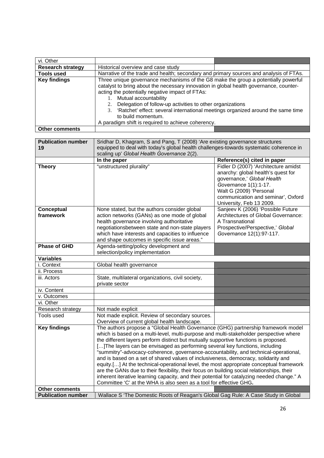| vi. Other                       |                                                                                                                                                                                                                                                                                                                                                                                                                                                                                                                                                                                                                                                                                                                                                                                                                                                                                                 |                                                                                                                                                                                                                                |
|---------------------------------|-------------------------------------------------------------------------------------------------------------------------------------------------------------------------------------------------------------------------------------------------------------------------------------------------------------------------------------------------------------------------------------------------------------------------------------------------------------------------------------------------------------------------------------------------------------------------------------------------------------------------------------------------------------------------------------------------------------------------------------------------------------------------------------------------------------------------------------------------------------------------------------------------|--------------------------------------------------------------------------------------------------------------------------------------------------------------------------------------------------------------------------------|
| <b>Research strategy</b>        | Historical overview and case study                                                                                                                                                                                                                                                                                                                                                                                                                                                                                                                                                                                                                                                                                                                                                                                                                                                              |                                                                                                                                                                                                                                |
| <b>Tools used</b>               | Narrative of the trade and health; secondary and primary sources and analysis of FTAs.                                                                                                                                                                                                                                                                                                                                                                                                                                                                                                                                                                                                                                                                                                                                                                                                          |                                                                                                                                                                                                                                |
| <b>Key findings</b>             | Three unique governance mechanisms of the G8 make the group a potentially powerful<br>catalyst to bring about the necessary innovation in global health governance, counter-<br>acting the potentially negative impact of FTAs:                                                                                                                                                                                                                                                                                                                                                                                                                                                                                                                                                                                                                                                                 |                                                                                                                                                                                                                                |
|                                 | 1. Mutual accountability<br>2. Delegation of follow-up activities to other organizations<br>3. 'Ratchet' effect: several international meetings organized around the same time                                                                                                                                                                                                                                                                                                                                                                                                                                                                                                                                                                                                                                                                                                                  |                                                                                                                                                                                                                                |
|                                 | to build momentum.<br>A paradigm shift is required to achieve coherency.                                                                                                                                                                                                                                                                                                                                                                                                                                                                                                                                                                                                                                                                                                                                                                                                                        |                                                                                                                                                                                                                                |
| <b>Other comments</b>           |                                                                                                                                                                                                                                                                                                                                                                                                                                                                                                                                                                                                                                                                                                                                                                                                                                                                                                 |                                                                                                                                                                                                                                |
|                                 |                                                                                                                                                                                                                                                                                                                                                                                                                                                                                                                                                                                                                                                                                                                                                                                                                                                                                                 |                                                                                                                                                                                                                                |
| <b>Publication number</b><br>19 | Sridhar D, Khagram, S and Pang, T (2008) 'Are existing governance structures<br>equipped to deal with today's global health challenges-towards systematic coherence in                                                                                                                                                                                                                                                                                                                                                                                                                                                                                                                                                                                                                                                                                                                          |                                                                                                                                                                                                                                |
|                                 | scaling up' Global Health Governance 2(2).                                                                                                                                                                                                                                                                                                                                                                                                                                                                                                                                                                                                                                                                                                                                                                                                                                                      |                                                                                                                                                                                                                                |
|                                 | In the paper                                                                                                                                                                                                                                                                                                                                                                                                                                                                                                                                                                                                                                                                                                                                                                                                                                                                                    | Reference(s) cited in paper                                                                                                                                                                                                    |
| <b>Theory</b>                   | "unstructured plurality"                                                                                                                                                                                                                                                                                                                                                                                                                                                                                                                                                                                                                                                                                                                                                                                                                                                                        | Fidler D (2007) 'Architecture amidst<br>anarchy: global health's quest for<br>governance,' Global Health<br>Governance 1(1):1-17.<br>Walt G (2009) 'Personal<br>communication and seminar', Oxford<br>University, Feb 13 2009. |
| Conceptual<br>framework         | None stated, but the authors consider global<br>action networks (GANs) as one mode of global<br>health governance involving authoritative<br>negotiationsbetween state and non-state players<br>which have interests and capacities to influence<br>and shape outcomes in specific issue areas."                                                                                                                                                                                                                                                                                                                                                                                                                                                                                                                                                                                                | Sanjeev K (2006) 'Possible Future<br>Architectures of Global Governance:<br>A Transnational<br>Prospective/Perspective,' Global<br>Governance 12(1):97-117.                                                                    |
| <b>Phase of GHD</b>             | Agenda-setting/policy development and<br>selection/policy implementation                                                                                                                                                                                                                                                                                                                                                                                                                                                                                                                                                                                                                                                                                                                                                                                                                        |                                                                                                                                                                                                                                |
| <b>Variables</b>                |                                                                                                                                                                                                                                                                                                                                                                                                                                                                                                                                                                                                                                                                                                                                                                                                                                                                                                 |                                                                                                                                                                                                                                |
| i. Context                      | Global health governance                                                                                                                                                                                                                                                                                                                                                                                                                                                                                                                                                                                                                                                                                                                                                                                                                                                                        |                                                                                                                                                                                                                                |
| ii. Process                     |                                                                                                                                                                                                                                                                                                                                                                                                                                                                                                                                                                                                                                                                                                                                                                                                                                                                                                 |                                                                                                                                                                                                                                |
| iii. Actors                     | State, multilateral organizations, civil society,<br>private sector                                                                                                                                                                                                                                                                                                                                                                                                                                                                                                                                                                                                                                                                                                                                                                                                                             |                                                                                                                                                                                                                                |
| iv. Content                     |                                                                                                                                                                                                                                                                                                                                                                                                                                                                                                                                                                                                                                                                                                                                                                                                                                                                                                 |                                                                                                                                                                                                                                |
| v. Outcomes                     |                                                                                                                                                                                                                                                                                                                                                                                                                                                                                                                                                                                                                                                                                                                                                                                                                                                                                                 |                                                                                                                                                                                                                                |
| vi. Other                       |                                                                                                                                                                                                                                                                                                                                                                                                                                                                                                                                                                                                                                                                                                                                                                                                                                                                                                 |                                                                                                                                                                                                                                |
| Research strategy               | Not made explicit                                                                                                                                                                                                                                                                                                                                                                                                                                                                                                                                                                                                                                                                                                                                                                                                                                                                               |                                                                                                                                                                                                                                |
| Tools used                      | Not made explicit. Review of secondary sources.<br>Overview of current global health landscape.                                                                                                                                                                                                                                                                                                                                                                                                                                                                                                                                                                                                                                                                                                                                                                                                 |                                                                                                                                                                                                                                |
| <b>Key findings</b>             | The authors propose a "Global Health Governance (GHG) partnership framework model<br>which is based on a multi-level, multi-purpose and multi-stakeholder perspective where<br>the different layers perform distinct but mutually supportive functions is proposed.<br>[] The layers can be envisaged as performing several key functions, including<br>"summitry"-advocacy-coherence, governance-accountability, and technical-operational,<br>and is based on a set of shared values of inclusiveness, democracy, solidarity and<br>equity.[] At the technical-operational level, the most appropriate conceptual framework<br>are the GANs due to their flexibility, their focus on building social relationships, their<br>inherent iterative learning capacity, and their potential for catalyzing needed change." A<br>Committee 'C' at the WHA is also seen as a tool for effective GHG. |                                                                                                                                                                                                                                |
| <b>Other comments</b>           |                                                                                                                                                                                                                                                                                                                                                                                                                                                                                                                                                                                                                                                                                                                                                                                                                                                                                                 |                                                                                                                                                                                                                                |
| <b>Publication number</b>       | Wallace S 'The Domestic Roots of Reagan's Global Gag Rule: A Case Study in Global                                                                                                                                                                                                                                                                                                                                                                                                                                                                                                                                                                                                                                                                                                                                                                                                               |                                                                                                                                                                                                                                |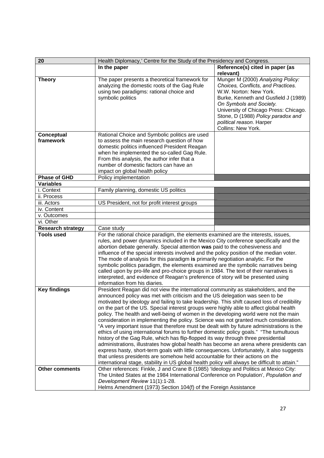| 20                       | Health Diplomacy,' Centre for the Study of the Presidency and Congress.                                                                                                                 |                                                                         |
|--------------------------|-----------------------------------------------------------------------------------------------------------------------------------------------------------------------------------------|-------------------------------------------------------------------------|
|                          | In the paper                                                                                                                                                                            | Reference(s) cited in paper (as                                         |
|                          |                                                                                                                                                                                         | relevant)                                                               |
| <b>Theory</b>            | The paper presents a theoretical framework for<br>analyzing the domestic roots of the Gag Rule                                                                                          | Munger M (2000) Analyzing Policy:<br>Choices, Conflicts, and Practices. |
|                          | using two paradigms: rational choice and                                                                                                                                                | W.W. Norton: New York.                                                  |
|                          | symbolic politics                                                                                                                                                                       | Burke, Kenneth and Gusfield J (1989)<br>On Symbols and Society.         |
|                          |                                                                                                                                                                                         | University of Chicago Press: Chicago.                                   |
|                          |                                                                                                                                                                                         | Stone, D (1988) Policy paradox and                                      |
|                          |                                                                                                                                                                                         | political reason. Harper                                                |
|                          |                                                                                                                                                                                         | Collins: New York.                                                      |
| <b>Conceptual</b>        | Rational Choice and Symbolic politics are used                                                                                                                                          |                                                                         |
| framework                | to assess the main research question of how                                                                                                                                             |                                                                         |
|                          | domestic politics influenced President Reagan                                                                                                                                           |                                                                         |
|                          | when he implemented the so-called Gag Rule.                                                                                                                                             |                                                                         |
|                          | From this analysis, the author infer that a<br>number of domestic factors can have an                                                                                                   |                                                                         |
|                          | impact on global health policy                                                                                                                                                          |                                                                         |
| Phase of GHD             | Policy implementation                                                                                                                                                                   |                                                                         |
| <b>Variables</b>         |                                                                                                                                                                                         |                                                                         |
| i. Context               | Family planning, domestic US politics                                                                                                                                                   |                                                                         |
| ii. Process              |                                                                                                                                                                                         |                                                                         |
| iii. Actors              | US President, not for profit interest groups                                                                                                                                            |                                                                         |
| iv. Content              |                                                                                                                                                                                         |                                                                         |
| v. Outcomes              |                                                                                                                                                                                         |                                                                         |
| vi. Other                |                                                                                                                                                                                         |                                                                         |
| <b>Research strategy</b> | Case study                                                                                                                                                                              |                                                                         |
| <b>Tools used</b>        | For the rational choice paradigm, the elements examined are the interests, issues,                                                                                                      |                                                                         |
|                          | rules, and power dynamics included in the Mexico City conference specifically and the<br>abortion debate generally. Special attention was paid to the cohesiveness and                  |                                                                         |
|                          | influence of the special interests involved and the policy position of the median voter.                                                                                                |                                                                         |
|                          | The mode of analysis for this paradigm is primarily negotiation analytic. For the                                                                                                       |                                                                         |
|                          | symbolic politics paradigm, the elements examined are the symbolic narratives being                                                                                                     |                                                                         |
|                          | called upon by pro-life and pro-choice groups in 1984. The text of their narratives is                                                                                                  |                                                                         |
|                          | interpreted, and evidence of Reagan's preference of story will be presented using                                                                                                       |                                                                         |
|                          | information from his diaries.                                                                                                                                                           |                                                                         |
| <b>Key findings</b>      | President Reagan did not view the international community as stakeholders, and the                                                                                                      |                                                                         |
|                          | announced policy was met with criticism and the US delegation was seen to be                                                                                                            |                                                                         |
|                          | motivated by ideology and failing to take leadership. This shift caused loss of credibility<br>on the part of the US. Special interest groups were highly able to affect global health  |                                                                         |
|                          | policy. The health and well-being of women in the developing world were not the main                                                                                                    |                                                                         |
|                          | consideration in implementing the policy. Science was not granted much consideration.                                                                                                   |                                                                         |
|                          | "A very important issue that therefore must be dealt with by future administrations is the                                                                                              |                                                                         |
|                          | ethics of using international forums to further domestic policy goals." "The tumultuous                                                                                                 |                                                                         |
|                          | history of the Gag Rule, which has flip-flopped its way through three presidential                                                                                                      |                                                                         |
|                          | administrations, illustrates how global health has become an arena where presidents can                                                                                                 |                                                                         |
|                          | express hasty, short-term goals with little consequences. Unfortunately, it also suggests                                                                                               |                                                                         |
|                          | that unless presidents are somehow held accountable for their actions on the                                                                                                            |                                                                         |
|                          | international stage, stability in US global health policy will always be difficult to attain."<br>Other references: Finkle, J and Crane B (1985) 'Ideology and Politics at Mexico City: |                                                                         |
| <b>Other comments</b>    | The United States at the 1984 International Conference on Population', Population and                                                                                                   |                                                                         |
|                          | Development Review 11(1):1-28.                                                                                                                                                          |                                                                         |
|                          | Helms Amendment (1973) Section 104(f) of the Foreign Assistance                                                                                                                         |                                                                         |
|                          |                                                                                                                                                                                         |                                                                         |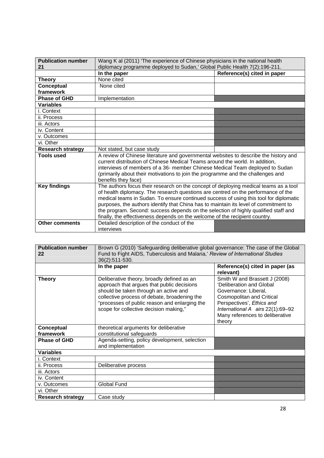| <b>Publication number</b> | Wang K al (2011) 'The experience of Chinese physicians in the national health                                                                                                                                                                                                                                                                                                                                                                                                                                                    |                             |
|---------------------------|----------------------------------------------------------------------------------------------------------------------------------------------------------------------------------------------------------------------------------------------------------------------------------------------------------------------------------------------------------------------------------------------------------------------------------------------------------------------------------------------------------------------------------|-----------------------------|
| 21                        | diplomacy programme deployed to Sudan,' Global Public Health 7(2):196-211.                                                                                                                                                                                                                                                                                                                                                                                                                                                       |                             |
|                           | In the paper                                                                                                                                                                                                                                                                                                                                                                                                                                                                                                                     | Reference(s) cited in paper |
| <b>Theory</b>             | None cited                                                                                                                                                                                                                                                                                                                                                                                                                                                                                                                       |                             |
| Conceptual                | None cited                                                                                                                                                                                                                                                                                                                                                                                                                                                                                                                       |                             |
| framework                 |                                                                                                                                                                                                                                                                                                                                                                                                                                                                                                                                  |                             |
| <b>Phase of GHD</b>       | Implementation                                                                                                                                                                                                                                                                                                                                                                                                                                                                                                                   |                             |
| <b>Variables</b>          |                                                                                                                                                                                                                                                                                                                                                                                                                                                                                                                                  |                             |
| i. Context                |                                                                                                                                                                                                                                                                                                                                                                                                                                                                                                                                  |                             |
| ii. Process               |                                                                                                                                                                                                                                                                                                                                                                                                                                                                                                                                  |                             |
| iii. Actors               |                                                                                                                                                                                                                                                                                                                                                                                                                                                                                                                                  |                             |
| iv. Content               |                                                                                                                                                                                                                                                                                                                                                                                                                                                                                                                                  |                             |
| v. Outcomes               |                                                                                                                                                                                                                                                                                                                                                                                                                                                                                                                                  |                             |
| vi. Other                 |                                                                                                                                                                                                                                                                                                                                                                                                                                                                                                                                  |                             |
| <b>Research strategy</b>  | Not stated, but case study                                                                                                                                                                                                                                                                                                                                                                                                                                                                                                       |                             |
| <b>Tools used</b>         | A review of Chinese literature and governmental websites to describe the history and<br>current distribution of Chinese Medical Teams around the world. In addition,<br>interviews of members of a 36- member Chinese Medical Team deployed to Sudan<br>(primarily about their motivations to join the programme and the challenges and<br>benefits they face)                                                                                                                                                                   |                             |
| <b>Key findings</b>       | The authors focus their research on the concept of deploying medical teams as a tool<br>of health diplomacy. The research questions are centred on the performance of the<br>medical teams in Sudan. To ensure continued success of using this tool for diplomatic<br>purposes, the authors identify that China has to maintain its level of commitment to<br>the program. Second: success depends on the selection of highly qualified staff and<br>finally, the effectiveness depends on the welcome of the recipient country. |                             |
| <b>Other comments</b>     | Detailed description of the conduct of the<br>interviews                                                                                                                                                                                                                                                                                                                                                                                                                                                                         |                             |

| <b>Publication number</b><br>22 | Brown G (2010) 'Safeguarding deliberative global governance: The case of the Global<br>Fund to Fight AIDS, Tuberculosis and Malaria,' Review of International Studies<br>36(2):511-530.                                                                                      |                                                                                                                                                                                                                              |
|---------------------------------|------------------------------------------------------------------------------------------------------------------------------------------------------------------------------------------------------------------------------------------------------------------------------|------------------------------------------------------------------------------------------------------------------------------------------------------------------------------------------------------------------------------|
|                                 | In the paper                                                                                                                                                                                                                                                                 | Reference(s) cited in paper (as<br>relevant)                                                                                                                                                                                 |
| <b>Theory</b>                   | Deliberative theory, broadly defined as an<br>approach that argues that public decisions<br>should be taken through an active and<br>collective process of debate, broadening the<br>"processes of public reason and enlarging the<br>scope for collective decision making," | Smith W and Brassett J (2008)<br>'Deliberation and Global<br>Governance: Liberal,<br>Cosmopolitan and Critical<br>Perspectives', Ethics and<br>International A airs 22(1):69-92<br>Many references to deliberative<br>theory |
| Conceptual<br>framework         | theoretical arguments for deliberative<br>constitutional safeguards                                                                                                                                                                                                          |                                                                                                                                                                                                                              |
| <b>Phase of GHD</b>             | Agenda-setting, policy development, selection<br>and implementation                                                                                                                                                                                                          |                                                                                                                                                                                                                              |
| <b>Variables</b>                |                                                                                                                                                                                                                                                                              |                                                                                                                                                                                                                              |
| i. Context                      |                                                                                                                                                                                                                                                                              |                                                                                                                                                                                                                              |
| ii. Process                     | Deliberative process                                                                                                                                                                                                                                                         |                                                                                                                                                                                                                              |
| iii. Actors                     |                                                                                                                                                                                                                                                                              |                                                                                                                                                                                                                              |
| iv. Content                     |                                                                                                                                                                                                                                                                              |                                                                                                                                                                                                                              |
| v. Outcomes                     | <b>Global Fund</b>                                                                                                                                                                                                                                                           |                                                                                                                                                                                                                              |
| vi. Other                       |                                                                                                                                                                                                                                                                              |                                                                                                                                                                                                                              |
| <b>Research strategy</b>        | Case study                                                                                                                                                                                                                                                                   |                                                                                                                                                                                                                              |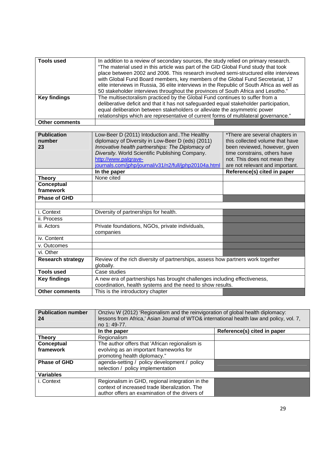| Tools used            | In addition to a review of secondary sources, the study relied on primary research.<br>"The material used in this article was part of the GID Global Fund study that took<br>place between 2002 and 2006. This research involved semi-structured elite interviews<br>with Global Fund Board members, key members of the Global Fund Secretariat, 17<br>elite interviews in Russia, 36 elite interviews in the Republic of South Africa as well as<br>50 stakeholder interviews throughout the provinces of South Africa and Lesotho." |
|-----------------------|---------------------------------------------------------------------------------------------------------------------------------------------------------------------------------------------------------------------------------------------------------------------------------------------------------------------------------------------------------------------------------------------------------------------------------------------------------------------------------------------------------------------------------------|
| <b>Key findings</b>   | The multisectoralism practiced by the Global Fund continues to suffer from a<br>deliberative deficit and that it has not safeguarded equal stakeholder participation,<br>equal deliberation between stakeholders or alleviate the asymmetric power<br>relationships which are representative of current forms of multilateral governance."                                                                                                                                                                                            |
| <b>Other comments</b> |                                                                                                                                                                                                                                                                                                                                                                                                                                                                                                                                       |

| <b>Publication</b>       | Low-Beer D (2011) Intoduction andThe Healthy                                    | *There are several chapters in  |
|--------------------------|---------------------------------------------------------------------------------|---------------------------------|
| number                   | diplomacy of Diversity in Low-Beer D (eds) (2011)                               | this collected volume that have |
| 23                       | Innovative health partnerships: The Diplomacy of                                | been reviewed, however, given   |
|                          | Diversity. World Scientific Publishing Company.                                 | time constrains, others have    |
|                          | http://www.palgrave-                                                            | not. This does not mean they    |
|                          |                                                                                 |                                 |
|                          | journals.com/jphp/journal/v31/n2/full/jphp20104a.html                           | are not relevant and important. |
|                          | In the paper                                                                    | Reference(s) cited in paper     |
| <b>Theory</b>            | None cited                                                                      |                                 |
| Conceptual               |                                                                                 |                                 |
| framework                |                                                                                 |                                 |
| <b>Phase of GHD</b>      |                                                                                 |                                 |
|                          |                                                                                 |                                 |
| i. Context               | Diversity of partnerships for health.                                           |                                 |
|                          |                                                                                 |                                 |
| ii. Process              |                                                                                 |                                 |
| iii. Actors              | Private foundations, NGOs, private individuals,                                 |                                 |
|                          | companies                                                                       |                                 |
| iv. Content              |                                                                                 |                                 |
| v. Outcomes              |                                                                                 |                                 |
| vi. Other                |                                                                                 |                                 |
| <b>Research strategy</b> | Review of the rich diversity of partnerships, assess how partners work together |                                 |
|                          | globally.                                                                       |                                 |
| <b>Tools used</b>        | Case studies                                                                    |                                 |
| <b>Key findings</b>      | A new era of partnerships has brought challenges including effectiveness,       |                                 |
|                          | coordination, health systems and the need to show results.                      |                                 |
| <b>Other comments</b>    | This is the introductory chapter                                                |                                 |
|                          |                                                                                 |                                 |

| <b>Publication number</b><br>24 | Onzivu W (2012) 'Regionalism and the reinvigoration of global health diplomacy:<br>lessons from Africa,' Asian Journal of WTO& international health law and policy, vol. 7,<br>no 1:49-77. |                             |
|---------------------------------|--------------------------------------------------------------------------------------------------------------------------------------------------------------------------------------------|-----------------------------|
|                                 | In the paper                                                                                                                                                                               | Reference(s) cited in paper |
| <b>Theory</b>                   | Regionalism                                                                                                                                                                                |                             |
| Conceptual<br>framework         | The author offers that 'African regionalism is<br>evolving as an important frameworks for<br>promoting health diplomacy."                                                                  |                             |
| <b>Phase of GHD</b>             | agenda-setting / policy development / policy<br>selection / policy implementation                                                                                                          |                             |
| <b>Variables</b>                |                                                                                                                                                                                            |                             |
| i. Context                      | Regionalism in GHD, regional integration in the<br>context of increased trade liberalization. The<br>author offers an examination of the drivers of                                        |                             |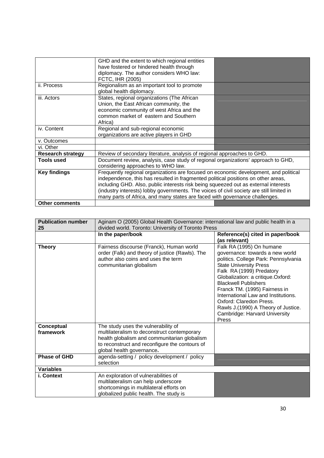|                          | GHD and the extent to which regional entities<br>have fostered or hindered health through<br>diplomacy. The author considers WHO law:<br>FCTC, IHR (2005)                                                                                                                                                                                                                                                                                   |  |
|--------------------------|---------------------------------------------------------------------------------------------------------------------------------------------------------------------------------------------------------------------------------------------------------------------------------------------------------------------------------------------------------------------------------------------------------------------------------------------|--|
| ii. Process              | Regionalism as an important tool to promote<br>global health diplomacy.                                                                                                                                                                                                                                                                                                                                                                     |  |
| iii. Actors              | States, regional organizations (The African<br>Union, the East African community, the<br>economic community of west Africa and the<br>common market of eastern and Southern<br>Africa)                                                                                                                                                                                                                                                      |  |
| iv. Content              | Regional and sub-regional economic<br>organizations are active players in GHD                                                                                                                                                                                                                                                                                                                                                               |  |
| v. Outcomes              |                                                                                                                                                                                                                                                                                                                                                                                                                                             |  |
| vi. Other                |                                                                                                                                                                                                                                                                                                                                                                                                                                             |  |
| <b>Research strategy</b> | Review of secondary literature, analysis of regional approaches to GHD.                                                                                                                                                                                                                                                                                                                                                                     |  |
| <b>Tools used</b>        | Document review, analysis, case study of regional organizations' approach to GHD,<br>considering approaches to WHO law.                                                                                                                                                                                                                                                                                                                     |  |
| <b>Key findings</b>      | Frequently regional organizations are focused on economic development, and political<br>independence, this has resulted in fragmented political positions on other areas,<br>including GHD. Also, public interests risk being squeezed out as external interests<br>(industry interests) lobby governments. The voices of civil society are still limited in<br>many parts of Africa, and many states are faced with governance challenges. |  |
| <b>Other comments</b>    |                                                                                                                                                                                                                                                                                                                                                                                                                                             |  |

| <b>Publication number</b><br>25 | Aginam O (2005) Global Health Governance: international law and public health in a<br>divided world. Toronto: University of Toronto Press                                                                         |                                                                                                                                                                                                                                                                                                                                                                                                                          |
|---------------------------------|-------------------------------------------------------------------------------------------------------------------------------------------------------------------------------------------------------------------|--------------------------------------------------------------------------------------------------------------------------------------------------------------------------------------------------------------------------------------------------------------------------------------------------------------------------------------------------------------------------------------------------------------------------|
|                                 | In the paper/book                                                                                                                                                                                                 | Reference(s) cited in paper/book<br>(as relevant)                                                                                                                                                                                                                                                                                                                                                                        |
| <b>Theory</b>                   | Fairness discourse (Franck), Human world<br>order (Falk) and theory of justice (Rawls). The<br>author also coins and uses the term<br>communitarian globalism                                                     | Falk RA (1995) On humane<br>governance: towards a new world<br>politics. College Park: Pennsylvania<br><b>State University Press</b><br>Falk RA (1999) Predatory<br>Globalization: a critique.Oxford:<br><b>Blackwell Publishers</b><br>Franck TM. (1995) Fairness in<br>International Law and Institutions.<br>Oxford: Claredon Press.<br>Rawls J.(1990) A Theory of Justice.<br>Cambridge: Harvard University<br>Press |
| <b>Conceptual</b><br>framework  | The study uses the vulnerability of<br>multilateralism to deconstruct contemporary<br>health globalism and communitarian globalism<br>to reconstruct and reconfigure the contours of<br>global health governance. |                                                                                                                                                                                                                                                                                                                                                                                                                          |
| <b>Phase of GHD</b>             | agenda-setting / policy development / policy<br>selection                                                                                                                                                         |                                                                                                                                                                                                                                                                                                                                                                                                                          |
| <b>Variables</b>                |                                                                                                                                                                                                                   |                                                                                                                                                                                                                                                                                                                                                                                                                          |
| i. Context                      | An exploration of vulnerabilities of<br>multilateralism can help underscore<br>shortcomings in multilateral efforts on<br>globalized public health. The study is                                                  |                                                                                                                                                                                                                                                                                                                                                                                                                          |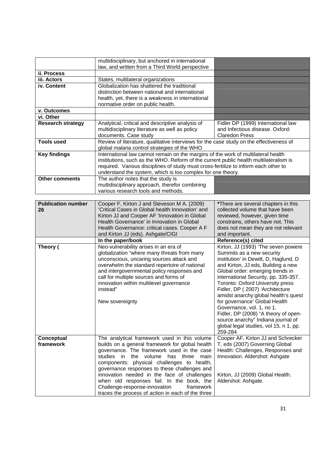|                           | multidisciplinary, but anchored in international                                                                                                                             |                                                                          |
|---------------------------|------------------------------------------------------------------------------------------------------------------------------------------------------------------------------|--------------------------------------------------------------------------|
|                           | law, and written from a Third World perspective                                                                                                                              |                                                                          |
| ii. Process               |                                                                                                                                                                              |                                                                          |
| iii. Actors               | States, multilateral organizations                                                                                                                                           |                                                                          |
| iv. Content               | Globalization has shattered the traditional                                                                                                                                  |                                                                          |
|                           | distinction between national and international                                                                                                                               |                                                                          |
|                           | health, yet, there is a weakness in international                                                                                                                            |                                                                          |
|                           | normative order on public health.                                                                                                                                            |                                                                          |
| v. Outcomes               |                                                                                                                                                                              |                                                                          |
| vi. Other                 |                                                                                                                                                                              |                                                                          |
| <b>Research strategy</b>  | Analytical, critical and descriptive analysis of                                                                                                                             | Fidler DP (1999) International law                                       |
|                           | multidisciplinary literature as well as policy                                                                                                                               | and Infectious disease. Oxford:                                          |
|                           | documents. Case study                                                                                                                                                        | <b>Claredon Press</b>                                                    |
| <b>Tools used</b>         | Review of literature, qualitative interviews for the case study on the effectiveness of                                                                                      |                                                                          |
|                           | global malaria control strategies of the WHO                                                                                                                                 |                                                                          |
| <b>Key findings</b>       | International law cannot remain on the margins of the work of multilateral health                                                                                            |                                                                          |
|                           | institutions, such as the WHO. Reform of the current public health multilateralism is<br>required. Various disciplines of study must cross-fertilize to inform each other to |                                                                          |
|                           | understand the system, which is too complex for one theory.                                                                                                                  |                                                                          |
| <b>Other comments</b>     | The author notes that the study is                                                                                                                                           |                                                                          |
|                           | multidisciplinary approach, therefor combining                                                                                                                               |                                                                          |
|                           | various research tools and methods.                                                                                                                                          |                                                                          |
|                           |                                                                                                                                                                              |                                                                          |
| <b>Publication number</b> | Cooper F, Kirton J and Steveson M A. (2009)                                                                                                                                  | *There are several chapters in this                                      |
| 26                        | 'Critical Cases in Global health Innovation' and                                                                                                                             | collected volume that have been                                          |
|                           | Kirton JJ and Cooper AF 'Innovation in Global                                                                                                                                | reviewed, however, given time                                            |
|                           | Health Governance' in Innovation in Global                                                                                                                                   | constrains, others have not. This                                        |
|                           | Health Governance: critical cases. Cooper A F                                                                                                                                | does not mean they are not relevant                                      |
|                           | and Kirton JJ (eds). Ashgate/CIGI                                                                                                                                            | and important.                                                           |
|                           | In the paper/book                                                                                                                                                            | Reference(s) cited                                                       |
| Theory (                  | Neo-vulnerability arises in an era of                                                                                                                                        | Kirton, JJ (1993) 'The seven powere                                      |
|                           | globalization "where many threats from many                                                                                                                                  | Summits as a new security                                                |
|                           | unconscious, uncaring sources attack and                                                                                                                                     | institution' in Dewitt, D, Haglund, D                                    |
|                           | overwhelm the standard repertoire of national                                                                                                                                | and Kirton, JJ eds, Building a new                                       |
|                           | and intergovernmental policy responses and                                                                                                                                   | Global order: emerging trends in<br>international Security, pp. 335-357. |
|                           | call for multiple sources and forms of<br>innovation within multilevel governance                                                                                            | Toronto: Oxford University press                                         |
|                           | instead"                                                                                                                                                                     | Fidler, DP (2007) 'Architecture                                          |
|                           |                                                                                                                                                                              | amidst anarchy: global health's quest                                    |
|                           | New sovereignty                                                                                                                                                              | for governance' Global Health                                            |
|                           |                                                                                                                                                                              | Governance, vol. 1, no 1.                                                |
|                           |                                                                                                                                                                              | Fidler, DP (2008) "A theory of open-                                     |
|                           |                                                                                                                                                                              | source anarchy" Indiana journal of                                       |
|                           |                                                                                                                                                                              | global legal studies, vol 15, n 1, pp.                                   |
|                           |                                                                                                                                                                              | 259-284                                                                  |
| Conceptual                | The analytical framework used in this volume                                                                                                                                 | Cooper AF, Kirton JJ and Schrecker                                       |
| framework                 | builds on a general framework for global health                                                                                                                              | T, eds (2007) Governing Global                                           |
|                           | governance. The framework used in the case                                                                                                                                   | Health: Challenges, Responses and                                        |
|                           | studies in the volume<br>has<br>three<br>main                                                                                                                                | Innovation. Aldershot: Ashgate                                           |
|                           | components: physical challenges to health,                                                                                                                                   |                                                                          |
|                           | governance responses to these challenges and<br>innovation needed in the face of challenges                                                                                  |                                                                          |
|                           | when old responses fail. In the book, the                                                                                                                                    | Kirton, JJ (2009) Global Health.<br>Aldershot: Ashgate.                  |
|                           | Challenge-response-innovation<br>framework                                                                                                                                   |                                                                          |
|                           | traces the process of action in each of the three                                                                                                                            |                                                                          |
|                           |                                                                                                                                                                              |                                                                          |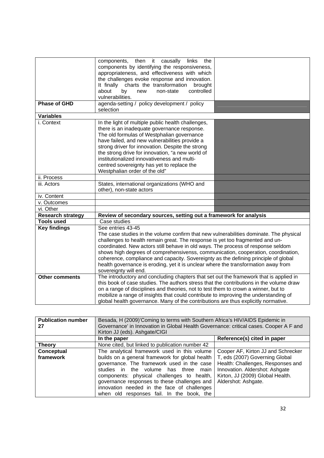|                                                                                                                                                                                                 | components, then it causally<br>the<br>links<br>components by identifying the responsiveness,                                                                                                                                                                                                                                                                                                                                                                                                                                                                                                                                                                                                                                                                                                                                                                                                                                                                                                                                                                                                                   |  |
|-------------------------------------------------------------------------------------------------------------------------------------------------------------------------------------------------|-----------------------------------------------------------------------------------------------------------------------------------------------------------------------------------------------------------------------------------------------------------------------------------------------------------------------------------------------------------------------------------------------------------------------------------------------------------------------------------------------------------------------------------------------------------------------------------------------------------------------------------------------------------------------------------------------------------------------------------------------------------------------------------------------------------------------------------------------------------------------------------------------------------------------------------------------------------------------------------------------------------------------------------------------------------------------------------------------------------------|--|
|                                                                                                                                                                                                 | appropriateness, and effectiveness with which                                                                                                                                                                                                                                                                                                                                                                                                                                                                                                                                                                                                                                                                                                                                                                                                                                                                                                                                                                                                                                                                   |  |
|                                                                                                                                                                                                 | the challenges evoke response and innovation.                                                                                                                                                                                                                                                                                                                                                                                                                                                                                                                                                                                                                                                                                                                                                                                                                                                                                                                                                                                                                                                                   |  |
|                                                                                                                                                                                                 |                                                                                                                                                                                                                                                                                                                                                                                                                                                                                                                                                                                                                                                                                                                                                                                                                                                                                                                                                                                                                                                                                                                 |  |
|                                                                                                                                                                                                 |                                                                                                                                                                                                                                                                                                                                                                                                                                                                                                                                                                                                                                                                                                                                                                                                                                                                                                                                                                                                                                                                                                                 |  |
|                                                                                                                                                                                                 |                                                                                                                                                                                                                                                                                                                                                                                                                                                                                                                                                                                                                                                                                                                                                                                                                                                                                                                                                                                                                                                                                                                 |  |
|                                                                                                                                                                                                 |                                                                                                                                                                                                                                                                                                                                                                                                                                                                                                                                                                                                                                                                                                                                                                                                                                                                                                                                                                                                                                                                                                                 |  |
|                                                                                                                                                                                                 |                                                                                                                                                                                                                                                                                                                                                                                                                                                                                                                                                                                                                                                                                                                                                                                                                                                                                                                                                                                                                                                                                                                 |  |
|                                                                                                                                                                                                 |                                                                                                                                                                                                                                                                                                                                                                                                                                                                                                                                                                                                                                                                                                                                                                                                                                                                                                                                                                                                                                                                                                                 |  |
|                                                                                                                                                                                                 |                                                                                                                                                                                                                                                                                                                                                                                                                                                                                                                                                                                                                                                                                                                                                                                                                                                                                                                                                                                                                                                                                                                 |  |
|                                                                                                                                                                                                 |                                                                                                                                                                                                                                                                                                                                                                                                                                                                                                                                                                                                                                                                                                                                                                                                                                                                                                                                                                                                                                                                                                                 |  |
|                                                                                                                                                                                                 |                                                                                                                                                                                                                                                                                                                                                                                                                                                                                                                                                                                                                                                                                                                                                                                                                                                                                                                                                                                                                                                                                                                 |  |
|                                                                                                                                                                                                 |                                                                                                                                                                                                                                                                                                                                                                                                                                                                                                                                                                                                                                                                                                                                                                                                                                                                                                                                                                                                                                                                                                                 |  |
|                                                                                                                                                                                                 |                                                                                                                                                                                                                                                                                                                                                                                                                                                                                                                                                                                                                                                                                                                                                                                                                                                                                                                                                                                                                                                                                                                 |  |
|                                                                                                                                                                                                 |                                                                                                                                                                                                                                                                                                                                                                                                                                                                                                                                                                                                                                                                                                                                                                                                                                                                                                                                                                                                                                                                                                                 |  |
|                                                                                                                                                                                                 |                                                                                                                                                                                                                                                                                                                                                                                                                                                                                                                                                                                                                                                                                                                                                                                                                                                                                                                                                                                                                                                                                                                 |  |
|                                                                                                                                                                                                 |                                                                                                                                                                                                                                                                                                                                                                                                                                                                                                                                                                                                                                                                                                                                                                                                                                                                                                                                                                                                                                                                                                                 |  |
|                                                                                                                                                                                                 |                                                                                                                                                                                                                                                                                                                                                                                                                                                                                                                                                                                                                                                                                                                                                                                                                                                                                                                                                                                                                                                                                                                 |  |
|                                                                                                                                                                                                 |                                                                                                                                                                                                                                                                                                                                                                                                                                                                                                                                                                                                                                                                                                                                                                                                                                                                                                                                                                                                                                                                                                                 |  |
|                                                                                                                                                                                                 |                                                                                                                                                                                                                                                                                                                                                                                                                                                                                                                                                                                                                                                                                                                                                                                                                                                                                                                                                                                                                                                                                                                 |  |
|                                                                                                                                                                                                 |                                                                                                                                                                                                                                                                                                                                                                                                                                                                                                                                                                                                                                                                                                                                                                                                                                                                                                                                                                                                                                                                                                                 |  |
|                                                                                                                                                                                                 |                                                                                                                                                                                                                                                                                                                                                                                                                                                                                                                                                                                                                                                                                                                                                                                                                                                                                                                                                                                                                                                                                                                 |  |
|                                                                                                                                                                                                 |                                                                                                                                                                                                                                                                                                                                                                                                                                                                                                                                                                                                                                                                                                                                                                                                                                                                                                                                                                                                                                                                                                                 |  |
|                                                                                                                                                                                                 |                                                                                                                                                                                                                                                                                                                                                                                                                                                                                                                                                                                                                                                                                                                                                                                                                                                                                                                                                                                                                                                                                                                 |  |
|                                                                                                                                                                                                 |                                                                                                                                                                                                                                                                                                                                                                                                                                                                                                                                                                                                                                                                                                                                                                                                                                                                                                                                                                                                                                                                                                                 |  |
|                                                                                                                                                                                                 |                                                                                                                                                                                                                                                                                                                                                                                                                                                                                                                                                                                                                                                                                                                                                                                                                                                                                                                                                                                                                                                                                                                 |  |
|                                                                                                                                                                                                 |                                                                                                                                                                                                                                                                                                                                                                                                                                                                                                                                                                                                                                                                                                                                                                                                                                                                                                                                                                                                                                                                                                                 |  |
|                                                                                                                                                                                                 |                                                                                                                                                                                                                                                                                                                                                                                                                                                                                                                                                                                                                                                                                                                                                                                                                                                                                                                                                                                                                                                                                                                 |  |
|                                                                                                                                                                                                 | The case studies in the volume confirm that new vulnerabilities dominate. The physical                                                                                                                                                                                                                                                                                                                                                                                                                                                                                                                                                                                                                                                                                                                                                                                                                                                                                                                                                                                                                          |  |
|                                                                                                                                                                                                 | challenges to health remain great. The response is yet too fragmented and un-                                                                                                                                                                                                                                                                                                                                                                                                                                                                                                                                                                                                                                                                                                                                                                                                                                                                                                                                                                                                                                   |  |
|                                                                                                                                                                                                 | coordinated. New actors still behave in old ways. The process of response seldom                                                                                                                                                                                                                                                                                                                                                                                                                                                                                                                                                                                                                                                                                                                                                                                                                                                                                                                                                                                                                                |  |
|                                                                                                                                                                                                 | shows high degrees of comprehensivenss, communication, cooperation, coordination,                                                                                                                                                                                                                                                                                                                                                                                                                                                                                                                                                                                                                                                                                                                                                                                                                                                                                                                                                                                                                               |  |
|                                                                                                                                                                                                 | coherence, compliance and capacity. Sovereignty as the defining principle of global                                                                                                                                                                                                                                                                                                                                                                                                                                                                                                                                                                                                                                                                                                                                                                                                                                                                                                                                                                                                                             |  |
|                                                                                                                                                                                                 | health governance is eroding, yet it is unclear where the transformation away from                                                                                                                                                                                                                                                                                                                                                                                                                                                                                                                                                                                                                                                                                                                                                                                                                                                                                                                                                                                                                              |  |
|                                                                                                                                                                                                 |                                                                                                                                                                                                                                                                                                                                                                                                                                                                                                                                                                                                                                                                                                                                                                                                                                                                                                                                                                                                                                                                                                                 |  |
| <b>Other comments</b>                                                                                                                                                                           | The introductory and concluding chapters that set out the framework that is applied in                                                                                                                                                                                                                                                                                                                                                                                                                                                                                                                                                                                                                                                                                                                                                                                                                                                                                                                                                                                                                          |  |
|                                                                                                                                                                                                 | this book of case studies. The authors stress that the contributions in the volume draw                                                                                                                                                                                                                                                                                                                                                                                                                                                                                                                                                                                                                                                                                                                                                                                                                                                                                                                                                                                                                         |  |
|                                                                                                                                                                                                 |                                                                                                                                                                                                                                                                                                                                                                                                                                                                                                                                                                                                                                                                                                                                                                                                                                                                                                                                                                                                                                                                                                                 |  |
|                                                                                                                                                                                                 |                                                                                                                                                                                                                                                                                                                                                                                                                                                                                                                                                                                                                                                                                                                                                                                                                                                                                                                                                                                                                                                                                                                 |  |
|                                                                                                                                                                                                 |                                                                                                                                                                                                                                                                                                                                                                                                                                                                                                                                                                                                                                                                                                                                                                                                                                                                                                                                                                                                                                                                                                                 |  |
| Phase of GHD<br><b>Variables</b><br>i. Context<br>ii. Process<br>iii. Actors<br>iv. Content<br>v. Outcomes<br>vi. Other<br><b>Research strategy</b><br><b>Tools used</b><br><b>Key findings</b> | It finally charts the transformation<br>brought<br>controlled<br>about<br>by<br>new<br>non-state<br>vulnerabilities.<br>agenda-setting / policy development / policy<br>selection<br>In the light of multiple public health challenges,<br>there is an inadequate governance response.<br>The old formulas of Westphalian governance<br>have failed, and new vulnerabilities provide a<br>strong driver for innovation. Despite the strong<br>the strong drive for innovation, "a new world of<br>institutionalized innovativeness and multi-<br>centred sovereignty has yet to replace the<br>Westphalian order of the old"<br>States, international organizations (WHO and<br>other), non-state actors<br>Review of secondary sources, setting out a framework for analysis<br>Case studies<br>See entries 43-45<br>sovereignty will end.<br>on a range of disciplines and theories, not to test them to crown a winner, but to<br>mobilize a range of insights that could contribute to improving the understanding of<br>global health governance. Many of the contributions are thus explicitly normative. |  |

| <b>Publication number</b><br>27 | Besada, H (2009)'Coming to terms with Southern Africa's HIV/AIDS Epidemic in<br>Governance' in Innovation in Global Health Governance: critical cases. Cooper A F and<br>Kirton JJ (eds). Ashgate/CIGI |                                    |
|---------------------------------|--------------------------------------------------------------------------------------------------------------------------------------------------------------------------------------------------------|------------------------------------|
|                                 | Reference(s) cited in paper<br>In the paper                                                                                                                                                            |                                    |
| <b>Theory</b>                   | None cited, but linked to publication number 42                                                                                                                                                        |                                    |
| Conceptual                      | The analytical framework used in this volume                                                                                                                                                           | Cooper AF, Kirton JJ and Schrecker |
| framework                       | builds on a general framework for global health                                                                                                                                                        | T, eds (2007) Governing Global     |
|                                 | governance. The framework used in the case                                                                                                                                                             | Health: Challenges, Responses and  |
|                                 | studies in the volume has three main                                                                                                                                                                   | Innovation. Aldershot: Ashgate     |
|                                 | components: physical challenges to health,                                                                                                                                                             | Kirton, JJ (2009) Global Health.   |
|                                 | governance responses to these challenges and                                                                                                                                                           | Aldershot: Ashgate.                |
|                                 | innovation needed in the face of challenges                                                                                                                                                            |                                    |
|                                 | when old responses fail. In the book, the                                                                                                                                                              |                                    |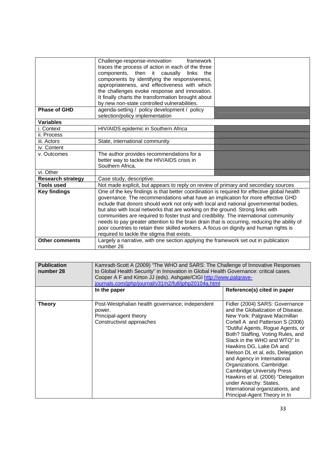|                          | Challenge-response-innovation framework<br>traces the process of action in each of the three<br>components, then it causally links the<br>components by identifying the responsiveness,<br>appropriateness, and effectiveness with which<br>the challenges evoke response and innovation.<br>It finally charts the transformation brought about                                                                                                                                                                                                                                                                                                                                            |  |
|--------------------------|--------------------------------------------------------------------------------------------------------------------------------------------------------------------------------------------------------------------------------------------------------------------------------------------------------------------------------------------------------------------------------------------------------------------------------------------------------------------------------------------------------------------------------------------------------------------------------------------------------------------------------------------------------------------------------------------|--|
|                          | by new non-state controlled vulnerabilities.                                                                                                                                                                                                                                                                                                                                                                                                                                                                                                                                                                                                                                               |  |
| <b>Phase of GHD</b>      | agenda-setting / policy development / policy<br>selection/policy implementation                                                                                                                                                                                                                                                                                                                                                                                                                                                                                                                                                                                                            |  |
| <b>Variables</b>         |                                                                                                                                                                                                                                                                                                                                                                                                                                                                                                                                                                                                                                                                                            |  |
| i. Context               | HIV/AIDS epidemic in Southern Africa                                                                                                                                                                                                                                                                                                                                                                                                                                                                                                                                                                                                                                                       |  |
| ii. Process              |                                                                                                                                                                                                                                                                                                                                                                                                                                                                                                                                                                                                                                                                                            |  |
| iii. Actors              | State, international community                                                                                                                                                                                                                                                                                                                                                                                                                                                                                                                                                                                                                                                             |  |
| iv. Content              |                                                                                                                                                                                                                                                                                                                                                                                                                                                                                                                                                                                                                                                                                            |  |
| v. Outcomes              | The author provides recommendations for a<br>better way to tackle the HIV/AIDS crisis in<br>Southern Africa.                                                                                                                                                                                                                                                                                                                                                                                                                                                                                                                                                                               |  |
| vi. Other                |                                                                                                                                                                                                                                                                                                                                                                                                                                                                                                                                                                                                                                                                                            |  |
| <b>Research strategy</b> | Case study, descriptive.                                                                                                                                                                                                                                                                                                                                                                                                                                                                                                                                                                                                                                                                   |  |
| <b>Tools used</b>        | Not made explicit, but appears to reply on review of primary and secondary sources                                                                                                                                                                                                                                                                                                                                                                                                                                                                                                                                                                                                         |  |
| <b>Key findings</b>      | One of the key findings is that better coordination is required for effective global health<br>governance. The recommendations what have an implication for more effective GHD<br>include that donors should work not only with local and national governmental bodies,<br>but also with local networks that are working on the ground. Strong links with<br>communities are required to foster trust and credibility. The international community<br>needs to pay greater attention to the brain drain that is occurring, reducing the ability of<br>poor countries to retain their skilled workers. A focus on dignity and human rights is<br>required to tackle the stigma that exists. |  |
| <b>Other comments</b>    | Largely a narrative, with one section applying the framework set out in publication<br>number 26                                                                                                                                                                                                                                                                                                                                                                                                                                                                                                                                                                                           |  |

| <b>Publication</b><br>number 28 | Kamradt-Scott A (2009) "The WHO and SARS: The Challenge of Innovative Responses<br>to Global Health Security" in Innovation in Global Health Governance: critical cases.<br>Cooper A F and Kirton JJ (eds). Ashgate/CIGI http://www.palgrave-<br>journals.com/jphp/journal/v31/n2/full/jphp20104a.html |                                                                                                                                                                                                                                                                                                                                                                                                                                                                                                                                                       |
|---------------------------------|--------------------------------------------------------------------------------------------------------------------------------------------------------------------------------------------------------------------------------------------------------------------------------------------------------|-------------------------------------------------------------------------------------------------------------------------------------------------------------------------------------------------------------------------------------------------------------------------------------------------------------------------------------------------------------------------------------------------------------------------------------------------------------------------------------------------------------------------------------------------------|
|                                 | In the paper                                                                                                                                                                                                                                                                                           | Reference(s) cited in paper                                                                                                                                                                                                                                                                                                                                                                                                                                                                                                                           |
| <b>Theory</b>                   | Post-Westphalian health governance; independent<br>power.<br>Principal-agent theory<br>Constructivist approaches                                                                                                                                                                                       | Fidler (2004) SARS: Governance<br>and the Globalization of Disease.<br>New York: Palgrave Macmillan<br>Cortell A and Patterson S (2006)<br>"Dutiful Agents, Rogue Agents, or<br>Both? Staffing, Voting Rules, and<br>Slack in the WHO and WTO" In<br>Hawkins DG, Lake DA and<br>Nielson DL et al, eds, Delegation<br>and Agency in International<br>Organizations. Cambridge:<br><b>Cambridge University Press</b><br>Hawkins et al. (2006) "Delegation<br>under Anarchy: States,<br>International organizations, and<br>Principal-Agent Theory in In |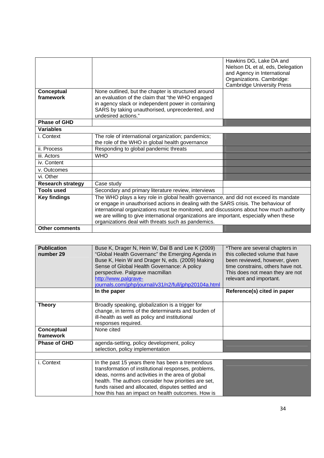|                          |                                                                                         | Hawkins DG, Lake DA and           |
|--------------------------|-----------------------------------------------------------------------------------------|-----------------------------------|
|                          |                                                                                         | Nielson DL et al, eds, Delegation |
|                          |                                                                                         | and Agency in International       |
|                          |                                                                                         | Organizations. Cambridge:         |
|                          |                                                                                         | <b>Cambridge University Press</b> |
| Conceptual               | None outlined, but the chapter is structured around                                     |                                   |
| framework                | an evaluation of the claim that "the WHO engaged                                        |                                   |
|                          | in agency slack or independent power in containing                                      |                                   |
|                          | SARS by taking unauthorised, unprecedented, and                                         |                                   |
|                          | undesired actions."                                                                     |                                   |
| <b>Phase of GHD</b>      |                                                                                         |                                   |
| <b>Variables</b>         |                                                                                         |                                   |
| i. Context               | The role of international organization; pandemics;                                      |                                   |
|                          | the role of the WHO in global health governance                                         |                                   |
| ii. Process              | Responding to global pandemic threats                                                   |                                   |
| iii. Actors              | <b>WHO</b>                                                                              |                                   |
| iv. Content              |                                                                                         |                                   |
| v. Outcomes              |                                                                                         |                                   |
| vi. Other                |                                                                                         |                                   |
| <b>Research strategy</b> | Case study                                                                              |                                   |
| <b>Tools used</b>        | Secondary and primary literature review, interviews                                     |                                   |
| <b>Key findings</b>      | The WHO plays a key role in global health governance, and did not exceed its mandate    |                                   |
|                          | or engage in unauthorised actions in dealing with the SARS crisis. The behaviour of     |                                   |
|                          | international organizations must be monitored, and discussions about how much authority |                                   |
|                          | we are willing to give international organizations are important, especially when these |                                   |
|                          | organizations deal with threats such as pandemics.                                      |                                   |
| <b>Other comments</b>    |                                                                                         |                                   |

| <b>Publication</b><br>number 29 | Buse K, Drager N, Hein W, Dal B and Lee K (2009)<br>"Global Health Governanc" the Emerging Agenda in<br>Buse K, Hein W and Drager N, eds. (2009) Making<br>Sense of Global Health Governance: A policy<br>perspective. Palgrave macmillan<br>http://www.palgrave-<br>journals.com/jphp/journal/v31/n2/full/jphp20104a.html     | *There are several chapters in<br>this collected volume that have<br>been reviewed, however, given<br>time constrains, others have not.<br>This does not mean they are not<br>relevant and important. |
|---------------------------------|--------------------------------------------------------------------------------------------------------------------------------------------------------------------------------------------------------------------------------------------------------------------------------------------------------------------------------|-------------------------------------------------------------------------------------------------------------------------------------------------------------------------------------------------------|
|                                 | In the paper                                                                                                                                                                                                                                                                                                                   | Reference(s) cited in paper                                                                                                                                                                           |
| <b>Theory</b>                   | Broadly speaking, globalization is a trigger for<br>change, in terms of the determinants and burden of<br>ill-health as well as policy and institutional<br>responses required.                                                                                                                                                |                                                                                                                                                                                                       |
| Conceptual<br>framework         | None cited                                                                                                                                                                                                                                                                                                                     |                                                                                                                                                                                                       |
| <b>Phase of GHD</b>             | agenda-setting, policy development, policy<br>selection, policy implementation                                                                                                                                                                                                                                                 |                                                                                                                                                                                                       |
| i. Context                      | In the past 15 years there has been a tremendous<br>transformation of institutional responses, problems,<br>ideas, norms and activities in the area of global<br>health. The authors consider how priorities are set,<br>funds raised and allocated, disputes settled and<br>how this has an impact on health outcomes. How is |                                                                                                                                                                                                       |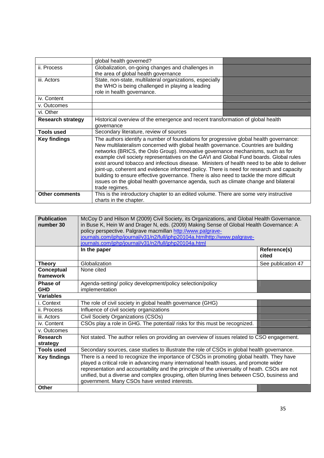|                          | global health governed?                                                                                                                                                                                                                                                                                                                                                                                                                                                                                                                                                                                                                                                                                                                                    |  |
|--------------------------|------------------------------------------------------------------------------------------------------------------------------------------------------------------------------------------------------------------------------------------------------------------------------------------------------------------------------------------------------------------------------------------------------------------------------------------------------------------------------------------------------------------------------------------------------------------------------------------------------------------------------------------------------------------------------------------------------------------------------------------------------------|--|
| ii. Process              | Globalization, on-going changes and challenges in                                                                                                                                                                                                                                                                                                                                                                                                                                                                                                                                                                                                                                                                                                          |  |
|                          | the area of global health governance                                                                                                                                                                                                                                                                                                                                                                                                                                                                                                                                                                                                                                                                                                                       |  |
| iii. Actors              | State, non-state, multilateral organizations, especially                                                                                                                                                                                                                                                                                                                                                                                                                                                                                                                                                                                                                                                                                                   |  |
|                          | the WHO is being challenged in playing a leading                                                                                                                                                                                                                                                                                                                                                                                                                                                                                                                                                                                                                                                                                                           |  |
|                          | role in health governance.                                                                                                                                                                                                                                                                                                                                                                                                                                                                                                                                                                                                                                                                                                                                 |  |
| iv. Content              |                                                                                                                                                                                                                                                                                                                                                                                                                                                                                                                                                                                                                                                                                                                                                            |  |
| v. Outcomes              |                                                                                                                                                                                                                                                                                                                                                                                                                                                                                                                                                                                                                                                                                                                                                            |  |
| vi. Other                |                                                                                                                                                                                                                                                                                                                                                                                                                                                                                                                                                                                                                                                                                                                                                            |  |
| <b>Research strategy</b> | Historical overview of the emergence and recent transformation of global health                                                                                                                                                                                                                                                                                                                                                                                                                                                                                                                                                                                                                                                                            |  |
|                          | governance                                                                                                                                                                                                                                                                                                                                                                                                                                                                                                                                                                                                                                                                                                                                                 |  |
| <b>Tools used</b>        | Secondary literature, review of sources                                                                                                                                                                                                                                                                                                                                                                                                                                                                                                                                                                                                                                                                                                                    |  |
| <b>Key findings</b>      | The authors identify a number of foundations for progressive global health governance:<br>New multilateralism concerned with global health governance. Countries are building<br>networks (BRICS, the Oslo Group). Innovative governance mechanisms, such as for<br>example civil society representatives on the GAVI and Global Fund boards. Global rules<br>exist around tobacco and infectious disease. Ministers of health need to be able to deliver<br>joint-up, coherent and evidence informed policy. There is need for research and capacity<br>building to ensure effective governance. There is also need to tackle the more difficult<br>issues on the global health governance agenda, such as climate change and bilateral<br>trade regimes. |  |
| <b>Other comments</b>    | This is the introductory chapter to an edited volume. There are some very instructive<br>charts in the chapter.                                                                                                                                                                                                                                                                                                                                                                                                                                                                                                                                                                                                                                            |  |

| <b>Publication</b><br>number 30 | McCoy D and Hilson M (2009) Civil Society, its Organizations, and Global Health Governance.<br>in Buse K, Hein W and Drager N, eds. (2009) Making Sense of Global Health Governance: A<br>policy perspective. Palgrave macmillan http://www.palgrave-<br>journals.com/jphp/journal/v31/n2/full/jphp20104a.htmlhttp://www.palgrave-<br>journals.com/jphp/journal/v31/n2/full/jphp20104a.html                                           |                       |
|---------------------------------|---------------------------------------------------------------------------------------------------------------------------------------------------------------------------------------------------------------------------------------------------------------------------------------------------------------------------------------------------------------------------------------------------------------------------------------|-----------------------|
|                                 | In the paper                                                                                                                                                                                                                                                                                                                                                                                                                          | Reference(s)<br>cited |
| <b>Theory</b>                   | Globalization                                                                                                                                                                                                                                                                                                                                                                                                                         | See publication 47    |
| Conceptual<br>framework         | None cited                                                                                                                                                                                                                                                                                                                                                                                                                            |                       |
| Phase of<br><b>GHD</b>          | Agenda-setting/ policy development/policy selection/policy<br>implementation                                                                                                                                                                                                                                                                                                                                                          |                       |
| <b>Variables</b>                |                                                                                                                                                                                                                                                                                                                                                                                                                                       |                       |
| i. Context                      | The role of civil society in global health governance (GHG)                                                                                                                                                                                                                                                                                                                                                                           |                       |
| ii. Process                     | Influence of civil society organizations                                                                                                                                                                                                                                                                                                                                                                                              |                       |
| iii. Actors                     | Civil Society Organizations (CSOs)                                                                                                                                                                                                                                                                                                                                                                                                    |                       |
| iv. Content                     | CSOs play a role in GHG. The potential/ risks for this must be recognized.                                                                                                                                                                                                                                                                                                                                                            |                       |
| v. Outcomes                     |                                                                                                                                                                                                                                                                                                                                                                                                                                       |                       |
| <b>Research</b><br>strategy     | Not stated. The author relies on providing an overview of issues related to CSO engagement.                                                                                                                                                                                                                                                                                                                                           |                       |
| <b>Tools used</b>               | Secondary sources, case studies to illustrate the role of CSOs in global health governance.                                                                                                                                                                                                                                                                                                                                           |                       |
| <b>Key findings</b>             | There is a need to recognize the importance of CSOs in promoting global health. They have<br>played a critical role in advancing many international health issues, and promote wider<br>representation and accountability and the principle of the universality of heath. CSOs are not<br>unified, but a diverse and complex grouping, often blurring lines between CSO, business and<br>government. Many CSOs have vested interests. |                       |
| <b>Other</b>                    |                                                                                                                                                                                                                                                                                                                                                                                                                                       |                       |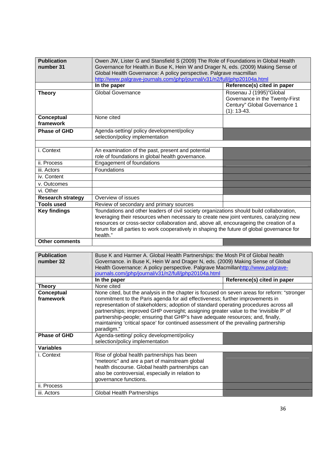| <b>Publication</b><br>number 31 | Owen JW, Lister G and Stansfield S (2009) The Role of Foundations in Global Health<br>Governance for Health.in Buse K, Hein W and Drager N, eds. (2009) Making Sense of<br>Global Health Governance: A policy perspective. Palgrave macmillan<br>http://www.palgrave-journals.com/jphp/journal/v31/n2/full/jphp20104a.html                                                              |                                                                                                            |
|---------------------------------|-----------------------------------------------------------------------------------------------------------------------------------------------------------------------------------------------------------------------------------------------------------------------------------------------------------------------------------------------------------------------------------------|------------------------------------------------------------------------------------------------------------|
|                                 | In the paper                                                                                                                                                                                                                                                                                                                                                                            | Reference(s) cited in paper                                                                                |
| <b>Theory</b>                   | <b>Global Governance</b>                                                                                                                                                                                                                                                                                                                                                                | Rosenau J (1995)"Global<br>Governance in the Twenty-First<br>Century" Global Governance 1<br>$(1): 13-43.$ |
| Conceptual<br>framework         | None cited                                                                                                                                                                                                                                                                                                                                                                              |                                                                                                            |
| <b>Phase of GHD</b>             | Agenda-setting/ policy development/policy<br>selection/policy implementation                                                                                                                                                                                                                                                                                                            |                                                                                                            |
| i. Context                      | An examination of the past, present and potential<br>role of foundations in global health governance.                                                                                                                                                                                                                                                                                   |                                                                                                            |
| ii. Process                     | <b>Engagement of foundations</b>                                                                                                                                                                                                                                                                                                                                                        |                                                                                                            |
| iii. Actors                     | Foundations                                                                                                                                                                                                                                                                                                                                                                             |                                                                                                            |
| iv. Content                     |                                                                                                                                                                                                                                                                                                                                                                                         |                                                                                                            |
| v. Outcomes                     |                                                                                                                                                                                                                                                                                                                                                                                         |                                                                                                            |
| vi. Other                       |                                                                                                                                                                                                                                                                                                                                                                                         |                                                                                                            |
| <b>Research strategy</b>        | Overview of issues                                                                                                                                                                                                                                                                                                                                                                      |                                                                                                            |
| <b>Tools used</b>               | Review of secondary and primary sources                                                                                                                                                                                                                                                                                                                                                 |                                                                                                            |
| <b>Key findings</b>             | 'foundations and other leaders of civil society organizations should build collaboration,<br>leveraging their resources when necessary to create new joint ventures, caralyzing new<br>resources or cross-sector collaboration and, above all, encourageing the creation of a<br>forum for all parties to work cooperatively in shaping the future of global governance for<br>health." |                                                                                                            |
| <b>Other comments</b>           |                                                                                                                                                                                                                                                                                                                                                                                         |                                                                                                            |
|                                 |                                                                                                                                                                                                                                                                                                                                                                                         |                                                                                                            |
| <b>Publication</b><br>number 32 | Buse K and Harmer A. Global Health Partnerships: the Mosh Pit of Global health<br>Governance. in Buse K, Hein W and Drager N, eds. (2009) Making Sense of Global<br>Health Governance: A policy perspective. Palgrave Macmillanhttp://www.palgrave-<br>journals.com/jphp/journal/v31/n2/full/jphp20104a.html                                                                            |                                                                                                            |
|                                 | In the paper                                                                                                                                                                                                                                                                                                                                                                            | Reference(s) cited in paper                                                                                |
| <b>Theory</b>                   | None cited                                                                                                                                                                                                                                                                                                                                                                              |                                                                                                            |

| I HEOLY                 | <b>INOLIC GILCU</b>                                                                                                                                                                                                                                                                                                                                                                                                                                                                                                                                  |  |
|-------------------------|------------------------------------------------------------------------------------------------------------------------------------------------------------------------------------------------------------------------------------------------------------------------------------------------------------------------------------------------------------------------------------------------------------------------------------------------------------------------------------------------------------------------------------------------------|--|
| Conceptual<br>framework | None cited, but the analysis in the chapter is focused on seven areas for reform: "stronger<br>commitment to the Paris agenda for aid effectiveness; further improvements in<br>representation of stakeholders; adoption of standard operating procedures across all<br>partnerships; improved GHP oversight; assigning greater value to the 'invisible P' of<br>partnership-people; ensuring that GHP's have adequate resources; and, finally,<br>maintaining 'critical space' for continued assessment of the prevailing partnership<br>paradigm." |  |
| <b>Phase of GHD</b>     | Agenda-setting/ policy development/policy<br>selection/policy implementation                                                                                                                                                                                                                                                                                                                                                                                                                                                                         |  |
| <b>Variables</b>        |                                                                                                                                                                                                                                                                                                                                                                                                                                                                                                                                                      |  |
| i. Context              | Rise of global health partnerships has been<br>"meteoric" and are a part of mainstream global<br>health discourse. Global health partnerships can<br>also be controversial, especially in relation to<br>governance functions.                                                                                                                                                                                                                                                                                                                       |  |
| ii. Process             |                                                                                                                                                                                                                                                                                                                                                                                                                                                                                                                                                      |  |
| iii. Actors             | <b>Global Health Partnerships</b>                                                                                                                                                                                                                                                                                                                                                                                                                                                                                                                    |  |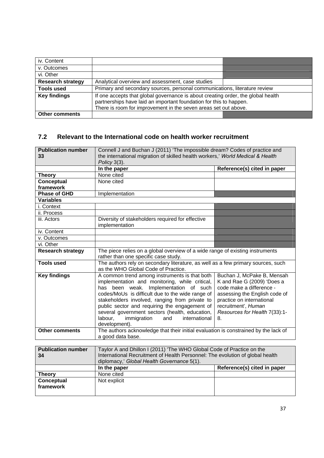| iv. Content              |                                                                                                                                                                                                                           |  |
|--------------------------|---------------------------------------------------------------------------------------------------------------------------------------------------------------------------------------------------------------------------|--|
| v. Outcomes              |                                                                                                                                                                                                                           |  |
| vi. Other                |                                                                                                                                                                                                                           |  |
| <b>Research strategy</b> | Analytical overview and assessment, case studies                                                                                                                                                                          |  |
| <b>Tools used</b>        | Primary and secondary sources, personal communications, literature review                                                                                                                                                 |  |
| <b>Key findings</b>      | If one accepts that global governance is about creating order, the global health<br>partnerships have laid an important foundation for this to happen.<br>There is room for improvement in the seven areas set out above. |  |
| <b>Other comments</b>    |                                                                                                                                                                                                                           |  |

### **7.2 Relevant to the International code on health worker recruitment**

| <b>Publication number</b> | Connell J and Buchan J (2011) 'The impossible dream? Codes of practice and          |                               |
|---------------------------|-------------------------------------------------------------------------------------|-------------------------------|
| 33                        | the international migration of skilled health workers,' World Medical & Health      |                               |
|                           | Policy 3(3).                                                                        |                               |
|                           | In the paper                                                                        | Reference(s) cited in paper   |
| <b>Theory</b>             | None cited                                                                          |                               |
| Conceptual                | None cited                                                                          |                               |
| framework                 |                                                                                     |                               |
| <b>Phase of GHD</b>       | Implementation                                                                      |                               |
| <b>Variables</b>          |                                                                                     |                               |
| i. Context                |                                                                                     |                               |
| ii. Process               |                                                                                     |                               |
| iii. Actors               | Diversity of stakeholders required for effective                                    |                               |
|                           | implementation                                                                      |                               |
| iv. Content               |                                                                                     |                               |
| v. Outcomes               |                                                                                     |                               |
| vi. Other                 |                                                                                     |                               |
| <b>Research strategy</b>  | The piece relies on a global overview of a wide range of existing instruments       |                               |
|                           | rather than one specific case study.                                                |                               |
| <b>Tools used</b>         | The authors rely on secondary literature, as well as a few primary sources, such    |                               |
|                           | as the WHO Global Code of Practice.                                                 |                               |
| <b>Key findings</b>       | A common trend among instruments is that both                                       | Buchan J, McPake B, Mensah    |
|                           | implementation and monitoring, while critical,                                      | K and Rae G (2009) 'Does a    |
|                           | has been weak. Implementation of such                                               | code make a difference -      |
|                           | codes/MoUs is difficult due to the wide range of                                    | assessing the English code of |
|                           | stakeholders involved, ranging from private to                                      | practice on international     |
|                           | public sector and requiring the engagement of                                       | recruitment', Human           |
|                           | several government sectors (health, education,                                      | Resources for Health 7(33):1- |
|                           | labour,<br>immigration<br>and<br>international                                      | 8.                            |
|                           | development).                                                                       |                               |
| <b>Other comments</b>     | The authors acknowledge that their initial evaluation is constrained by the lack of |                               |
|                           | a good data base.                                                                   |                               |
|                           |                                                                                     |                               |
| <b>Publication number</b> | Taylor A and Dhillon I (2011) 'The WHO Global Code of Practice on the               |                               |
| 34                        | International Recruitment of Health Personnel: The evolution of global health       |                               |
|                           | diplomacy,' Global Health Governance 5(1).                                          |                               |
|                           |                                                                                     | Defensess/a) sited in         |

|                                | diplomacy,' Global Health Governance 5(1). |                             |
|--------------------------------|--------------------------------------------|-----------------------------|
|                                | In the paper                               | Reference(s) cited in paper |
| <b>Theory</b>                  | None cited                                 |                             |
| <b>Conceptual</b><br>framework | Not explicit                               |                             |
|                                |                                            |                             |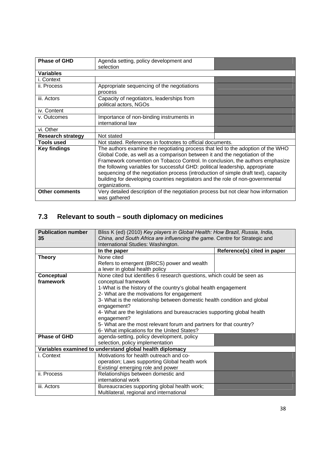| <b>Phase of GHD</b>      | Agenda setting, policy development and<br>selection                                                                                                                                                                                                                                                                                                                                                                                                                                                                        |  |
|--------------------------|----------------------------------------------------------------------------------------------------------------------------------------------------------------------------------------------------------------------------------------------------------------------------------------------------------------------------------------------------------------------------------------------------------------------------------------------------------------------------------------------------------------------------|--|
| <b>Variables</b>         |                                                                                                                                                                                                                                                                                                                                                                                                                                                                                                                            |  |
| i. Context               |                                                                                                                                                                                                                                                                                                                                                                                                                                                                                                                            |  |
| ii. Process              | Appropriate sequencing of the negotiations<br>process                                                                                                                                                                                                                                                                                                                                                                                                                                                                      |  |
| iii. Actors              | Capacity of negotiators, leaderships from<br>political actors, NGOs                                                                                                                                                                                                                                                                                                                                                                                                                                                        |  |
| iv. Content              |                                                                                                                                                                                                                                                                                                                                                                                                                                                                                                                            |  |
| v. Outcomes              | Importance of non-binding instruments in<br>international law                                                                                                                                                                                                                                                                                                                                                                                                                                                              |  |
| vi. Other                |                                                                                                                                                                                                                                                                                                                                                                                                                                                                                                                            |  |
| <b>Research strategy</b> | Not stated                                                                                                                                                                                                                                                                                                                                                                                                                                                                                                                 |  |
| <b>Tools used</b>        | Not stated. References in footnotes to official documents.                                                                                                                                                                                                                                                                                                                                                                                                                                                                 |  |
| <b>Key findings</b>      | The authors examine the negotiating process that led to the adoption of the WHO<br>Global Code, as well as a comparison between it and the negotiation of the<br>Framework convention on Tobacco Control. In conclusion, the authors emphasize<br>the following variables for successful GHD: political leadership, appropriate<br>sequencing of the negotiation process (introduction of simple draft text), capacity<br>building for developing countries negotiators and the role of non-governmental<br>organizations. |  |
| <b>Other comments</b>    | Very detailed description of the negotiation process but not clear how information<br>was gathered                                                                                                                                                                                                                                                                                                                                                                                                                         |  |

# **7.3 Relevant to south – south diplomacy on medicines**

| <b>Publication number</b><br>35 | Bliss K (ed) (2010) Key players in Global Health: How Brazil, Russia, India,<br>China, and South Africa are influencing the game. Centre for Strategic and<br>International Studies: Washington. |                             |
|---------------------------------|--------------------------------------------------------------------------------------------------------------------------------------------------------------------------------------------------|-----------------------------|
|                                 | In the paper                                                                                                                                                                                     | Reference(s) cited in paper |
| <b>Theory</b>                   | None cited                                                                                                                                                                                       |                             |
|                                 | Refers to emergent (BRICS) power and wealth                                                                                                                                                      |                             |
|                                 | a lever in global health policy                                                                                                                                                                  |                             |
| Conceptual                      | None cited but identifies 6 research questions, which could be seen as                                                                                                                           |                             |
| framework                       | conceptual framework                                                                                                                                                                             |                             |
|                                 | 1-What is the history of the country's global health engagement                                                                                                                                  |                             |
|                                 | 2- What are the motivations for engagement                                                                                                                                                       |                             |
|                                 | 3- What is the relationship between domestic health condition and global                                                                                                                         |                             |
|                                 | engagement?                                                                                                                                                                                      |                             |
|                                 | 4- What are the legislations and bureaucracies supporting global health                                                                                                                          |                             |
|                                 | engagement?                                                                                                                                                                                      |                             |
|                                 | 5- What are the most relevant forum and partners for that country?                                                                                                                               |                             |
|                                 | 6- What implications for the United States?                                                                                                                                                      |                             |
| <b>Phase of GHD</b>             | agenda-setting, policy development, policy                                                                                                                                                       |                             |
|                                 | selection, policy implementation                                                                                                                                                                 |                             |
|                                 | Variables examined to understand global health diplomacy                                                                                                                                         |                             |
| i. Context                      | Motivations for health outreach and co-                                                                                                                                                          |                             |
|                                 | operation; Laws supporting Global health work                                                                                                                                                    |                             |
|                                 | Existing/ emerging role and power                                                                                                                                                                |                             |
| ii. Process                     | Relationships between domestic and                                                                                                                                                               |                             |
|                                 | international work                                                                                                                                                                               |                             |
| iii. Actors                     | Bureaucracies supporting global health work;                                                                                                                                                     |                             |
|                                 | Multilateral, regional and international                                                                                                                                                         |                             |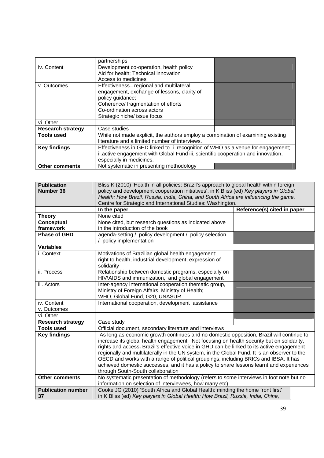|                          | partnerships                                                                      |  |
|--------------------------|-----------------------------------------------------------------------------------|--|
| iv. Content              | Development co-operation, health policy                                           |  |
|                          | Aid for health; Technical innovation                                              |  |
|                          | Access to medicines                                                               |  |
| v. Outcomes              | Effectiveness- regional and multilateral                                          |  |
|                          | engagement, exchange of lessons, clarity of                                       |  |
|                          | policy guidance;                                                                  |  |
|                          | Coherence/ fragmentation of efforts                                               |  |
|                          | Co-ordination across actors                                                       |  |
|                          | Strategic niche/ issue focus                                                      |  |
| vi. Other                |                                                                                   |  |
| <b>Research strategy</b> | Case studies                                                                      |  |
| <b>Tools used</b>        | While not made explicit, the authors employ a combination of examining existing   |  |
|                          | literature and a limited number of interviews.                                    |  |
| <b>Key findings</b>      | Effectiveness in GHD linked to i. recognition of WHO as a venue for engagement;   |  |
|                          | ii.active engagement with Global Fund iii. scientific cooperation and innovation, |  |
|                          | especially in medicines.                                                          |  |
| <b>Other comments</b>    | Not systematic in presenting methodology                                          |  |

| <b>Publication</b><br>Number 36 | Bliss K (2010) 'Health in all policies: Brazil's approach to global health within foreign<br>policy and development cooperation initiatives', in K Bliss (ed) Key players in Global<br>Health: How Brazil, Russia, India, China, and South Africa are influencing the game. |                             |
|---------------------------------|-----------------------------------------------------------------------------------------------------------------------------------------------------------------------------------------------------------------------------------------------------------------------------|-----------------------------|
|                                 | Centre for Strategic and International Studies: Washington.                                                                                                                                                                                                                 |                             |
|                                 | In the paper                                                                                                                                                                                                                                                                | Reference(s) cited in paper |
| <b>Theory</b>                   | None cited                                                                                                                                                                                                                                                                  |                             |
| Conceptual                      | None cited, but research questions as indicated above                                                                                                                                                                                                                       |                             |
| framework                       | in the introduction of the book                                                                                                                                                                                                                                             |                             |
| <b>Phase of GHD</b>             | agenda-setting / policy development / policy selection<br>policy implementation                                                                                                                                                                                             |                             |
| <b>Variables</b>                |                                                                                                                                                                                                                                                                             |                             |
| i. Context                      | Motivations of Brazilian global health engagement:<br>right to health, industrial development, expression of<br>solidarity                                                                                                                                                  |                             |
| ii. Process                     | Relationship between domestic programs, especially on<br>HIV\AIDS and immunization, and global engagement                                                                                                                                                                   |                             |
| iii. Actors                     | Inter-agency International cooperation thematic group,<br>Ministry of Foreign Affairs, Ministry of Health;<br>WHO, Global Fund, G20, UNASUR                                                                                                                                 |                             |
| iv. Content                     | International cooperation, development assistance                                                                                                                                                                                                                           |                             |
| v. Outcomes                     |                                                                                                                                                                                                                                                                             |                             |
| vi. Other                       |                                                                                                                                                                                                                                                                             |                             |
| <b>Research strategy</b>        | Case study                                                                                                                                                                                                                                                                  |                             |
| <b>Tools used</b>               | Official document, secondary literature and interviews                                                                                                                                                                                                                      |                             |
| <b>Key findings</b>             | As long as economic growth continues and no domestic opposition, Brazil will continue to                                                                                                                                                                                    |                             |
|                                 | increase its global health engagement. Not focusing on health security but on solidarity,                                                                                                                                                                                   |                             |
|                                 | rights and access. Brazil's effective voice in GHD can be linked to its active engagement                                                                                                                                                                                   |                             |
|                                 | regionally and multilaterally in the UN system, in the Global Fund. It is an observer to the                                                                                                                                                                                |                             |
|                                 | OECD and works with a range of political groupings, including BRICs and IBSA. It has                                                                                                                                                                                        |                             |
|                                 | achieved domestic successes, and it has a policy to share lessons learnt and experiences                                                                                                                                                                                    |                             |
|                                 | through South-South collaboration                                                                                                                                                                                                                                           |                             |
| <b>Other comments</b>           | No systematic presentation of methodology (refers to some interviews in foot note but no<br>information on selection of interviewees, how many etc)                                                                                                                         |                             |
| <b>Publication number</b>       | Cooke JG (2010) 'South Africa and Global Health: minding the home front first'                                                                                                                                                                                              |                             |
| 37                              | in K Bliss (ed) Key players in Global Health: How Brazil, Russia, India, China,                                                                                                                                                                                             |                             |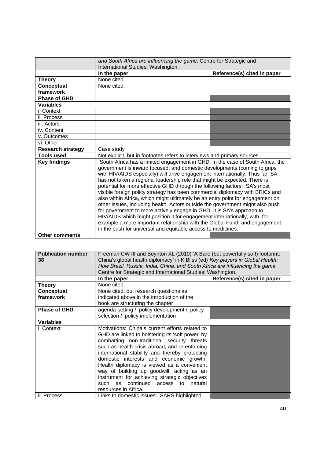|                          | and South Africa are influencing the game. Centre for Strategic and<br>International Studies: Washington.                                                                                                                                                                                                                                                                                                                                                                                                                                                                                                                                                                                                                                                                                                                                                                                                                                                     |                             |
|--------------------------|---------------------------------------------------------------------------------------------------------------------------------------------------------------------------------------------------------------------------------------------------------------------------------------------------------------------------------------------------------------------------------------------------------------------------------------------------------------------------------------------------------------------------------------------------------------------------------------------------------------------------------------------------------------------------------------------------------------------------------------------------------------------------------------------------------------------------------------------------------------------------------------------------------------------------------------------------------------|-----------------------------|
|                          | In the paper                                                                                                                                                                                                                                                                                                                                                                                                                                                                                                                                                                                                                                                                                                                                                                                                                                                                                                                                                  | Reference(s) cited in paper |
| <b>Theory</b>            | None cited.                                                                                                                                                                                                                                                                                                                                                                                                                                                                                                                                                                                                                                                                                                                                                                                                                                                                                                                                                   |                             |
| Conceptual               | None cited.                                                                                                                                                                                                                                                                                                                                                                                                                                                                                                                                                                                                                                                                                                                                                                                                                                                                                                                                                   |                             |
| framework                |                                                                                                                                                                                                                                                                                                                                                                                                                                                                                                                                                                                                                                                                                                                                                                                                                                                                                                                                                               |                             |
| <b>Phase of GHD</b>      |                                                                                                                                                                                                                                                                                                                                                                                                                                                                                                                                                                                                                                                                                                                                                                                                                                                                                                                                                               |                             |
| <b>Variables</b>         |                                                                                                                                                                                                                                                                                                                                                                                                                                                                                                                                                                                                                                                                                                                                                                                                                                                                                                                                                               |                             |
| i. Context               |                                                                                                                                                                                                                                                                                                                                                                                                                                                                                                                                                                                                                                                                                                                                                                                                                                                                                                                                                               |                             |
| ii. Process              |                                                                                                                                                                                                                                                                                                                                                                                                                                                                                                                                                                                                                                                                                                                                                                                                                                                                                                                                                               |                             |
| iii. Actors              |                                                                                                                                                                                                                                                                                                                                                                                                                                                                                                                                                                                                                                                                                                                                                                                                                                                                                                                                                               |                             |
| iv. Content              |                                                                                                                                                                                                                                                                                                                                                                                                                                                                                                                                                                                                                                                                                                                                                                                                                                                                                                                                                               |                             |
| v. Outcomes              |                                                                                                                                                                                                                                                                                                                                                                                                                                                                                                                                                                                                                                                                                                                                                                                                                                                                                                                                                               |                             |
| vi. Other                |                                                                                                                                                                                                                                                                                                                                                                                                                                                                                                                                                                                                                                                                                                                                                                                                                                                                                                                                                               |                             |
| <b>Research strategy</b> | Case study                                                                                                                                                                                                                                                                                                                                                                                                                                                                                                                                                                                                                                                                                                                                                                                                                                                                                                                                                    |                             |
| <b>Tools used</b>        | Not explicit, but in footnotes refers to interviews and primary sources                                                                                                                                                                                                                                                                                                                                                                                                                                                                                                                                                                                                                                                                                                                                                                                                                                                                                       |                             |
| <b>Key findings</b>      | South Africa has a limited engagement in GHD. In the case of South Africa, the<br>government is inward focused, and domestic developments (coming to grips<br>with HIV/AIDS especially) will drive engagement internationally. Thus far, SA<br>has not taken a regional leadership role that might be expected. There is<br>potential for more effective GHD through the following factors: SA's most<br>visible foreign policy strategy has been commercial diplomacy with BRICs and<br>also within Africa, which might ultimately be an entry point for engagement on<br>other issues, including health. Actors outside the government might also push<br>for government to more actively engage in GHD. It is SA's approach to<br>HIV/AIDS which might position it for engagement internationally, with, for<br>example a more important relationship with the Global Fund; and engagement<br>in the push for universal and equitable access to medicines. |                             |
| <b>Other comments</b>    |                                                                                                                                                                                                                                                                                                                                                                                                                                                                                                                                                                                                                                                                                                                                                                                                                                                                                                                                                               |                             |

| <b>Publication number</b> | Freeman CW III and Boynton XL (2010) 'A Bare (but powerfully soft) footprint:  |                             |
|---------------------------|--------------------------------------------------------------------------------|-----------------------------|
| 38                        | China's global health diplomacy' in K Bliss (ed) Key players in Global Health: |                             |
|                           | How Brazil, Russia, India, China, and South Africa are influencing the game.   |                             |
|                           | Centre for Strategic and International Studies: Washington.                    |                             |
|                           | In the paper                                                                   | Reference(s) cited in paper |
| <b>Theory</b>             | None cited                                                                     |                             |
| Conceptual                | None cited, but research questions as                                          |                             |
| framework                 | indicated above in the introduction of the                                     |                             |
|                           | book are structuring the chapter                                               |                             |
| <b>Phase of GHD</b>       | agenda-setting / policy development / policy                                   |                             |
|                           | selection / policy implementation                                              |                             |
| <b>Variables</b>          |                                                                                |                             |
| i. Context                | Motivations: China's current efforts related to                                |                             |
|                           | GHD are linked to bolstering its 'soft power' by                               |                             |
|                           | combatting non-traditional security threats                                    |                             |
|                           | such as health crisis abroad, and re-enforcing                                 |                             |
|                           | international stability and thereby protecting                                 |                             |
|                           | domestic interests and economic growth.                                        |                             |
|                           | Health diplomacy is viewed as a convenient                                     |                             |
|                           | way of building up goodwill, acting as an                                      |                             |
|                           | instrument for achieving strategic objectives                                  |                             |
|                           | such as continued<br>access to natural                                         |                             |
|                           | resources in Africa.                                                           |                             |
| ii. Process               | Links to domestic issues: SARS highlighted                                     |                             |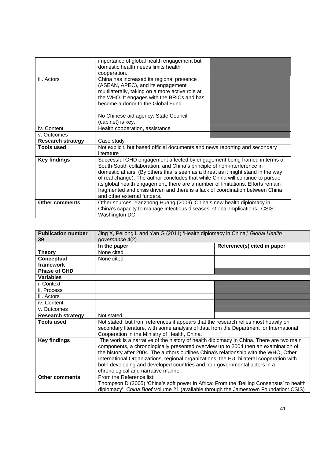|                          | importance of global health engagement but<br>domestic health needs limits health<br>cooperation.                                                                                                                                                                                                                                                                                                                                                                                                                                |  |
|--------------------------|----------------------------------------------------------------------------------------------------------------------------------------------------------------------------------------------------------------------------------------------------------------------------------------------------------------------------------------------------------------------------------------------------------------------------------------------------------------------------------------------------------------------------------|--|
| iii. Actors              | China has increased its regional presence<br>(ASEAN, APEC), and its engagement<br>multilaterally, taking on a more active role at<br>the WHO. It engages with the BRICs and has<br>become a donor to the Global Fund.<br>No Chinese aid agency, State Council                                                                                                                                                                                                                                                                    |  |
|                          | (cabinet) is key.                                                                                                                                                                                                                                                                                                                                                                                                                                                                                                                |  |
| iv. Content              | Health cooperation, assistance                                                                                                                                                                                                                                                                                                                                                                                                                                                                                                   |  |
| v. Outcomes              |                                                                                                                                                                                                                                                                                                                                                                                                                                                                                                                                  |  |
| <b>Research strategy</b> | Case study                                                                                                                                                                                                                                                                                                                                                                                                                                                                                                                       |  |
| <b>Tools used</b>        | Not explicit, but based official documents and news reporting and secondary<br>literature                                                                                                                                                                                                                                                                                                                                                                                                                                        |  |
| <b>Key findings</b>      | Successful GHD engagement affected by engagement being framed in terms of<br>South-South collaboration, and China's principle of non-interference in<br>domestic affairs. (By others this is seen as a threat as it might stand in the way<br>of real change). The author concludes that while China will continue to pursue<br>its global health engagement, there are a number of limitations. Efforts remain<br>fragmented and crisis driven and there is a lack of coordination between China<br>and other external funders. |  |
| <b>Other comments</b>    | Other sources: Yanzhong Huang (2009) 'China's new health diplomacy in<br>China's capacity to manage infectious diseases: Global Implications,' CSIS:<br>Washington DC.                                                                                                                                                                                                                                                                                                                                                           |  |

| <b>Publication number</b><br>39 | Jing X, Peilong L and Yan G (2011) 'Health diplomacy in China,' Global Health<br>governance 4(2).                                                                                                                                                                                                                                                                                                                                                                                    |                             |
|---------------------------------|--------------------------------------------------------------------------------------------------------------------------------------------------------------------------------------------------------------------------------------------------------------------------------------------------------------------------------------------------------------------------------------------------------------------------------------------------------------------------------------|-----------------------------|
|                                 | In the paper                                                                                                                                                                                                                                                                                                                                                                                                                                                                         | Reference(s) cited in paper |
| <b>Theory</b>                   | None cited                                                                                                                                                                                                                                                                                                                                                                                                                                                                           |                             |
| Conceptual                      | None cited                                                                                                                                                                                                                                                                                                                                                                                                                                                                           |                             |
| framework                       |                                                                                                                                                                                                                                                                                                                                                                                                                                                                                      |                             |
| <b>Phase of GHD</b>             |                                                                                                                                                                                                                                                                                                                                                                                                                                                                                      |                             |
| <b>Variables</b>                |                                                                                                                                                                                                                                                                                                                                                                                                                                                                                      |                             |
| i. Context                      |                                                                                                                                                                                                                                                                                                                                                                                                                                                                                      |                             |
| ii. Process                     |                                                                                                                                                                                                                                                                                                                                                                                                                                                                                      |                             |
| iii. Actors                     |                                                                                                                                                                                                                                                                                                                                                                                                                                                                                      |                             |
| iv. Content                     |                                                                                                                                                                                                                                                                                                                                                                                                                                                                                      |                             |
| v. Outcomes                     |                                                                                                                                                                                                                                                                                                                                                                                                                                                                                      |                             |
| <b>Research strategy</b>        | Not stated                                                                                                                                                                                                                                                                                                                                                                                                                                                                           |                             |
| <b>Tools used</b>               | Not stated, but from references it appears that the research relies most heavily on<br>secondary literature, with some analysis of data from the Department for International                                                                                                                                                                                                                                                                                                        |                             |
|                                 | Cooperation in the Ministry of Health, China.                                                                                                                                                                                                                                                                                                                                                                                                                                        |                             |
| <b>Key findings</b>             | The work is a narrative of the history of health diplomacy in China. There are two main<br>components, a chronologically presented overview up to 2004 then an examination of<br>the history after 2004. The authors outlines China's relationship with the WHO, Other<br>International Organizations, regional organizations, the EU, bilateral cooperation with<br>both developing and developed countries and non-governmental actors in a<br>chronological and narrative manner. |                             |
| <b>Other comments</b>           | From the Reference list:<br>Thompson D (2005) 'China's soft power in Africa: From the 'Beijing Consensus' to health<br>diplomacy', China Brief Volume 21 (available through the Jamestown Foundation: CSIS)                                                                                                                                                                                                                                                                          |                             |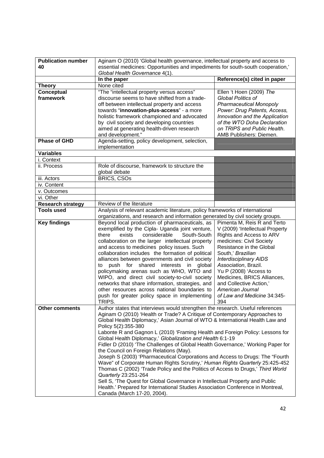| <b>Publication number</b>                    | Aginam O (2010) 'Global health governance, intellectual property and access to                                                                                                                                                                                                                                                                                                                                                                                                                                                                                                                                                                                                                                                                                                                                                                                                                                                               |                                                                                                                                                                                                                                                                                                                                                                                |
|----------------------------------------------|----------------------------------------------------------------------------------------------------------------------------------------------------------------------------------------------------------------------------------------------------------------------------------------------------------------------------------------------------------------------------------------------------------------------------------------------------------------------------------------------------------------------------------------------------------------------------------------------------------------------------------------------------------------------------------------------------------------------------------------------------------------------------------------------------------------------------------------------------------------------------------------------------------------------------------------------|--------------------------------------------------------------------------------------------------------------------------------------------------------------------------------------------------------------------------------------------------------------------------------------------------------------------------------------------------------------------------------|
| 40                                           | essential medicines: Opportunities and impediments for south-south cooperation,'<br>Global Health Governance 4(1).                                                                                                                                                                                                                                                                                                                                                                                                                                                                                                                                                                                                                                                                                                                                                                                                                           |                                                                                                                                                                                                                                                                                                                                                                                |
|                                              | In the paper                                                                                                                                                                                                                                                                                                                                                                                                                                                                                                                                                                                                                                                                                                                                                                                                                                                                                                                                 | Reference(s) cited in paper                                                                                                                                                                                                                                                                                                                                                    |
| <b>Theory</b>                                | None cited                                                                                                                                                                                                                                                                                                                                                                                                                                                                                                                                                                                                                                                                                                                                                                                                                                                                                                                                   |                                                                                                                                                                                                                                                                                                                                                                                |
| <b>Conceptual</b><br>framework               | "The "intellectual property versus access"<br>discourse seems to have shifted from a trade-<br>off between intellectual property and access<br>towards "innovation-plus-access" - a more<br>holistic framework championed and advocated<br>by civil society and developing countries<br>aimed at generating health-driven research<br>and development."                                                                                                                                                                                                                                                                                                                                                                                                                                                                                                                                                                                      | Ellen 't Hoen (2009) The<br>Global Politics of<br><b>Pharmaceutical Monopoly</b><br>Power: Drug Patents, Access,<br>Innovation and the Application<br>of the WTO Doha Declaration<br>on TRIPS and Public Health.<br>AMB Publishers: Diemen.                                                                                                                                    |
| <b>Phase of GHD</b>                          | Agenda-setting, policy development, selection,<br>implementation                                                                                                                                                                                                                                                                                                                                                                                                                                                                                                                                                                                                                                                                                                                                                                                                                                                                             |                                                                                                                                                                                                                                                                                                                                                                                |
| <b>Variables</b>                             |                                                                                                                                                                                                                                                                                                                                                                                                                                                                                                                                                                                                                                                                                                                                                                                                                                                                                                                                              |                                                                                                                                                                                                                                                                                                                                                                                |
| i. Context                                   |                                                                                                                                                                                                                                                                                                                                                                                                                                                                                                                                                                                                                                                                                                                                                                                                                                                                                                                                              |                                                                                                                                                                                                                                                                                                                                                                                |
| ii. Process                                  | Role of discourse, framework to structure the<br>global debate                                                                                                                                                                                                                                                                                                                                                                                                                                                                                                                                                                                                                                                                                                                                                                                                                                                                               |                                                                                                                                                                                                                                                                                                                                                                                |
| iii. Actors                                  | <b>BRICS, CSOs</b>                                                                                                                                                                                                                                                                                                                                                                                                                                                                                                                                                                                                                                                                                                                                                                                                                                                                                                                           |                                                                                                                                                                                                                                                                                                                                                                                |
| iv. Content                                  |                                                                                                                                                                                                                                                                                                                                                                                                                                                                                                                                                                                                                                                                                                                                                                                                                                                                                                                                              |                                                                                                                                                                                                                                                                                                                                                                                |
| v. Outcomes                                  |                                                                                                                                                                                                                                                                                                                                                                                                                                                                                                                                                                                                                                                                                                                                                                                                                                                                                                                                              |                                                                                                                                                                                                                                                                                                                                                                                |
| vi. Other                                    |                                                                                                                                                                                                                                                                                                                                                                                                                                                                                                                                                                                                                                                                                                                                                                                                                                                                                                                                              |                                                                                                                                                                                                                                                                                                                                                                                |
| Research strategy                            | Review of the literature                                                                                                                                                                                                                                                                                                                                                                                                                                                                                                                                                                                                                                                                                                                                                                                                                                                                                                                     |                                                                                                                                                                                                                                                                                                                                                                                |
| <b>Tools used</b>                            | Analysis of relevant academic literature, policy frameworks of international                                                                                                                                                                                                                                                                                                                                                                                                                                                                                                                                                                                                                                                                                                                                                                                                                                                                 |                                                                                                                                                                                                                                                                                                                                                                                |
| <b>Key findings</b><br><b>Other comments</b> | organizations, and research and information generated by civil society groups.<br>Beyond local production of pharmaceuticals, as<br>exemplified by the Cipla- Uganda joint venture,<br>considerable<br>there<br>exists<br>South-South<br>collaboration on the larger intellectual property<br>and access to medicines policy issues. Such<br>collaboration includes the formation of political<br>alliances between governments and civil society<br>push for shared interests<br>to<br>in<br>global<br>policymaking arenas such as WHO, WTO and<br>WIPO, and direct civil society-to-civil society<br>networks that share information, strategies, and<br>other resources across national boundaries to<br>push for greater policy space in implementing<br>I RIPS.<br>Author states that interviews would strengthen the research. Useful references                                                                                       | Pimenta M, Reis R and Terto<br>V (2009) 'Intellectual Property<br>Rights and Access to ARV<br>medicines: Civil Society<br>Resistance in the Global<br>South,' Brazilian<br><b>Interdisciplinary AIDS</b><br>Association, Brazil.<br>Yu P (2008) 'Access to<br>Medicines, BRICS Alliances,<br>and Collective Action,'<br>American Journal<br>of Law and Medicine 34:345-<br>394 |
|                                              | Aginam O (2010) 'Health or Trade? A Critique of Contemporary Approaches to<br>Global Health Diplomacy,' Asian Journal of WTO & International Health Law and<br>Policy 5(2):355-380<br>Labonte R and Gagnon L (2010) 'Framing Health and Foreign Policy: Lessons for<br>Global Health Diplomacy,' Globalization and Health 6:1-19<br>Fidler D (2010) 'The Challenges of Global Health Governance,' Working Paper for<br>the Council on Foreign Relations (May).<br>Joseph S (2003) 'Pharmaceutical Corporations and Access to Drugs: The "Fourth<br>Wave" of Corporate Human Rights Scrutiny,' Human Rights Quarterly 25:425-452<br>Thomas C (2002) 'Trade Policy and the Politics of Access to Drugs,' Third World<br>Quarterly 23:251-264<br>Sell S, 'The Quest for Global Governance in Intellectual Property and Public<br>Health.' Prepared for International Studies Association Conference in Montreal,<br>Canada (March 17-20, 2004). |                                                                                                                                                                                                                                                                                                                                                                                |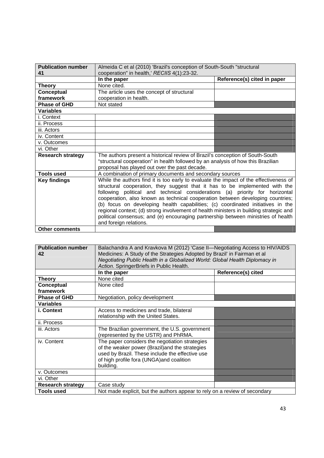| <b>Publication number</b><br>41 | Almeida C et al (2010) 'Brazil's conception of South-South "structural<br>cooperation" in health,' RECIIS 4(1):23-32.                                                                                                                                                                                                                                                                                                                                                                                                                                                                                                              |                             |
|---------------------------------|------------------------------------------------------------------------------------------------------------------------------------------------------------------------------------------------------------------------------------------------------------------------------------------------------------------------------------------------------------------------------------------------------------------------------------------------------------------------------------------------------------------------------------------------------------------------------------------------------------------------------------|-----------------------------|
|                                 | In the paper                                                                                                                                                                                                                                                                                                                                                                                                                                                                                                                                                                                                                       | Reference(s) cited in paper |
| Theory                          | None cited.                                                                                                                                                                                                                                                                                                                                                                                                                                                                                                                                                                                                                        |                             |
| Conceptual                      | The article uses the concept of structural                                                                                                                                                                                                                                                                                                                                                                                                                                                                                                                                                                                         |                             |
| framework                       | cooperation in health.                                                                                                                                                                                                                                                                                                                                                                                                                                                                                                                                                                                                             |                             |
| <b>Phase of GHD</b>             | Not stated                                                                                                                                                                                                                                                                                                                                                                                                                                                                                                                                                                                                                         |                             |
| <b>Variables</b>                |                                                                                                                                                                                                                                                                                                                                                                                                                                                                                                                                                                                                                                    |                             |
| i. Context                      |                                                                                                                                                                                                                                                                                                                                                                                                                                                                                                                                                                                                                                    |                             |
| ii. Process                     |                                                                                                                                                                                                                                                                                                                                                                                                                                                                                                                                                                                                                                    |                             |
| iii. Actors                     |                                                                                                                                                                                                                                                                                                                                                                                                                                                                                                                                                                                                                                    |                             |
| iv. Content                     |                                                                                                                                                                                                                                                                                                                                                                                                                                                                                                                                                                                                                                    |                             |
| v. Outcomes                     |                                                                                                                                                                                                                                                                                                                                                                                                                                                                                                                                                                                                                                    |                             |
| vi. Other                       |                                                                                                                                                                                                                                                                                                                                                                                                                                                                                                                                                                                                                                    |                             |
| <b>Research strategy</b>        | The authors present a historical review of Brazil's conception of South-South<br>"structural cooperation" in health followed by an analysis of how this Brazilian<br>proposal has played out over the past decade.                                                                                                                                                                                                                                                                                                                                                                                                                 |                             |
| Tools used                      | A combination of primary documents and secondary sources                                                                                                                                                                                                                                                                                                                                                                                                                                                                                                                                                                           |                             |
| <b>Key findings</b>             | While the authors find it is too early to evaluate the impact of the effectiveness of<br>structural cooperation, they suggest that it has to be implemented with the<br>following political and technical considerations (a) priority for horizontal<br>cooperation, also known as technical cooperation between developing countries;<br>(b) focus on developing health capabilities; (c) coordinated initiatives in the<br>regional context; (d) strong involvement of health ministers in building strategic and<br>political consensus; and (e) encouraging partnership between ministries of health<br>and foreign relations. |                             |
| <b>Other comments</b>           |                                                                                                                                                                                                                                                                                                                                                                                                                                                                                                                                                                                                                                    |                             |

| <b>Publication number</b> | Balachandra A and Kravkova M (2012) 'Case II-Negotiating Access to HIV/AIDS |                    |
|---------------------------|-----------------------------------------------------------------------------|--------------------|
| 42                        | Medicines: A Study of the Strategies Adopted by Brazil' in Fairman et al    |                    |
|                           | Negotiating Public Health in a Globalized World: Global Health Diplomacy in |                    |
|                           | Action. SpringerBriefs in Public Health.                                    |                    |
|                           | In the paper                                                                | Reference(s) cited |
| Theory                    | None cited                                                                  |                    |
| Conceptual                | None cited                                                                  |                    |
| framework                 |                                                                             |                    |
| <b>Phase of GHD</b>       | Negotiation, policy development                                             |                    |
| <b>Variables</b>          |                                                                             |                    |
| i. Context                | Access to medicines and trade, bilateral                                    |                    |
|                           | relationship with the United States.                                        |                    |
| ii. Process               |                                                                             |                    |
| iii. Actors               | The Brazilian government, the U.S. government                               |                    |
|                           | (represented by the USTR) and PhRMA.                                        |                    |
| iv. Content               | The paper considers the negotiation strategies                              |                    |
|                           | of the weaker power (Brazil) and the strategies                             |                    |
|                           | used by Brazil. These include the effective use                             |                    |
|                           | of high profile fora (UNGA) and coalition                                   |                    |
|                           | building.                                                                   |                    |
| v. Outcomes               |                                                                             |                    |
| vi. Other                 |                                                                             |                    |
| <b>Research strategy</b>  | Case study                                                                  |                    |
| <b>Tools used</b>         | Not made explicit, but the authors appear to rely on a review of secondary  |                    |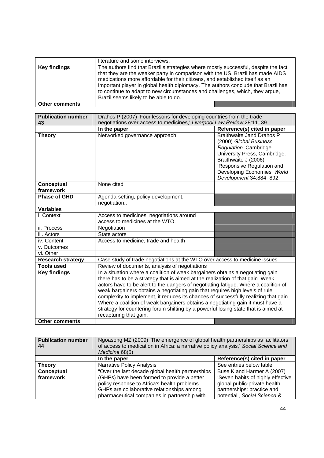|                       | literature and some interviews.                                                                                                                                                                                                                                                                                                                                                                                                                                     |
|-----------------------|---------------------------------------------------------------------------------------------------------------------------------------------------------------------------------------------------------------------------------------------------------------------------------------------------------------------------------------------------------------------------------------------------------------------------------------------------------------------|
| <b>Key findings</b>   | The authors find that Brazil's strategies where mostly successful, despite the fact<br>that they are the weaker party in comparison with the US. Brazil has made AIDS<br>medications more affordable for their citizens, and established itself as an<br>important player in global health diplomacy. The authors conclude that Brazil has<br>to continue to adapt to new circumstances and challenges, which, they argue,<br>Brazil seems likely to be able to do. |
| <b>Other comments</b> |                                                                                                                                                                                                                                                                                                                                                                                                                                                                     |

| <b>Publication number</b>      | Drahos P (2007) 'Four lessons for developing countries from the trade                                                                                                                                                                                                                                                                                                                                                                                                                                                                                                                                                             |                                                                                                                                                                                                                                     |
|--------------------------------|-----------------------------------------------------------------------------------------------------------------------------------------------------------------------------------------------------------------------------------------------------------------------------------------------------------------------------------------------------------------------------------------------------------------------------------------------------------------------------------------------------------------------------------------------------------------------------------------------------------------------------------|-------------------------------------------------------------------------------------------------------------------------------------------------------------------------------------------------------------------------------------|
| 43                             | negotiations over access to medicines,' Liverpool Law Review 28:11-39                                                                                                                                                                                                                                                                                                                                                                                                                                                                                                                                                             |                                                                                                                                                                                                                                     |
|                                | In the paper                                                                                                                                                                                                                                                                                                                                                                                                                                                                                                                                                                                                                      | Reference(s) cited in paper                                                                                                                                                                                                         |
| <b>Theory</b>                  | Networked governance approach                                                                                                                                                                                                                                                                                                                                                                                                                                                                                                                                                                                                     | <b>Braithwaite Jand Drahos P</b><br>(2000) Global Business<br>Regulation. Cambridge<br>University Press, Cambridge.<br>Braithwaite J (2006)<br>'Responsive Regulation and<br>Developing Economies' World<br>Development 34:884-892. |
| <b>Conceptual</b><br>framework | None cited                                                                                                                                                                                                                                                                                                                                                                                                                                                                                                                                                                                                                        |                                                                                                                                                                                                                                     |
| <b>Phase of GHD</b>            | Agenda-setting, policy development,<br>negotiation                                                                                                                                                                                                                                                                                                                                                                                                                                                                                                                                                                                |                                                                                                                                                                                                                                     |
| <b>Variables</b>               |                                                                                                                                                                                                                                                                                                                                                                                                                                                                                                                                                                                                                                   |                                                                                                                                                                                                                                     |
| i. Context                     | Access to medicines, negotiations around<br>access to medicines at the WTO.                                                                                                                                                                                                                                                                                                                                                                                                                                                                                                                                                       |                                                                                                                                                                                                                                     |
| ii. Process                    | Negotiation                                                                                                                                                                                                                                                                                                                                                                                                                                                                                                                                                                                                                       |                                                                                                                                                                                                                                     |
| iii. Actors                    | State actors                                                                                                                                                                                                                                                                                                                                                                                                                                                                                                                                                                                                                      |                                                                                                                                                                                                                                     |
| iv. Content                    | Access to medicine, trade and health                                                                                                                                                                                                                                                                                                                                                                                                                                                                                                                                                                                              |                                                                                                                                                                                                                                     |
| v. Outcomes                    |                                                                                                                                                                                                                                                                                                                                                                                                                                                                                                                                                                                                                                   |                                                                                                                                                                                                                                     |
| vi. Other                      |                                                                                                                                                                                                                                                                                                                                                                                                                                                                                                                                                                                                                                   |                                                                                                                                                                                                                                     |
| <b>Research strategy</b>       | Case study of trade negotiations at the WTO over access to medicine issues                                                                                                                                                                                                                                                                                                                                                                                                                                                                                                                                                        |                                                                                                                                                                                                                                     |
| <b>Tools used</b>              | Review of documents, analysis of negotiations                                                                                                                                                                                                                                                                                                                                                                                                                                                                                                                                                                                     |                                                                                                                                                                                                                                     |
| <b>Key findings</b>            | In a situation where a coalition of weak bargainers obtains a negotiating gain<br>there has to be a strategy that is aimed at the realization of that gain. Weak<br>actors have to be alert to the dangers of negotiating fatigue. Where a coalition of<br>weak bargainers obtains a negotiating gain that requires high levels of rule<br>complexity to implement, it reduces its chances of successfully realizing that gain.<br>Where a coalition of weak bargainers obtains a negotiating gain it must have a<br>strategy for countering forum shifting by a powerful losing state that is aimed at<br>recapturing that gain. |                                                                                                                                                                                                                                     |
| <b>Other comments</b>          |                                                                                                                                                                                                                                                                                                                                                                                                                                                                                                                                                                                                                                   |                                                                                                                                                                                                                                     |

| <b>Publication number</b><br>44 | Ngoasong MZ (2009) 'The emergence of global health partnerships as facilitators<br>of access to medication in Africa: a narrative policy analysis,' Social Science and<br>Medicine 68(5)  |                                                                                                                                 |
|---------------------------------|-------------------------------------------------------------------------------------------------------------------------------------------------------------------------------------------|---------------------------------------------------------------------------------------------------------------------------------|
|                                 | In the paper                                                                                                                                                                              | Reference(s) cited in paper                                                                                                     |
| <b>Theory</b>                   | Narrative Policy Analysis                                                                                                                                                                 | See entries below table                                                                                                         |
| <b>Conceptual</b>               | "Over the last decade global health partnerships"                                                                                                                                         | Buse K and Harmer A (2007)                                                                                                      |
| framework                       | (GHPs) have been formed to provide a better<br>policy response to Africa's health problems.<br>GHPs are collaborative relationships among<br>pharmaceutical companies in partnership with | 'Seven habits of highly effective<br>global public-private health<br>partnerships: practice and<br>potential', Social Science & |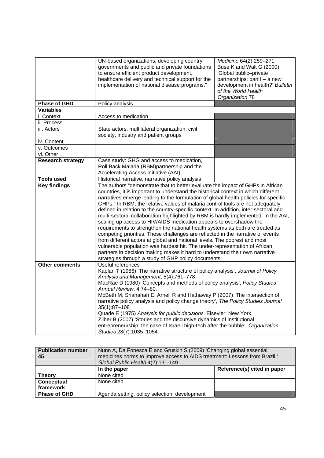|                          | UN-based organizations, developing country<br>governments and public and private foundations<br>to ensure efficient product development,<br>healthcare delivery and technical support for the<br>implementation of national disease programs."                                                                                                                                                                                                                                                                                                                                                                                                                                                                                                                                                                                                                                                                                                                                                                                                                         | Medicine 64(2):259-271<br>Buse K and Walt G (2000)<br>'Global public-private<br>partnerships: part I - a new<br>development in health?' Bulletin<br>of the World Health<br>Organization 78 |
|--------------------------|------------------------------------------------------------------------------------------------------------------------------------------------------------------------------------------------------------------------------------------------------------------------------------------------------------------------------------------------------------------------------------------------------------------------------------------------------------------------------------------------------------------------------------------------------------------------------------------------------------------------------------------------------------------------------------------------------------------------------------------------------------------------------------------------------------------------------------------------------------------------------------------------------------------------------------------------------------------------------------------------------------------------------------------------------------------------|--------------------------------------------------------------------------------------------------------------------------------------------------------------------------------------------|
| <b>Phase of GHD</b>      | Policy analysis                                                                                                                                                                                                                                                                                                                                                                                                                                                                                                                                                                                                                                                                                                                                                                                                                                                                                                                                                                                                                                                        |                                                                                                                                                                                            |
| <b>Variables</b>         |                                                                                                                                                                                                                                                                                                                                                                                                                                                                                                                                                                                                                                                                                                                                                                                                                                                                                                                                                                                                                                                                        |                                                                                                                                                                                            |
| i. Context               | Access to medication                                                                                                                                                                                                                                                                                                                                                                                                                                                                                                                                                                                                                                                                                                                                                                                                                                                                                                                                                                                                                                                   |                                                                                                                                                                                            |
| ii. Process              |                                                                                                                                                                                                                                                                                                                                                                                                                                                                                                                                                                                                                                                                                                                                                                                                                                                                                                                                                                                                                                                                        |                                                                                                                                                                                            |
| iii. Actors              | State actors, multilateral organization, civil<br>society, industry and patient groups                                                                                                                                                                                                                                                                                                                                                                                                                                                                                                                                                                                                                                                                                                                                                                                                                                                                                                                                                                                 |                                                                                                                                                                                            |
| iv. Content              |                                                                                                                                                                                                                                                                                                                                                                                                                                                                                                                                                                                                                                                                                                                                                                                                                                                                                                                                                                                                                                                                        |                                                                                                                                                                                            |
| v. Outcomes              |                                                                                                                                                                                                                                                                                                                                                                                                                                                                                                                                                                                                                                                                                                                                                                                                                                                                                                                                                                                                                                                                        |                                                                                                                                                                                            |
| vi. Other                |                                                                                                                                                                                                                                                                                                                                                                                                                                                                                                                                                                                                                                                                                                                                                                                                                                                                                                                                                                                                                                                                        |                                                                                                                                                                                            |
| <b>Research strategy</b> | Case study: GHG and access to medication,<br>Roll Back Malaria (RBM)partnership and the<br>Accelerating Access Initiative (AAI)                                                                                                                                                                                                                                                                                                                                                                                                                                                                                                                                                                                                                                                                                                                                                                                                                                                                                                                                        |                                                                                                                                                                                            |
| <b>Tools used</b>        | Historical narrative, narrative policy analysis                                                                                                                                                                                                                                                                                                                                                                                                                                                                                                                                                                                                                                                                                                                                                                                                                                                                                                                                                                                                                        |                                                                                                                                                                                            |
| <b>Key findings</b>      | The authors "demonstrate that to better evaluate the impact of GHPs in African<br>countries, it is important to understand the historical context in which different<br>narratives emerge leading to the formulation of global health policies for specific<br>GHPs." In RBM, the relative values of malaria control tools are not adequately<br>defined in relation to the country-specific context. In addition, inter-sectoral and<br>multi-sectoral collaboration highlighted by RBM is hardly implemented. In the AAI,<br>scaling up access to HIV/AIDS medication appears to overshadow the<br>requirements to strengthen the national health systems as both are treated as<br>competing priorities. These challenges are reflected in the narrative of events<br>from different actors at global and national levels. The poorest and most<br>vulnerable population was hardest hit. The under-representation of African<br>partners in decision making makes it hard to understand their own narrative<br>strategies through a study of GHP policy documents, |                                                                                                                                                                                            |
| <b>Other comments</b>    | Useful references<br>Kaplan T (1986) 'The narrative structure of policy analysis', Journal of Policy<br>Analysis and Management, 5(4):761-778<br>MacRae D (1980) 'Concepts and methods of policy analysis', Policy Studies<br>Annual Review, 4:74-80.<br>McBeth M, Shanahan E, Arnell R and Hathaway P (2007) 'The intersection of<br>narrative policy analysis and policy change theory', The Policy Studies Journal<br>$35(1):87 - 108$<br>Quade E (1975) Analysis for public decisions. Elsevier: New York.<br>Zilber B (2007) 'Stories and the discursive dynamics of institutional<br>entrepreneurship: the case of Israeli high-tech after the bubble', Organization<br>Studies 28(7):1035-1054                                                                                                                                                                                                                                                                                                                                                                  |                                                                                                                                                                                            |

| <b>Publication number</b><br>45 | Nunn A, Da Fonesca E and Gruskin S (2009) 'Changing global essential<br>medicines norms to improve access to AIDS treatment: Lessons from Brazil,'<br>Global Public Health 4(2):131-149. |                             |
|---------------------------------|------------------------------------------------------------------------------------------------------------------------------------------------------------------------------------------|-----------------------------|
|                                 | In the paper                                                                                                                                                                             | Reference(s) cited in paper |
| <b>Theory</b>                   | None cited                                                                                                                                                                               |                             |
| Conceptual                      | None cited                                                                                                                                                                               |                             |
| framework                       |                                                                                                                                                                                          |                             |
| <b>Phase of GHD</b>             | Agenda setting, policy selection, development                                                                                                                                            |                             |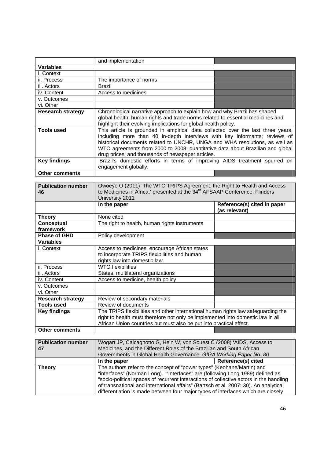|                                 | and implementation                                                                                                                                                                                                                                                                                                                                                                  |                                              |
|---------------------------------|-------------------------------------------------------------------------------------------------------------------------------------------------------------------------------------------------------------------------------------------------------------------------------------------------------------------------------------------------------------------------------------|----------------------------------------------|
| <b>Variables</b>                |                                                                                                                                                                                                                                                                                                                                                                                     |                                              |
| i. Context                      |                                                                                                                                                                                                                                                                                                                                                                                     |                                              |
| ii. Process                     | The importance of norms                                                                                                                                                                                                                                                                                                                                                             |                                              |
| iii. Actors                     | <b>Brazil</b>                                                                                                                                                                                                                                                                                                                                                                       |                                              |
| iv. Content                     | Access to medicines                                                                                                                                                                                                                                                                                                                                                                 |                                              |
| v. Outcomes                     |                                                                                                                                                                                                                                                                                                                                                                                     |                                              |
| vi. Other                       |                                                                                                                                                                                                                                                                                                                                                                                     |                                              |
| <b>Research strategy</b>        | Chronological narrative approach to explain how and why Brazil has shaped<br>global health, human rights and trade norms related to essential medicines and<br>highlight their evolving implications for global health policy.                                                                                                                                                      |                                              |
| <b>Tools used</b>               | This article is grounded in empirical data collected over the last three years,<br>including more than 40 in-depth interviews with key informants; reviews of<br>historical documents related to UNCHR, UNGA and WHA resolutions, as well as<br>WTO agreements from 2000 to 2008; quantitative data about Brazilian and global<br>drug prices; and thousands of newspaper articles. |                                              |
| <b>Key findings</b>             | Brazil's domestic efforts in terms of improving AIDS treatment spurred on<br>engagement globally.                                                                                                                                                                                                                                                                                   |                                              |
| <b>Other comments</b>           |                                                                                                                                                                                                                                                                                                                                                                                     |                                              |
|                                 |                                                                                                                                                                                                                                                                                                                                                                                     |                                              |
| <b>Publication number</b><br>46 | Owoeye O (2011) 'The WTO TRIPS Agreement, the Right to Health and Access<br>to Medicines in Africa,' presented at the 34 <sup>th</sup> AFSAAP Conference, Flinders<br>University 2011                                                                                                                                                                                               |                                              |
|                                 | In the paper                                                                                                                                                                                                                                                                                                                                                                        | Reference(s) cited in paper<br>(as relevant) |
| <b>Theory</b>                   | None cited                                                                                                                                                                                                                                                                                                                                                                          |                                              |
|                                 |                                                                                                                                                                                                                                                                                                                                                                                     |                                              |
| Conceptual<br>framework         | The right to health, human rights instruments                                                                                                                                                                                                                                                                                                                                       |                                              |
| <b>Phase of GHD</b>             | Policy development                                                                                                                                                                                                                                                                                                                                                                  |                                              |
| <b>Variables</b>                |                                                                                                                                                                                                                                                                                                                                                                                     |                                              |
| i. Context                      | Access to medicines, encourage African states<br>to incorporate TRIPS flexibilities and human<br>rights law into domestic law.                                                                                                                                                                                                                                                      |                                              |
| ii. Process                     | <b>WTO</b> flexibilities                                                                                                                                                                                                                                                                                                                                                            |                                              |
| iii. Actors                     | States, multilateral organizations                                                                                                                                                                                                                                                                                                                                                  |                                              |
| iv. Content                     | Access to medicine, health policy                                                                                                                                                                                                                                                                                                                                                   |                                              |
| v. Outcomes                     |                                                                                                                                                                                                                                                                                                                                                                                     |                                              |
| vi. Other                       |                                                                                                                                                                                                                                                                                                                                                                                     |                                              |
| Research strategy               | Review of secondary materials                                                                                                                                                                                                                                                                                                                                                       |                                              |
| Tools used                      | Review of documents                                                                                                                                                                                                                                                                                                                                                                 |                                              |
| <b>Key findings</b>             | The TRIPS flexibilities and other international human rights law safeguarding the<br>right to health must therefore not only be implemented into domestic law in all<br>African Union countries but must also be put into practical effect.                                                                                                                                         |                                              |
| <b>Other comments</b>           |                                                                                                                                                                                                                                                                                                                                                                                     |                                              |
| <b>Publication number</b><br>47 | Wogart JP, Calcagnotto G, Hein W, von Souest C (2008) 'AIDS, Access to<br>Medicines, and the Different Roles of the Brazilian and South African<br>Governments in Global Health Governance' GIGA Working Paper No. 86                                                                                                                                                               |                                              |
| <b>Theory</b>                   | In the paper<br>The authors refer to the concept of "power types" (Keohane/Martin) and                                                                                                                                                                                                                                                                                              | Reference(s) cited                           |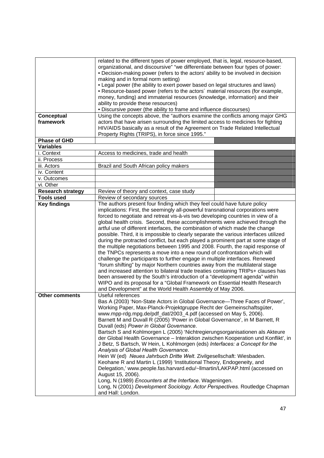| Conceptual<br>framework<br><b>Phase of GHD</b> | related to the different types of power employed, that is, legal, resource-based,<br>organizational, and discoursive" "we differentiate between four types of power:<br>• Decision-making power (refers to the actors' ability to be involved in decision<br>making and in formal norm setting)<br>• Legal power (the ability to exert power based on legal structures and laws)<br>• Resource-based power (refers to the actors' material resources (for example,<br>money, funding) and immaterial resources (knowledge, information) and their<br>ability to provide these resources)<br>. Discursive power (the ability to frame and influence discourses)<br>Using the concepts above, the "authors examine the conflicts among major GHG<br>actors that have arisen surrounding the limited access to medicines for fighting<br>HIV/AIDS basically as a result of the Agreement on Trade Related Intellectual<br>Property Rights (TRIPS), in force since 1995."                                                                                                                                                                                           |  |
|------------------------------------------------|-----------------------------------------------------------------------------------------------------------------------------------------------------------------------------------------------------------------------------------------------------------------------------------------------------------------------------------------------------------------------------------------------------------------------------------------------------------------------------------------------------------------------------------------------------------------------------------------------------------------------------------------------------------------------------------------------------------------------------------------------------------------------------------------------------------------------------------------------------------------------------------------------------------------------------------------------------------------------------------------------------------------------------------------------------------------------------------------------------------------------------------------------------------------|--|
| <b>Variables</b>                               |                                                                                                                                                                                                                                                                                                                                                                                                                                                                                                                                                                                                                                                                                                                                                                                                                                                                                                                                                                                                                                                                                                                                                                 |  |
| i. Context                                     | Access to medicines, trade and health                                                                                                                                                                                                                                                                                                                                                                                                                                                                                                                                                                                                                                                                                                                                                                                                                                                                                                                                                                                                                                                                                                                           |  |
| ii. Process                                    |                                                                                                                                                                                                                                                                                                                                                                                                                                                                                                                                                                                                                                                                                                                                                                                                                                                                                                                                                                                                                                                                                                                                                                 |  |
| iii. Actors                                    | Brazil and South African policy makers                                                                                                                                                                                                                                                                                                                                                                                                                                                                                                                                                                                                                                                                                                                                                                                                                                                                                                                                                                                                                                                                                                                          |  |
| iv. Content                                    |                                                                                                                                                                                                                                                                                                                                                                                                                                                                                                                                                                                                                                                                                                                                                                                                                                                                                                                                                                                                                                                                                                                                                                 |  |
| v. Outcomes                                    |                                                                                                                                                                                                                                                                                                                                                                                                                                                                                                                                                                                                                                                                                                                                                                                                                                                                                                                                                                                                                                                                                                                                                                 |  |
| vi. Other                                      |                                                                                                                                                                                                                                                                                                                                                                                                                                                                                                                                                                                                                                                                                                                                                                                                                                                                                                                                                                                                                                                                                                                                                                 |  |
| <b>Research strategy</b>                       | Review of theory and context, case study                                                                                                                                                                                                                                                                                                                                                                                                                                                                                                                                                                                                                                                                                                                                                                                                                                                                                                                                                                                                                                                                                                                        |  |
| <b>Tools used</b><br><b>Key findings</b>       | Review of secondary sources<br>The authors present four finding which they feel could have future policy                                                                                                                                                                                                                                                                                                                                                                                                                                                                                                                                                                                                                                                                                                                                                                                                                                                                                                                                                                                                                                                        |  |
|                                                | implications: First, the seemingly all-powerful transnational corporations were<br>forced to negotiate and retreat vis-à-vis two developing countries in view of a<br>global health crisis. Second, these accomplishments were achieved through the<br>artful use of different interfaces, the combination of which made the change<br>possible. Third, it is impossible to clearly separate the various interfaces utilized<br>during the protracted conflict, but each played a prominent part at some stage of<br>the multiple negotiations between 1995 and 2008. Fourth, the rapid response of<br>the TNPCs represents a move into a new round of confrontation which will<br>challenge the participants to further engage in multiple interfaces. Renewed<br>"forum shifting" by major Northern countries away from the multilateral stage<br>and increased attention to bilateral trade treaties containing TRIPs+ clauses has<br>been answered by the South's introduction of a "development agenda" within<br>WIPO and its proposal for a "Global Framework on Essential Health Research<br>and Development" at the World Health Assembly of May 2006. |  |
| <b>Other comments</b>                          | Useful references<br>Bas A (2003) 'Non-State Actors in Global Governance-Three Faces of Power',<br>Working Paper, Max-Planck-Projektgruppe Recht der Gemeinschaftsgüter,<br>www.mpp-rdg.mpg.de/pdf_dat/2003_4.pdf (accessed on May 5, 2006).<br>Barnett M and Duvall R (2005) 'Power in Global Governance', in M Barnett, R<br>Duvall (eds) Power in Global Governance.<br>Bartsch S and Kohlmorgen L (2005) 'Nichtregierungsorganisationen als Akteure<br>der Global Health Governance - Interaktion zwischen Kooperation und Konflikt', in<br>J Betz, S Bartsch, W Hein, L Kohlmorgen (eds) Interfaces: a Concept for the<br>Analysis of Global Health Governance.<br>Hein W (ed) Neues Jahrbuch Dritte Welt. Zivilgesellschaft: Wiesbaden.<br>Keohane R and Martin L (1999) 'Institutional Theory, Endogeneity, and<br>Delegation,' www.people.fas.harvard.edu/~llmartin/LAKPAP.html (accessed on<br>August 15, 2006).<br>Long, N (1989) Encounters at the Interface. Wageningen.<br>Long, N (2001) Development Sociology. Actor Perspectives. Routledge Chapman<br>and Hall: London.                                                                        |  |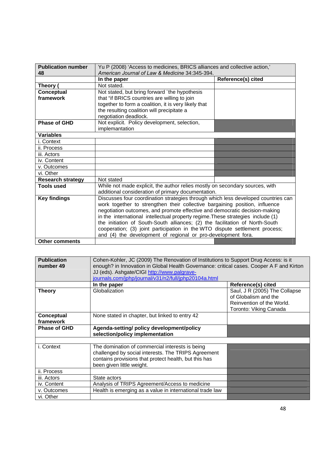| <b>Publication number</b> | Yu P (2008) 'Access to medicines, BRICS alliances and collective action,'         |                    |
|---------------------------|-----------------------------------------------------------------------------------|--------------------|
| 48                        | American Journal of Law & Medicine 34:345-394.                                    |                    |
|                           | In the paper                                                                      | Reference(s) cited |
| Theory (                  | Not stated.                                                                       |                    |
| Conceptual                | Not stated, but bring forward "the hypothesis                                     |                    |
| framework                 | that "if BRICS countries are willing to join                                      |                    |
|                           | together to form a coalition, it is very likely that                              |                    |
|                           | the resulting coalition will precipitate a                                        |                    |
|                           | negotiation deadlock.                                                             |                    |
| <b>Phase of GHD</b>       | Not explicit. Policy development, selection,                                      |                    |
|                           | implemantation                                                                    |                    |
| <b>Variables</b>          |                                                                                   |                    |
| i. Context                |                                                                                   |                    |
| ii. Process               |                                                                                   |                    |
| iii. Actors               |                                                                                   |                    |
| iv. Content               |                                                                                   |                    |
| v. Outcomes               |                                                                                   |                    |
| vi. Other                 |                                                                                   |                    |
| <b>Research strategy</b>  | Not stated                                                                        |                    |
| <b>Tools used</b>         | While not made explicit, the author relies mostly on secondary sources, with      |                    |
|                           | additional consideration of primary documentation.                                |                    |
| <b>Key findings</b>       | Discusses four coordination strategies through which less developed countries can |                    |
|                           | work together to strengthen their collective bargaining position, influence       |                    |
|                           | negotiation outcomes, and promote effective and democratic decision-making        |                    |
|                           | in the international intellectual property regime. These strategies include (1)   |                    |
|                           | the initiation of South-South alliances; (2) the facilitation of North-South      |                    |
|                           | cooperation; (3) joint participation in the WTO dispute settlement process;       |                    |
|                           | and (4) the development of regional or pro-development fora.                      |                    |
| <b>Other comments</b>     |                                                                                   |                    |

| <b>Publication</b><br>number 49 | Cohen-Kohler, JC (2009) The Renovation of Institutions to Support Drug Access: is it<br>enough? in Innovation in Global Health Governance: critical cases. Cooper A F and Kirton<br>JJ (eds). Ashgate/CIGI http://www.palgrave-<br>journals.com/jphp/journal/v31/n2/full/jphp20104a.html |                                                                                                              |
|---------------------------------|------------------------------------------------------------------------------------------------------------------------------------------------------------------------------------------------------------------------------------------------------------------------------------------|--------------------------------------------------------------------------------------------------------------|
|                                 | In the paper                                                                                                                                                                                                                                                                             | Reference(s) cited                                                                                           |
| <b>Theory</b>                   | Globalization                                                                                                                                                                                                                                                                            | Saul, J R (2005) The Collapse<br>of Globalism and the<br>Reinvention of the World.<br>Toronto: Viking Canada |
| Conceptual<br>framework         | None stated in chapter, but linked to entry 42                                                                                                                                                                                                                                           |                                                                                                              |
| <b>Phase of GHD</b>             | Agenda-setting/ policy development/policy<br>selection/policy implementation                                                                                                                                                                                                             |                                                                                                              |
|                                 |                                                                                                                                                                                                                                                                                          |                                                                                                              |
| i. Context                      | The domination of commercial interests is being<br>challenged by social interests. The TRIPS Agreement<br>contains provisions that protect health, but this has<br>been given little weight.                                                                                             |                                                                                                              |
| ii. Process                     |                                                                                                                                                                                                                                                                                          |                                                                                                              |
| iii. Actors                     | State actors                                                                                                                                                                                                                                                                             |                                                                                                              |
| iv. Content                     | Analysis of TRIPS Agreement/Access to medicine                                                                                                                                                                                                                                           |                                                                                                              |
| v. Outcomes                     | Health is emerging as a value in international trade law                                                                                                                                                                                                                                 |                                                                                                              |
| vi. Other                       |                                                                                                                                                                                                                                                                                          |                                                                                                              |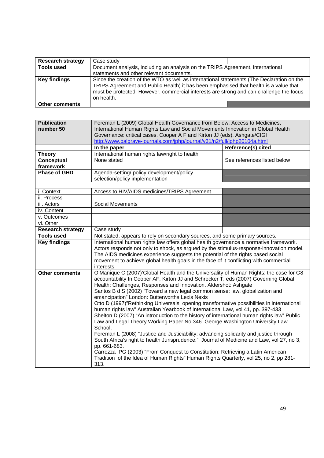| <b>Research strategy</b> | Case study                                                                                                                                                                                                                                                                                  |  |
|--------------------------|---------------------------------------------------------------------------------------------------------------------------------------------------------------------------------------------------------------------------------------------------------------------------------------------|--|
| <b>Tools used</b>        | Document analysis, including an analysis on the TRIPS Agreement, international                                                                                                                                                                                                              |  |
|                          | statements and other relevant documents.                                                                                                                                                                                                                                                    |  |
| <b>Key findings</b>      | Since the creation of the WTO as well as international statements (The Declaration on the<br>TRIPS Agreement and Public Health) it has been emphasised that health is a value that<br>must be protected. However, commercial interests are strong and can challenge the focus<br>on health. |  |
| <b>Other comments</b>    |                                                                                                                                                                                                                                                                                             |  |

| <b>Publication</b>       | Foreman L (2009) Global Health Governance from Below: Access to Medicines,                                                                            |                             |  |
|--------------------------|-------------------------------------------------------------------------------------------------------------------------------------------------------|-----------------------------|--|
| number 50                | International Human Rights Law and Social Movements Innovation in Global Health                                                                       |                             |  |
|                          | Governance: critical cases. Cooper A F and Kirton JJ (eds). Ashgate/CIGI<br>http://www.palgrave-journals.com/jphp/journal/v31/n2/full/jphp20104a.html |                             |  |
|                          |                                                                                                                                                       | <b>Reference(s) cited</b>   |  |
| <b>Theory</b>            | In the paper<br>International human rights law/right to health                                                                                        |                             |  |
| Conceptual               | None stated                                                                                                                                           | See references listed below |  |
| framework                |                                                                                                                                                       |                             |  |
| <b>Phase of GHD</b>      | Agenda-setting/ policy development/policy                                                                                                             |                             |  |
|                          | selection/policy implementation                                                                                                                       |                             |  |
|                          |                                                                                                                                                       |                             |  |
| i. Context               | Access to HIV/AIDS medicines/TRIPS Agreement                                                                                                          |                             |  |
| ii. Process              |                                                                                                                                                       |                             |  |
| iii. Actors              | <b>Social Movements</b>                                                                                                                               |                             |  |
| iv. Content              |                                                                                                                                                       |                             |  |
| v. Outcomes              |                                                                                                                                                       |                             |  |
| vi. Other                |                                                                                                                                                       |                             |  |
| <b>Research strategy</b> | Case study                                                                                                                                            |                             |  |
| <b>Tools used</b>        | Not stated, appears to rely on secondary sources, and some primary sources.                                                                           |                             |  |
| <b>Key findings</b>      | International human rights law offers global health governance a normative framework.                                                                 |                             |  |
|                          | Actors responds not only to shock, as argued by the stimulus-response-innovation model.                                                               |                             |  |
|                          | The AIDS medicines experience suggests the potential of the rights based social                                                                       |                             |  |
|                          | movement to achieve global health goals in the face of it conflicting with commercial                                                                 |                             |  |
|                          | interests.                                                                                                                                            |                             |  |
| <b>Other comments</b>    | O'Manique C (2007)'Global Health and the Universality of Human Rights: the case for G8                                                                |                             |  |
|                          | accountability In Cooper AF, Kirton JJ and Schrecker T, eds (2007) Governing Global                                                                   |                             |  |
|                          | Health: Challenges, Responses and Innovation. Aldershot: Ashgate<br>Santos B d S (2002) "Toward a new legal common sense: law, globalization and      |                             |  |
|                          | emancipation" London: Butterworths Lexis Nexis                                                                                                        |                             |  |
|                          | Otto D (1997)"Rethinking Universals: opening transformative possibilities in international                                                            |                             |  |
|                          | human rights law" Australian Yearbook of International Law, vol 41, pp. 397-433                                                                       |                             |  |
|                          | Shelton D (2007) "An introduction to the history of international human rights law" Public                                                            |                             |  |
|                          | Law and Legal Theory Working Paper No 346. George Washington University Law                                                                           |                             |  |
|                          | School.                                                                                                                                               |                             |  |
|                          | Foreman L (2008) "Justice and Justiciability: advancing solidarity and justice through                                                                |                             |  |
|                          | South Africa's right to health Jurisprudence." Journal of Medicine and Law, vol 27, no 3,                                                             |                             |  |
|                          | pp. 661-683.                                                                                                                                          |                             |  |
|                          | Carrozza PG (2003) "From Conquest to Constitution: Retrieving a Latin American                                                                        |                             |  |
|                          | Tradition of the Idea of Human Rights" Human Rights Quarterly, vol 25, no 2, pp 281-                                                                  |                             |  |
|                          | 313.                                                                                                                                                  |                             |  |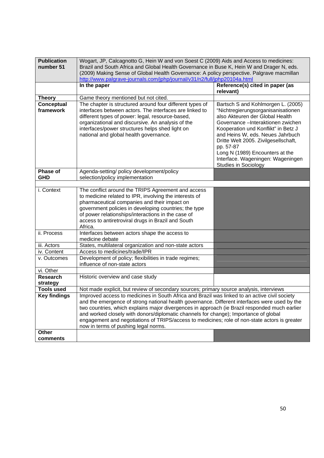| <b>Publication</b><br>number 51 | Wogart, JP, Calcagnotto G, Hein W and von Soest C (2009) Aids and Access to medicines:<br>Brazil and South Africa and Global Health Governance in Buse K, Hein W and Drager N, eds.<br>(2009) Making Sense of Global Health Governance: A policy perspective. Palgrave macmillan<br>http://www.palgrave-journals.com/jphp/journal/v31/n2/full/jphp20104a.html                                                                                                                                                                    |                                                                                                                                                                                                                                                                                                                                                                                          |  |
|---------------------------------|----------------------------------------------------------------------------------------------------------------------------------------------------------------------------------------------------------------------------------------------------------------------------------------------------------------------------------------------------------------------------------------------------------------------------------------------------------------------------------------------------------------------------------|------------------------------------------------------------------------------------------------------------------------------------------------------------------------------------------------------------------------------------------------------------------------------------------------------------------------------------------------------------------------------------------|--|
|                                 | In the paper                                                                                                                                                                                                                                                                                                                                                                                                                                                                                                                     | Reference(s) cited in paper (as<br>relevant)                                                                                                                                                                                                                                                                                                                                             |  |
| <b>Theory</b>                   | Game theory mentioned but not cited.                                                                                                                                                                                                                                                                                                                                                                                                                                                                                             |                                                                                                                                                                                                                                                                                                                                                                                          |  |
| <b>Conceptual</b><br>framework  | The chapter is structured around four different types of<br>interfaces between actors. The interfaces are linked to<br>different types of power: legal, resource-based,<br>organizational and discursive. An analysis of the<br>interfaces/power structures helps shed light on<br>national and global health governance.                                                                                                                                                                                                        | Bartsch S and Kohlmorgen L. (2005)<br>"Nichtregierungsorganisanisationen<br>also Akteuren der Global Health<br>Governance - Interaktionen zwichen<br>Kooperation und Konflikt" in Betz J<br>and Heins W, eds. Neues Jahrbuch<br>Dritte Welt 2005. Zivilgesellschaft,<br>pp. 57-87<br>Long N (1989) Encounters at the<br>Interface. Wageningen: Wageningen<br><b>Studies in Sociology</b> |  |
| <b>Phase of</b><br><b>GHD</b>   | Agenda-setting/ policy development/policy<br>selection/policy implementation                                                                                                                                                                                                                                                                                                                                                                                                                                                     |                                                                                                                                                                                                                                                                                                                                                                                          |  |
|                                 |                                                                                                                                                                                                                                                                                                                                                                                                                                                                                                                                  |                                                                                                                                                                                                                                                                                                                                                                                          |  |
| i. Context                      | The conflict around the TRIPS Agreement and access<br>to medicine related to IPR, involving the interests of<br>pharmaceutical companies and their impact on<br>government policies in developing countries; the type<br>of power relationships/interactions in the case of<br>access to antiretroviral drugs in Brazil and South<br>Africa.                                                                                                                                                                                     |                                                                                                                                                                                                                                                                                                                                                                                          |  |
| ii. Process                     | Interfaces between actors shape the access to<br>medicine debate                                                                                                                                                                                                                                                                                                                                                                                                                                                                 |                                                                                                                                                                                                                                                                                                                                                                                          |  |
| iii. Actors                     | States, multilateral organization and non-state actors                                                                                                                                                                                                                                                                                                                                                                                                                                                                           |                                                                                                                                                                                                                                                                                                                                                                                          |  |
| iv. Content                     | Access to medicines/trade/IPR                                                                                                                                                                                                                                                                                                                                                                                                                                                                                                    |                                                                                                                                                                                                                                                                                                                                                                                          |  |
| v. Outcomes                     | Development of policy; flexibilities in trade regimes;<br>influence of non-state actors                                                                                                                                                                                                                                                                                                                                                                                                                                          |                                                                                                                                                                                                                                                                                                                                                                                          |  |
| vi. Other                       |                                                                                                                                                                                                                                                                                                                                                                                                                                                                                                                                  |                                                                                                                                                                                                                                                                                                                                                                                          |  |
| <b>Research</b><br>strategy     | Historic overview and case study                                                                                                                                                                                                                                                                                                                                                                                                                                                                                                 |                                                                                                                                                                                                                                                                                                                                                                                          |  |
| <b>Tools used</b>               | Not made explicit, but review of secondary sources; primary source analysis, interviews                                                                                                                                                                                                                                                                                                                                                                                                                                          |                                                                                                                                                                                                                                                                                                                                                                                          |  |
| <b>Key findings</b>             | Improved access to medicines in South Africa and Brazil was linked to an active civil society<br>and the emergence of strong national health governance. Different interfaces were used by the<br>two countries, which explains major divergences in approach (ie Brazil responded much earlier<br>and worked closely with donors/diplomatic channels for change); Importance of global<br>engagement and negotiations of TRIPS/access to medicines; role of non-state actors is greater<br>now in terms of pushing legal norms. |                                                                                                                                                                                                                                                                                                                                                                                          |  |
| Other<br>comments               |                                                                                                                                                                                                                                                                                                                                                                                                                                                                                                                                  |                                                                                                                                                                                                                                                                                                                                                                                          |  |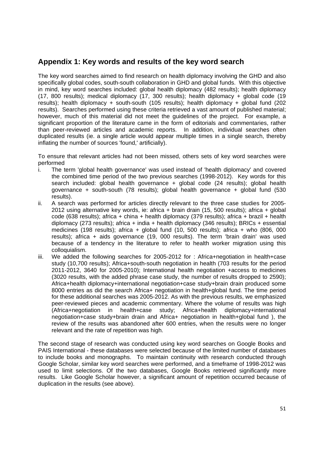# **Appendix 1: Key words and results of the key word search**

The key word searches aimed to find research on health diplomacy involving the GHD and also specifically global codes, south-south collaboration in GHD and global funds. With this objective in mind, key word searches included: global health diplomacy (482 results); health diplomacy (17, 800 results); medical diplomacy (17, 300 results); health diplomacy + global code (19 results); health diplomacy + south-south (105 results); health diplomacy + global fund (202 results). Searches performed using these criteria retrieved a vast amount of published material; however, much of this material did not meet the guidelines of the project. For example, a significant proportion of the literature came in the form of editorials and commentaries, rather than peer-reviewed articles and academic reports. In addition, individual searches often duplicated results (ie. a single article would appear multiple times in a single search, thereby inflating the number of sources 'found,' artificially).

To ensure that relevant articles had not been missed, others sets of key word searches were performed

- i. The term 'global health governance' was used instead of 'health diplomacy' and covered the combined time period of the two previous searches (1998-2012). Key words for this search included: global health governance + global code (24 results); global health governance + south-south (78 results); global health governance + global fund (530 results).
- ii. A search was performed for articles directly relevant to the three case studies for 2005- 2012 using alternative key words, ie: africa + brain drain (15, 500 results); africa + global code (638 results); africa + china + health diplomacy (379 results); africa + brazil + health diplomacy (273 results); africa + india + health diplomacy (346 results); BRICs + essential medicines (198 results); africa + global fund (10, 500 results); africa + who (806, 000 results); africa + aids governance (19, 000 results). The term 'brain drain' was used because of a tendency in the literature to refer to health worker migration using this colloquialism.
- iii. We added the following searches for 2005-2012 for : Africa+negotiation in health+case study (10,700 results); Africa+south-south negotiation in health (703 results for the period 2011-2012, 3640 for 2005-2010); International health negotiation +access to medicines (3020 results, with the added phrase case study, the number of results dropped to 2590); Africa+health diplomacy+international negotiation+case study+brain drain produced some 8000 entries as did the search Africa+ negotiation in health+global fund. The time period for these additional searches was 2005-2012. As with the previous results, we emphasized peer-reviewed pieces and academic commentary. Where the volume of results was high (Africa+negotiation in health+case study; Africa+health diplomacy+international negotiation+case study+brain drain and Africa+ negotiation in health+global fund ), the review of the results was abandoned after 600 entries, when the results were no longer relevant and the rate of repetition was high.

The second stage of research was conducted using key word searches on Google Books and PAIS International - these databases were selected because of the limited number of databases to include books and monographs. To maintain continuity with research conducted through Google Scholar, similar key word searches were performed, and a timeframe of 1998-2012 was used to limit selections. Of the two databases, Google Books retrieved significantly more results. Like Google Scholar however, a significant amount of repetition occurred because of duplication in the results (see above).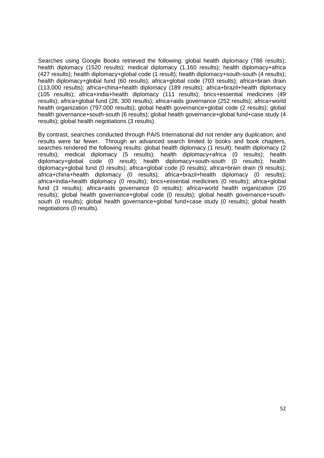Searches using Google Books retrieved the following: global health diplomacy (786 results); health diplomacy (1520 results); medical diplomacy (1,160 results); health diplomacy+africa (427 results); health diplomacy+global code (1 result); health diplomacy+south-south (4 results); health diplomacy+global fund (60 results); africa+global code (703 results); africa+brain drain (113,000 results); africa+china+health diplomacy (189 results); africa+brazil+health diplomacy (105 results); africa+india+health diplomacy (111 results); brics+essential medicines (49 results); africa+global fund (28, 300 results); africa+aids governance (252 results); africa+world health organization (797,000 results); global health governance+global code (2 results); global health governance+south-south (6 results); global health governance+global fund+case study (4 results); global health negotiations (3 results).

By contrast, searches conducted through PAIS International did not render any duplication; and results were far fewer. Through an advanced search limited to books and book chapters, searches rendered the following results: global health diplomacy (1 result); health diplomacy (2 results); medical diplomacy (5 results); health diplomacy+africa (0 results); health diplomacy+global code (0 result); health diplomacy+south-south (0 results); health diplomacy+global fund (0 results); africa+global code (0 results); africa+brain drain (9 results); africa+china+health diplomacy (0 results); africa+brazil+health diplomacy (0 results); africa+india+health diplomacy (0 results); brics+essential medicines (0 results); africa+global fund (3 results); africa+aids governance (0 results); africa+world health organization (20 results); global health governance+global code (0 results); global health governance+southsouth (0 results); global health governance+global fund+case study (0 results); global health negotiations (0 results).